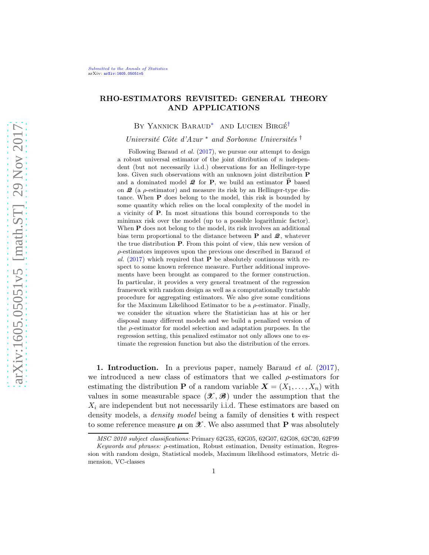## RHO-ESTIMATORS REVISITED: GENERAL THEORY AND APPLICATIONS

<span id="page-0-1"></span><span id="page-0-0"></span>BY YANNICK BARAUD<sup>\*</sup> AND LUCIEN BIRGÉ<sup>[†](#page-0-1)</sup>

Université Côte d'Azur \* and Sorbonne Universités †

Following Baraud *et al.* [\(2017\)](#page-39-0), we pursue our attempt to design a robust universal estimator of the joint ditribution of n independent (but not necessarily i.i.d.) observations for an Hellinger-type loss. Given such observations with an unknown joint distribution P and a dominated model  $\mathcal{Q}$  for **P**, we build an estimator  $\widehat{P}$  based on  $\mathcal{Q}$  (a  $\rho$ -estimator) and measure its risk by an Hellinger-type distance. When P does belong to the model, this risk is bounded by some quantity which relies on the local complexity of the model in a vicinity of P. In most situations this bound corresponds to the minimax risk over the model (up to a possible logarithmic factor). When **P** does not belong to the model, its risk involves an additional bias term proportional to the distance between  $P$  and  $Q$ , whatever the true distribution P. From this point of view, this new version of ρ-estimators improves upon the previous one described in Baraud *et* al.  $(2017)$  $(2017)$  which required that **P** be absolutely continuous with respect to some known reference measure. Further additional improvements have been brought as compared to the former construction. In particular, it provides a very general treatment of the regression framework with random design as well as a computationally tractable procedure for aggregating estimators. We also give some conditions for the Maximum Likelihood Estimator to be a  $\rho$ -estimator. Finally, we consider the situation where the Statistician has at his or her disposal many different models and we build a penalized version of the  $\rho$ -estimator for model selection and adaptation purposes. In the regression setting, this penalized estimator not only allows one to estimate the regression function but also the distribution of the errors.

**1. Introduction.** In a previous paper, namely Baraud *et al.* [\(2017](#page-39-0)), we introduced a new class of estimators that we called  $\rho$ -estimators for estimating the distribution **P** of a random variable  $\mathbf{X} = (X_1, \ldots, X_n)$  with values in some measurable space  $(\mathscr{X}, \mathscr{B})$  under the assumption that the  $X_i$  are independent but not necessarily i.i.d. These estimators are based on density models, a *density model* being a family of densities **t** with respect to some reference measure  $\mu$  on  $\mathscr X$ . We also assumed that **P** was absolutely

*MSC 2010 subject classifications:* Primary 62G35, 62G05, 62G07, 62G08, 62C20, 62F99

*Keywords and phrases:* ρ-estimation, Robust estimation, Density estimation, Regression with random design, Statistical models, Maximum likelihood estimators, Metric dimension, VC-classes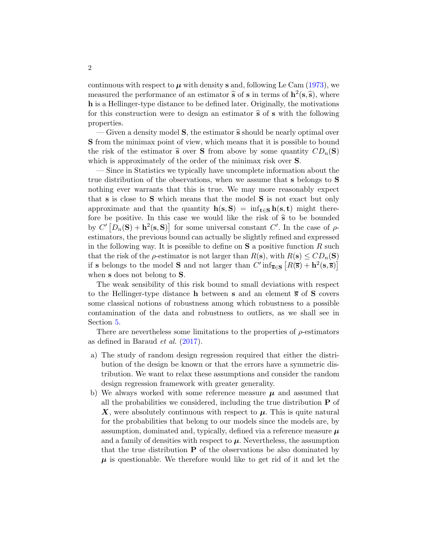continuous with respect to  $\mu$  with density s and, following Le Cam [\(1973](#page-40-0)), we measured the performance of an estimator  $\hat{\mathbf{s}}$  of  $\mathbf{s}$  in terms of  $\mathbf{h}^2(\mathbf{s},\hat{\mathbf{s}})$ , where h is a Hellinger-type distance to be defined later. Originally, the motivations for this construction were to design an estimator  $\hat{s}$  of s with the following properties.

— Given a density model **S**, the estimator  $\hat{\mathbf{s}}$  should be nearly optimal over S from the minimax point of view, which means that it is possible to bound the risk of the estimator  $\hat{\mathbf{s}}$  over **S** from above by some quantity  $CD_n(\mathbf{S})$ which is approximately of the order of the minimax risk over **S**.

— Since in Statistics we typically have uncomplete information about the true distribution of the observations, when we assume that s belongs to S nothing ever warrants that this is true. We may more reasonably expect that s is close to S which means that the model S is not exact but only approximate and that the quantity  $h(s, S) = \inf_{t \in S} h(s, t)$  might therefore be positive. In this case we would like the risk of  $\hat{s}$  to be bounded by  $C' [D_n(\mathbf{S}) + \mathbf{h}^2(\mathbf{s}, \mathbf{S})]$  for some universal constant  $C'$ . In the case of  $\rho$ estimators, the previous bound can actually be slightly refined and expressed in the following way. It is possible to define on  $S$  a positive function  $R$  such that the risk of the  $\rho$ -estimator is not larger than  $R(s)$ , with  $R(s) \leq CD_n(S)$ if s belongs to the model S and not larger than  $C'$  inf<sub>s∈S</sub>  $[R(\overline{s}) + h^2(s, \overline{s})]$ when **s** does not belong to **S**.

The weak sensibility of this risk bound to small deviations with respect to the Hellinger-type distance **h** between **s** and an element  $\overline{s}$  of **S** covers some classical notions of robustness among which robustness to a possible contamination of the data and robustness to outliers, as we shall see in Section [5.](#page-18-0)

There are nevertheless some limitations to the properties of  $\rho$ -estimators as defined in Baraud et al. [\(2017](#page-39-0)).

- a) The study of random design regression required that either the distribution of the design be known or that the errors have a symmetric distribution. We want to relax these assumptions and consider the random design regression framework with greater generality.
- b) We always worked with some reference measure  $\mu$  and assumed that all the probabilities we considered, including the true distribution  $P$  of  $X$ , were absolutely continuous with respect to  $\mu$ . This is quite natural for the probabilities that belong to our models since the models are, by assumption, dominated and, typically, defined via a reference measure  $\mu$ and a family of densities with respect to  $\mu$ . Nevertheless, the assumption that the true distribution  $P$  of the observations be also dominated by  $\mu$  is questionable. We therefore would like to get rid of it and let the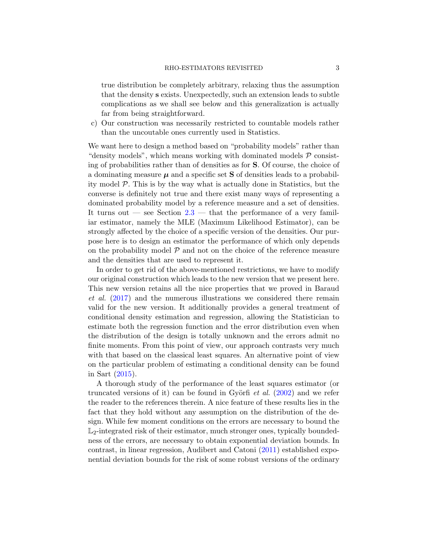true distribution be completely arbitrary, relaxing thus the assumption that the density s exists. Unexpectedly, such an extension leads to subtle complications as we shall see below and this generalization is actually far from being straightforward.

c) Our construction was necessarily restricted to countable models rather than the uncoutable ones currently used in Statistics.

We want here to design a method based on "probability models" rather than "density models", which means working with dominated models  $P$  consisting of probabilities rather than of densities as for S. Of course, the choice of a dominating measure  $\mu$  and a specific set **S** of densities leads to a probability model P. This is by the way what is actually done in Statistics, but the converse is definitely not true and there exist many ways of representing a dominated probability model by a reference measure and a set of densities. It turns out  $-$  see Section [2.3](#page-7-0)  $-$  that the performance of a very familiar estimator, namely the MLE (Maximum Likelihood Estimator), can be strongly affected by the choice of a specific version of the densities. Our purpose here is to design an estimator the performance of which only depends on the probability model  $P$  and not on the choice of the reference measure and the densities that are used to represent it.

In order to get rid of the above-mentioned restrictions, we have to modify our original construction which leads to the new version that we present here. This new version retains all the nice properties that we proved in Baraud et al. [\(2017](#page-39-0)) and the numerous illustrations we considered there remain valid for the new version. It additionally provides a general treatment of conditional density estimation and regression, allowing the Statistician to estimate both the regression function and the error distribution even when the distribution of the design is totally unknown and the errors admit no finite moments. From this point of view, our approach contrasts very much with that based on the classical least squares. An alternative point of view on the particular problem of estimating a conditional density can be found in Sart [\(2015](#page-40-1)).

A thorough study of the performance of the least squares estimator (or truncated versions of it) can be found in Györfi *et al.*  $(2002)$  $(2002)$  and we refer the reader to the references therein. A nice feature of these results lies in the fact that they hold without any assumption on the distribution of the design. While few moment conditions on the errors are necessary to bound the  $\mathbb{L}_2$ -integrated risk of their estimator, much stronger ones, typically boundedness of the errors, are necessary to obtain exponential deviation bounds. In contrast, in linear regression, Audibert and Catoni [\(2011](#page-39-2)) established exponential deviation bounds for the risk of some robust versions of the ordinary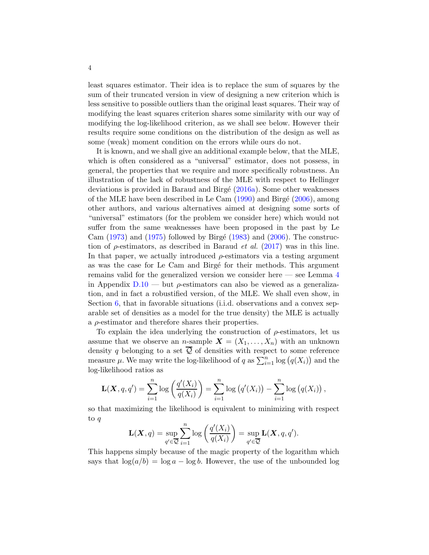least squares estimator. Their idea is to replace the sum of squares by the sum of their truncated version in view of designing a new criterion which is less sensitive to possible outliers than the original least squares. Their way of modifying the least squares criterion shares some similarity with our way of modifying the log-likelihood criterion, as we shall see below. However their results require some conditions on the distribution of the design as well as some (weak) moment condition on the errors while ours do not.

It is known, and we shall give an additional example below, that the MLE, which is often considered as a "universal" estimator, does not possess, in general, the properties that we require and more specifically robustness. An illustration of the lack of robustness of the MLE with respect to Hellinger deviations is provided in Baraud and Birgé  $(2016a)$ . Some other weaknesses of the MLE have been described in Le Cam  $(1990)$  and Birgé  $(2006)$ , among other authors, and various alternatives aimed at designing some sorts of "universal" estimators (for the problem we consider here) which would not suffer from the same weaknesses have been proposed in the past by Le Cam  $(1973)$  and  $(1975)$  followed by Birgé [\(1983](#page-39-5)) and  $(2006)$ . The construction of  $\rho$ -estimators, as described in Baraud *et al.* [\(2017\)](#page-39-0) was in this line. In that paper, we actually introduced  $\rho$ -estimators via a testing argument as was the case for Le Cam and Birgé for their methods. This argument remains valid for the generalized version we consider here — see Lemma [4](#page-72-0) in Appendix  $D.10$  — but  $\rho$ -estimators can also be viewed as a generalization, and in fact a robustified version, of the MLE. We shall even show, in Section [6,](#page-20-0) that in favorable situations (i.i.d. observations and a convex separable set of densities as a model for the true density) the MLE is actually a  $\rho$ -estimator and therefore shares their properties.

To explain the idea underlying the construction of  $\rho$ -estimators, let us assume that we observe an *n*-sample  $\mathbf{X} = (X_1, \ldots, X_n)$  with an unknown density q belonging to a set  $\overline{Q}$  of densities with respect to some reference measure  $\mu$ . We may write the log-likelihood of q as  $\sum_{i=1}^{n} \log (q(X_i))$  and the log-likelihood ratios as

$$
\mathbf{L}(\mathbf{X}, q, q') = \sum_{i=1}^{n} \log \left( \frac{q'(X_i)}{q(X_i)} \right) = \sum_{i=1}^{n} \log \left( q'(X_i) \right) - \sum_{i=1}^{n} \log \left( q(X_i) \right),
$$

so that maximizing the likelihood is equivalent to minimizing with respect to q

$$
\mathbf{L}(\boldsymbol{X},q) = \sup_{q' \in \overline{\mathcal{Q}}} \sum_{i=1}^n \log \left( \frac{q'(X_i)}{q(X_i)} \right) = \sup_{q' \in \overline{\mathcal{Q}}} \mathbf{L}(\boldsymbol{X},q,q').
$$

This happens simply because of the magic property of the logarithm which says that  $\log(a/b) = \log a - \log b$ . However, the use of the unbounded log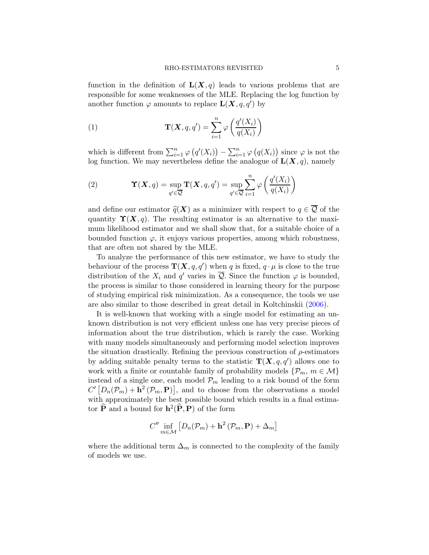function in the definition of  $\mathbf{L}(\mathbf{X}, q)$  leads to various problems that are responsible for some weaknesses of the MLE. Replacing the log function by another function  $\varphi$  amounts to replace  $\mathbf{L}(\mathbf{X}, q, q')$  by

<span id="page-4-0"></span>(1) 
$$
\mathbf{T}(\mathbf{X}, q, q') = \sum_{i=1}^{n} \varphi \left( \frac{q'(X_i)}{q(X_i)} \right)
$$

which is different from  $\sum_{i=1}^{n} \varphi(q'(X_i)) - \sum_{i=1}^{n} \varphi(q(X_i))$  since  $\varphi$  is not the log function. We may nevertheless define the analogue of  $\mathbf{L}(\mathbf{X}, q)$ , namely

(2) 
$$
\Upsilon(X,q) = \sup_{q' \in \overline{Q}} \mathbf{T}(X,q,q') = \sup_{q' \in \overline{Q}} \sum_{i=1}^n \varphi\left(\frac{q'(X_i)}{q(X_i)}\right)
$$

and define our estimator  $\hat{q}(\bm{X})$  as a minimizer with respect to  $q \in \overline{Q}$  of the quantity  $\Upsilon(X, q)$ . The resulting estimator is an alternative to the maximum likelihood estimator and we shall show that, for a suitable choice of a bounded function  $\varphi$ , it enjoys various properties, among which robustness, that are often not shared by the MLE.

To analyze the performance of this new estimator, we have to study the behaviour of the process  $\mathbf{T}(\bm{X}, q, q')$  when q is fixed,  $q \cdot \mu$  is close to the true distribution of the  $X_i$  and  $q'$  varies in  $\overline{Q}$ . Since the function  $\varphi$  is bounded, the process is similar to those considered in learning theory for the purpose of studying empirical risk minimization. As a consequence, the tools we use are also similar to those described in great detail in Koltchinskii [\(2006](#page-40-4)).

It is well-known that working with a single model for estimating an unknown distribution is not very efficient unless one has very precise pieces of information about the true distribution, which is rarely the case. Working with many models simultaneously and performing model selection improves the situation drastically. Refining the previous construction of  $\rho$ -estimators by adding suitable penalty terms to the statistic  $\mathbf{T}(\mathbf{X}, q, q')$  allows one to work with a finite or countable family of probability models  $\{\mathcal{P}_m, m \in \mathcal{M}\}\$ instead of a single one, each model  $\mathcal{P}_m$  leading to a risk bound of the form  $C' [D_n(\mathcal{P}_m) + \mathbf{h}^2(\mathcal{P}_m, \mathbf{P})]$ , and to choose from the observations a model with approximately the best possible bound which results in a final estimator  $\widehat{P}$  and a bound for  $h^2(\widehat{P}, P)$  of the form

$$
C'' \inf_{m \in \mathcal{M}} \left[ D_n(\mathcal{P}_m) + \mathbf{h}^2 \left( \mathcal{P}_m, \mathbf{P} \right) + \Delta_m \right]
$$

where the additional term  $\Delta_m$  is connected to the complexity of the family of models we use.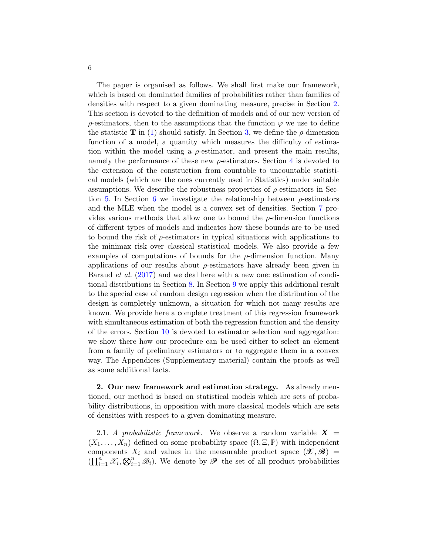The paper is organised as follows. We shall first make our framework, which is based on dominated families of probabilities rather than families of densities with respect to a given dominating measure, precise in Section [2.](#page-5-0) This section is devoted to the definition of models and of our new version of  $\rho$ -estimators, then to the assumptions that the function  $\varphi$  we use to define the statistic T in [\(1\)](#page-4-0) should satisfy. In Section [3,](#page-11-0) we define the  $\rho$ -dimension function of a model, a quantity which measures the difficulty of estimation within the model using a  $\rho$ -estimator, and present the main results, namely the performance of these new  $\rho$ -estimators. Section [4](#page-15-0) is devoted to the extension of the construction from countable to uncountable statistical models (which are the ones currently used in Statistics) under suitable assumptions. We describe the robustness properties of  $\rho$ -estimators in Sec-tion [5.](#page-18-0) In Section [6](#page-20-0) we investigate the relationship between  $\rho$ -estimators and the MLE when the model is a convex set of densities. Section [7](#page-22-0) provides various methods that allow one to bound the  $\rho$ -dimension functions of different types of models and indicates how these bounds are to be used to bound the risk of ρ-estimators in typical situations with applications to the minimax risk over classical statistical models. We also provide a few examples of computations of bounds for the  $\rho$ -dimension function. Many applications of our results about  $\rho$ -estimators have already been given in Baraud *et al.* [\(2017](#page-39-0)) and we deal here with a new one: estimation of conditional distributions in Section [8.](#page-30-0) In Section [9](#page-32-0) we apply this additional result to the special case of random design regression when the distribution of the design is completely unknown, a situation for which not many results are known. We provide here a complete treatment of this regression framework with simultaneous estimation of both the regression function and the density of the errors. Section [10](#page-37-0) is devoted to estimator selection and aggregation: we show there how our procedure can be used either to select an element from a family of preliminary estimators or to aggregate them in a convex way. The Appendices (Supplementary material) contain the proofs as well as some additional facts.

<span id="page-5-0"></span>2. Our new framework and estimation strategy. As already mentioned, our method is based on statistical models which are sets of probability distributions, in opposition with more classical models which are sets of densities with respect to a given dominating measure.

2.1. A probabilistic framework. We observe a random variable  $X =$  $(X_1, \ldots, X_n)$  defined on some probability space  $(\Omega, \Xi, \mathbb{P})$  with independent components  $X_i$  and values in the measurable product space  $(\mathcal{X}, \mathcal{B})$  =  $(\prod_{i=1}^n \mathscr{X}_i, \bigotimes_{i=1}^n \mathscr{B}_i)$ . We denote by  $\mathscr{P}$  the set of all product probabilities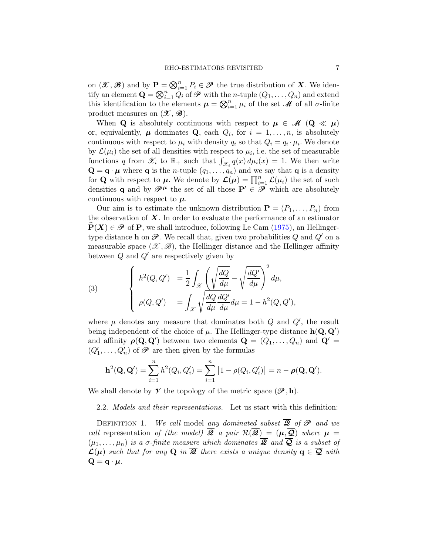on  $(\mathcal{X}, \mathcal{B})$  and by  $\mathbf{P} = \bigotimes_{i=1}^n P_i \in \mathcal{P}$  the true distribution of **X**. We identify an element  $\mathbf{Q} = \bigotimes_{i=1}^{n} Q_i$  of  $\mathscr{P}$  with the *n*-tuple  $(Q_1, \ldots, Q_n)$  and extend this identification to the elements  $\mu = \bigotimes_{i=1}^n \mu_i$  of the set  $\mathscr M$  of all  $\sigma$ -finite product measures on  $(\mathcal{X}, \mathcal{B})$ .

When **Q** is absolutely continuous with respect to  $\mu \in \mathcal{M}$  (**Q**  $\ll \mu$ ) or, equivalently,  $\mu$  dominates **Q**, each  $Q_i$ , for  $i = 1, ..., n$ , is absolutely continuous with respect to  $\mu_i$  with density  $q_i$  so that  $Q_i = q_i \cdot \mu_i$ . We denote by  $\mathcal{L}(\mu_i)$  the set of all densities with respect to  $\mu_i$ , i.e. the set of measurable functions q from  $\mathscr{X}_i$  to  $\mathbb{R}_+$  such that  $\int_{\mathscr{X}_i} q(x) d\mu_i(x) = 1$ . We then write  $\mathbf{Q} = \mathbf{q} \cdot \boldsymbol{\mu}$  where **q** is the *n*-tuple  $(q_1, \ldots, q_n)$  and we say that **q** is a density for **Q** with respect to  $\mu$ . We denote by  $\mathcal{L}(\mu) = \prod_{i=1}^{n} \mathcal{L}(\mu_i)$  the set of such densities q and by  $\mathscr{P}^{\mu}$  the set of all those  $\mathbf{P}' \in \mathscr{P}$  which are absolutely continuous with respect to  $\mu$ .

Our aim is to estimate the unknown distribution  $\mathbf{P} = (P_1, \ldots, P_n)$  from the observation of  $\boldsymbol{X}$ . In order to evaluate the performance of an estimator  $P(X) \in \mathscr{P}$  of P, we shall introduce, following Le Cam [\(1975\)](#page-40-3), an Hellingertype distance **h** on  $\mathscr{P}$ . We recall that, given two probabilities Q and  $Q'$  on a measurable space  $(\mathscr{X}, \mathscr{B})$ , the Hellinger distance and the Hellinger affinity between  $Q$  and  $Q'$  are respectively given by

(3) 
$$
\begin{cases} h^2(Q, Q') = \frac{1}{2} \int_{\mathcal{X}} \left( \sqrt{\frac{dQ}{d\mu}} - \sqrt{\frac{dQ'}{d\mu}} \right)^2 d\mu, \\ \rho(Q, Q') = \int_{\mathcal{X}} \sqrt{\frac{dQ}{d\mu}} \frac{dQ'}{d\mu} d\mu = 1 - h^2(Q, Q'), \end{cases}
$$

where  $\mu$  denotes any measure that dominates both  $Q$  and  $Q'$ , the result being independent of the choice of  $\mu$ . The Hellinger-type distance  $h(\mathbf{Q}, \mathbf{Q}')$ and affinity  $\rho(\mathbf{Q}, \mathbf{Q}')$  between two elements  $\mathbf{Q} = (Q_1, \ldots, Q_n)$  and  $\mathbf{Q}' =$  $(Q'_1, \ldots, Q'_n)$  of  $\mathscr P$  are then given by the formulas

$$
\mathbf{h}^{2}(\mathbf{Q}, \mathbf{Q}') = \sum_{i=1}^{n} h^{2}(Q_{i}, Q'_{i}) = \sum_{i=1}^{n} [1 - \rho(Q_{i}, Q'_{i})] = n - \rho(\mathbf{Q}, \mathbf{Q}').
$$

We shall denote by  $\mathcal V$  the topology of the metric space  $(\mathcal P, h)$ .

2.2. Models and their representations. Let us start with this definition:

DEFINITION 1. We call model any dominated subset  $\overline{Q}$  of  $\mathscr{P}$  and we call representation of (the model)  $\overline{Q}$  a pair  $\mathcal{R}(\overline{Q}) = (\mu, \overline{Q})$  where  $\mu =$  $(\mu_1, \ldots, \mu_n)$  is a  $\sigma$ -finite measure which dominates  $\overline{2}$  and  $\overline{Q}$  is a subset of  $\mathcal{L}(\mu)$  such that for any Q in  $\overline{\mathscr{Q}}$  there exists a unique density  $q \in \overline{\mathscr{Q}}$  with  $Q = q \cdot \mu$ .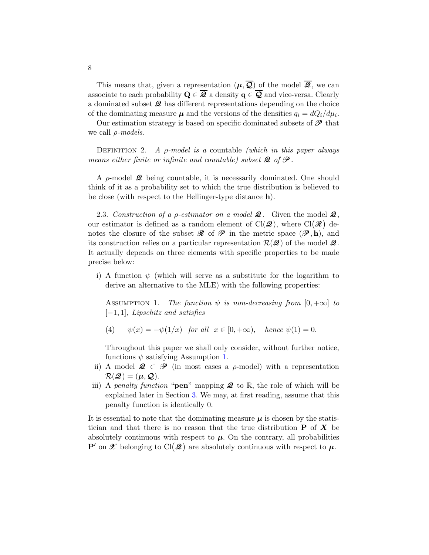This means that, given a representation  $(\mu, \overline{Q})$  of the model  $\overline{Q}$ , we can associate to each probability  $\mathbf{Q} \in \overline{\mathbf{\mathcal{Q}}}$  a density  $\mathbf{q} \in \overline{\mathbf{Q}}$  and vice-versa. Clearly a dominated subset  $\overline{Q}$  has different representations depending on the choice of the dominating measure  $\mu$  and the versions of the densities  $q_i = dQ_i/d\mu_i$ .

Our estimation strategy is based on specific dominated subsets of  $\mathscr{P}$  that we call  $\rho$ -models.

DEFINITION 2. A  $\rho$ -model is a countable (which in this paper always means either finite or infinite and countable) subset  $\mathcal{Q}$  of  $\mathcal{P}$ .

A  $\rho$ -model  $\mathcal{Q}$  being countable, it is necessarily dominated. One should think of it as a probability set to which the true distribution is believed to be close (with respect to the Hellinger-type distance h).

<span id="page-7-0"></span>2.3. Construction of a  $\rho$ -estimator on a model **2**. Given the model **2**, our estimator is defined as a random element of  $Cl(\mathcal{Q})$ , where  $Cl(\mathcal{R})$  denotes the closure of the subset  $\mathcal R$  of  $\mathcal P$  in the metric space  $(\mathcal P, h)$ , and its construction relies on a particular representation  $\mathcal{R}(\mathcal{Q})$  of the model  $\mathcal{Q}$ . It actually depends on three elements with specific properties to be made precise below:

i) A function  $\psi$  (which will serve as a substitute for the logarithm to derive an alternative to the MLE) with the following properties:

<span id="page-7-1"></span>ASSUMPTION 1. The function  $\psi$  is non-decreasing from  $[0, +\infty]$  to  $[-1, 1]$ , Lipschitz and satisfies

(4)  $\psi(x) = -\psi(1/x)$  for all  $x \in [0, +\infty)$ , hence  $\psi(1) = 0$ .

Throughout this paper we shall only consider, without further notice, functions  $\psi$  satisfying Assumption [1.](#page-7-1)

- ii) A model  $\mathcal{Q} \subset \mathcal{P}$  (in most cases a  $\rho$ -model) with a representation  $\mathcal{R}(\mathcal{Q}) = (\mu, \mathcal{Q}).$
- iii) A penalty function "**pen**" mapping  $\mathcal{Q}$  to  $\mathbb{R}$ , the role of which will be explained later in Section [3.](#page-11-0) We may, at first reading, assume that this penalty function is identically 0.

It is essential to note that the dominating measure  $\mu$  is chosen by the statistician and that there is no reason that the true distribution  $P$  of  $X$  be absolutely continuous with respect to  $\mu$ . On the contrary, all probabilities  $\mathbf{P}'$  on  $\mathscr X$  belonging to  $\text{Cl}(\mathscr Q)$  are absolutely continuous with respect to  $\mu$ .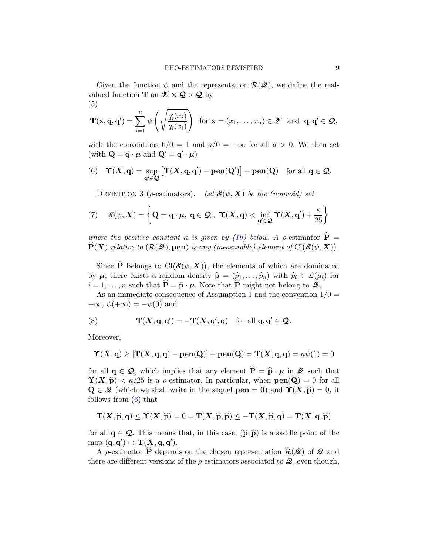Given the function  $\psi$  and the representation  $\mathcal{R}(\mathcal{Q})$ , we define the realvalued function **T** on  $\mathcal{X} \times \mathcal{Q} \times \mathcal{Q}$  by (5)

<span id="page-8-2"></span>
$$
\mathbf{T}(\mathbf{x}, \mathbf{q}, \mathbf{q}') = \sum_{i=1}^{n} \psi \left( \sqrt{\frac{q_i'(x_i)}{q_i(x_i)}} \right) \text{ for } \mathbf{x} = (x_1, \dots, x_n) \in \mathcal{X} \text{ and } \mathbf{q}, \mathbf{q}' \in \mathcal{Q},
$$

with the conventions  $0/0 = 1$  and  $a/0 = +\infty$  for all  $a > 0$ . We then set (with  $\mathbf{Q} = \mathbf{q} \cdot \boldsymbol{\mu}$  and  $\mathbf{Q}' = \mathbf{q}' \cdot \boldsymbol{\mu}$ )

<span id="page-8-0"></span>(6) 
$$
\Upsilon(X, q) = \sup_{q' \in \mathcal{Q}} [\Upsilon(X, q, q') - \text{pen}(Q')] + \text{pen}(Q)
$$
 for all  $q \in \mathcal{Q}$ .

DEFINITION 3 ( $\rho$ -estimators). Let  $\mathcal{E}(\psi, X)$  be the (nonvoid) set

(7) 
$$
\mathscr{E}(\psi, X) = \left\{ \mathbf{Q} = \mathbf{q} \cdot \mu, \ \mathbf{q} \in \mathcal{Q}, \ \mathbf{\Upsilon}(X, \mathbf{q}) < \inf_{\mathbf{q}' \in \mathcal{Q}} \mathbf{\Upsilon}(X, \mathbf{q}') + \frac{\kappa}{25} \right\}
$$

where the positive constant  $\kappa$  is given by [\(19\)](#page-13-0) below. A  $\rho$ -estimator  $\widehat{\mathbf{P}} =$  $\widehat{\mathbf{P}}(\bm{X})$  relative to  $(\mathcal{R}(\mathcal{Q}), \textbf{pen})$  is any (measurable) element of  $\text{Cl}(\mathcal{E}(\psi, \bm{X})).$ 

Since  $\widehat{P}$  belongs to  $Cl(\mathscr{E}(\psi,\bm{X}))$ , the elements of which are dominated by  $\mu$ , there exists a random density  $\hat{\mathbf{p}} = (\hat{p}_1, \dots, \hat{p}_n)$  with  $\hat{p}_i \in \mathcal{L}(\mu_i)$  for  $i = 1, \ldots, n$  such that  $\hat{\mathbf{P}} = \hat{\mathbf{p}} \cdot \boldsymbol{\mu}$ . Note that  $\hat{\mathbf{P}}$  might not belong to  $\mathcal{Q}$ .

As an immediate consequence of Assumption [1](#page-7-1) and the convention  $1/0 =$  $+\infty$ ,  $\psi(+\infty) = -\psi(0)$  and

<span id="page-8-1"></span>(8) 
$$
\mathbf{T}(\mathbf{X}, \mathbf{q}, \mathbf{q}') = -\mathbf{T}(\mathbf{X}, \mathbf{q}', \mathbf{q}) \text{ for all } \mathbf{q}, \mathbf{q}' \in \mathcal{Q}.
$$

Moreover,

$$
\Upsilon(X, \mathbf{q}) \geq [\mathbf{T}(X, \mathbf{q}, \mathbf{q}) - \mathbf{pen}(\mathbf{Q})] + \mathbf{pen}(\mathbf{Q}) = \mathbf{T}(X, \mathbf{q}, \mathbf{q}) = n\psi(1) = 0
$$

for all  $q \in \mathcal{Q}$ , which implies that any element  $\hat{P} = \hat{p} \cdot \mu$  in  $\mathcal{Q}$  such that  $\Upsilon(X, \hat{\mathbf{p}}) < \kappa/25$  is a *ρ*-estimator. In particular, when  $pen(\mathbf{Q}) = 0$  for all  $\mathbf{Q} \in \mathcal{Q}$  (which we shall write in the sequel  $pen = 0$ ) and  $\Upsilon(X, \hat{p}) = 0$ , it follows from  $(6)$  that

$$
\mathbf{T}(\mathbf{X}, \widehat{\mathbf{p}}, \mathbf{q}) \leq \mathbf{\Upsilon}(\mathbf{X}, \widehat{\mathbf{p}}) = 0 = \mathbf{T}(\mathbf{X}, \widehat{\mathbf{p}}, \widehat{\mathbf{p}}) \leq -\mathbf{T}(\mathbf{X}, \widehat{\mathbf{p}}, \mathbf{q}) = \mathbf{T}(\mathbf{X}, \mathbf{q}, \widehat{\mathbf{p}})
$$

for all  $q \in \mathcal{Q}$ . This means that, in this case,  $(\widehat{p}, \widehat{p})$  is a saddle point of the map  $(\mathbf{q}, \mathbf{q}') \mapsto \mathbf{T}(\mathbf{X}, \mathbf{q}, \mathbf{q}').$ 

A *ρ*-estimator  $\hat{\mathbf{P}}$  depends on the chosen representation  $\mathcal{R}(\mathcal{Q})$  of  $\mathcal{Q}$  and there are different versions of the  $\rho$ -estimators associated to  $\mathcal{Q}$ , even though,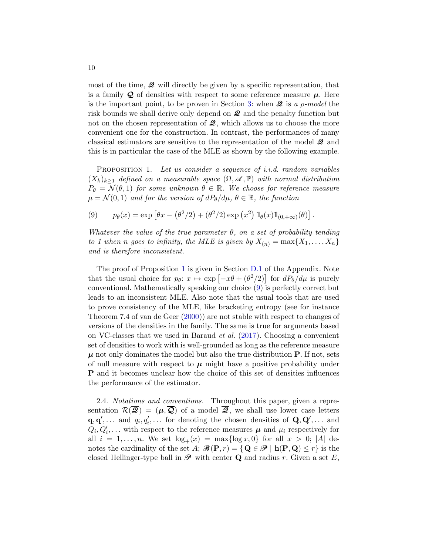most of the time,  $\mathcal{Q}$  will directly be given by a specific representation, that is a family  $\mathcal Q$  of densities with respect to some reference measure  $\mu$ . Here is the important point, to be proven in Section [3:](#page-11-0) when  $\mathcal{Q}$  is a *ρ*-model the risk bounds we shall derive only depend on  $\mathcal{Q}$  and the penalty function but not on the chosen representation of  $\mathcal{Q}$ , which allows us to choose the more convenient one for the construction. In contrast, the performances of many classical estimators are sensitive to the representation of the model  $\mathcal{Q}$  and this is in particular the case of the MLE as shown by the following example.

<span id="page-9-0"></span>PROPOSITION 1. Let us consider a sequence of *i.i.d.* random variables  $(X_k)_{k\geq 1}$  defined on a measurable space  $(\Omega, \mathscr{A}, \mathbb{P})$  with normal distribution  $P_{\theta} = \mathcal{N}(\theta, 1)$  for some unknown  $\theta \in \mathbb{R}$ . We choose for reference measure  $\mu = \mathcal{N}(0, 1)$  and for the version of  $dP_\theta/d\mu$ ,  $\theta \in \mathbb{R}$ , the function

<span id="page-9-1"></span>(9) 
$$
p_{\theta}(x) = \exp \left[\theta x - \left(\theta^2/2\right) + \left(\theta^2/2\right) \exp \left(x^2\right) \mathbb{1}_{\theta}(x) \mathbb{1}_{(0, +\infty)}(\theta)\right].
$$

Whatever the value of the true parameter  $\theta$ , on a set of probability tending to 1 when n goes to infinity, the MLE is given by  $X_{(n)} = \max\{X_1, \ldots, X_n\}$ and is therefore inconsistent.

The proof of Proposition [1](#page-9-0) is given in Section [D.1](#page-56-0) of the Appendix. Note that the usual choice for  $p_{\theta}$ :  $x \mapsto \exp[-x\theta + (\theta^2/2)]$  for  $dP_{\theta}/d\mu$  is purely conventional. Mathematically speaking our choice [\(9\)](#page-9-1) is perfectly correct but leads to an inconsistent MLE. Also note that the usual tools that are used to prove consistency of the MLE, like bracketing entropy (see for instance Theorem 7.4 of van de Geer [\(2000](#page-40-5))) are not stable with respect to changes of versions of the densities in the family. The same is true for arguments based on VC-classes that we used in Baraud et al. [\(2017](#page-39-0)). Choosing a convenient set of densities to work with is well-grounded as long as the reference measure  $\mu$  not only dominates the model but also the true distribution **P**. If not, sets of null measure with respect to  $\mu$  might have a positive probability under P and it becomes unclear how the choice of this set of densities influences the performance of the estimator.

2.4. Notations and conventions. Throughout this paper, given a representation  $\mathcal{R}(\overline{\mathcal{Q}}) = (\mu, \overline{\mathcal{Q}})$  of a model  $\overline{\mathcal{Q}}$ , we shall use lower case letters  $\mathbf{q}, \mathbf{q}', \ldots$  and  $q_i, q'_i, \ldots$  for denoting the chosen densities of  $\mathbf{Q}, \mathbf{Q}', \ldots$  and  $Q_i, Q'_i, \ldots$  with respect to the reference measures  $\mu$  and  $\mu_i$  respectively for all  $i = 1, ..., n$ . We set  $log_+(x) = max\{log x, 0\}$  for all  $x > 0$ ; |A| denotes the cardinality of the set A;  $\mathcal{B}(\mathbf{P}, r) = \{ \mathbf{Q} \in \mathcal{P} \mid \mathbf{h}(\mathbf{P}, \mathbf{Q}) \leq r \}$  is the closed Hellinger-type ball in  $\mathscr P$  with center **Q** and radius r. Given a set E,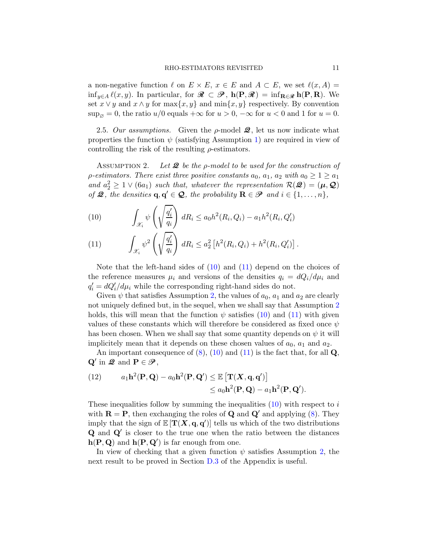a non-negative function  $\ell$  on  $E \times E$ ,  $x \in E$  and  $A \subset E$ , we set  $\ell(x, A) =$ inf<sub>y∈A</sub>  $\ell(x, y)$ . In particular, for  $\mathcal{R} \subset \mathcal{P}$ ,  $h(P, \mathcal{R}) = \inf_{\mathbf{R} \in \mathcal{R}} h(P, \mathbf{R})$ . We set  $x \vee y$  and  $x \wedge y$  for  $\max\{x, y\}$  and  $\min\{x, y\}$  respectively. By convention  $\sup_{\emptyset} = 0$ , the ratio  $u/0$  equals  $+\infty$  for  $u > 0$ ,  $-\infty$  for  $u < 0$  and 1 for  $u = 0$ .

2.5. Our assumptions. Given the  $\rho$ -model  $\mathcal{Q}$ , let us now indicate what properties the function  $\psi$  (satisfying Assumption [1\)](#page-7-1) are required in view of controlling the risk of the resulting  $\rho$ -estimators.

<span id="page-10-2"></span>ASSUMPTION 2. Let  $\mathcal Q$  be the p-model to be used for the construction of  $\rho$ -estimators. There exist three positive constants  $a_0, a_1, a_2$  with  $a_0 \geq 1 \geq a_1$ and  $a_2^2 \geq 1 \vee (6a_1)$  such that, whatever the representation  $\mathcal{R}(\mathcal{Q}) = (\mu, \mathcal{Q})$ of  $\mathcal{Q}$ , the densities  $\mathbf{q}, \mathbf{q}' \in \mathcal{Q}$ , the probability  $\mathbf{R} \in \mathcal{P}$  and  $i \in \{1, \ldots, n\}$ ,

<span id="page-10-0"></span>(10) 
$$
\int_{\mathcal{X}_i} \psi \left( \sqrt{\frac{q_i'}{q_i}} \right) dR_i \leq a_0 h^2(R_i, Q_i) - a_1 h^2(R_i, Q_i')
$$

<span id="page-10-1"></span>(11) 
$$
\int_{\mathcal{X}_i} \psi^2 \left( \sqrt{\frac{q'_i}{q_i}} \right) dR_i \le a_2^2 \left[ h^2(R_i, Q_i) + h^2(R_i, Q'_i) \right].
$$

Note that the left-hand sides of  $(10)$  and  $(11)$  depend on the choices of the reference measures  $\mu_i$  and versions of the densities  $q_i = dQ_i/d\mu_i$  and  $q'_i = dQ'_i/d\mu_i$  while the corresponding right-hand sides do not.

Given  $\psi$  that satisfies Assumption [2,](#page-10-2) the values of  $a_0$ ,  $a_1$  and  $a_2$  are clearly not uniquely defined but, in the sequel, when we shall say that Assumption [2](#page-10-2) holds, this will mean that the function  $\psi$  satisfies [\(10\)](#page-10-0) and [\(11\)](#page-10-1) with given values of these constants which will therefore be considered as fixed once  $\psi$ has been chosen. When we shall say that some quantity depends on  $\psi$  it will implicitely mean that it depends on these chosen values of  $a_0$ ,  $a_1$  and  $a_2$ .

An important consequence of  $(8)$ ,  $(10)$  and  $(11)$  is the fact that, for all Q,  $\mathbf{Q}'$  in  $\mathbf{\mathcal{Q}}$  and  $\mathbf{P} \in \mathcal{P}$ ,

(12) 
$$
a_1 \mathbf{h}^2(\mathbf{P}, \mathbf{Q}) - a_0 \mathbf{h}^2(\mathbf{P}, \mathbf{Q}') \leq \mathbb{E} \left[ \mathbf{T}(\mathbf{X}, \mathbf{q}, \mathbf{q}') \right] \leq a_0 \mathbf{h}^2(\mathbf{P}, \mathbf{Q}) - a_1 \mathbf{h}^2(\mathbf{P}, \mathbf{Q}').
$$

These inequalities follow by summing the inequalities  $(10)$  with respect to i with  $\mathbf{R} = \mathbf{P}$ , then exchanging the roles of **Q** and **Q'** and applying [\(8\)](#page-8-1). They imply that the sign of  $\mathbb{E}[\mathbf{T}(\mathbf{X}, \mathbf{q}, \mathbf{q}')]$  tells us which of the two distributions Q and Q′ is closer to the true one when the ratio between the distances  $h(P, Q)$  and  $h(P, Q')$  is far enough from one.

In view of checking that a given function  $\psi$  satisfies Assumption [2,](#page-10-2) the next result to be proved in Section [D.3](#page-58-0) of the Appendix is useful.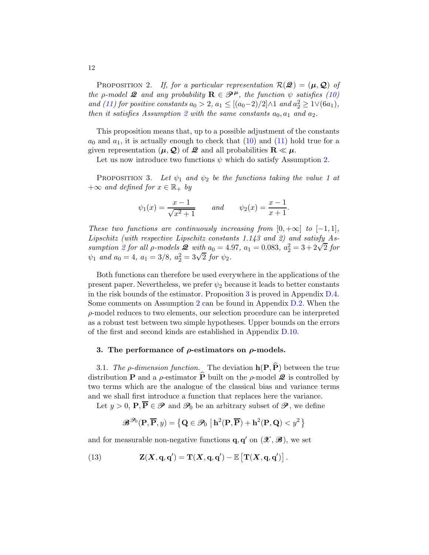PROPOSITION 2. If, for a particular representation  $\mathcal{R}(\mathcal{Q}) = (\mu, \mathcal{Q})$  of the *ρ*-model **2** and any probability  $\mathbf{R} \in \mathcal{P}^{\mu}$ , the function  $\psi$  satisfies [\(10\)](#page-10-0) and [\(11\)](#page-10-1) for positive constants  $a_0 > 2$ ,  $a_1 \le [(a_0-2)/2] \wedge 1$  and  $a_2^2 \ge 1 \vee (6a_1)$ , then it satisfies Assumption [2](#page-10-2) with the same constants  $a_0, a_1$  and  $a_2$ .

This proposition means that, up to a possible adjustment of the constants  $a_0$  and  $a_1$ , it is actually enough to check that [\(10\)](#page-10-0) and [\(11\)](#page-10-1) hold true for a given representation  $(\mu, \mathcal{Q})$  of  $\mathcal{Q}$  and all probabilities  $\mathbf{R} \ll \mu$ .

Let us now introduce two functions  $\psi$  which do satisfy Assumption [2.](#page-10-2)

<span id="page-11-1"></span>PROPOSITION 3. Let  $\psi_1$  and  $\psi_2$  be the functions taking the value 1 at  $+\infty$  and defined for  $x \in \mathbb{R}_+$  by

$$
\psi_1(x) = \frac{x-1}{\sqrt{x^2+1}}
$$
 and  $\psi_2(x) = \frac{x-1}{x+1}$ .

These two functions are continuously increasing from  $[0, +\infty]$  to  $[-1, 1]$ , Lipschitz (with respective Lipschitz constants 1.143 and 2) and satisfy As-sumption [2](#page-10-2) for all  $\rho$ -models  $\mathcal{Q}$  with  $a_0 = 4.97$ ,  $a_1 = 0.083$ ,  $a_2^2 = 3 + 2\sqrt{2}$  for  $\psi_1$  and  $a_0 = 4$ ,  $a_1 = 3/8$ ,  $a_2^2 = 3\sqrt{2}$  for  $\psi_2$ .

Both functions can therefore be used everywhere in the applications of the present paper. Nevertheless, we prefer  $\psi_2$  because it leads to better constants in the risk bounds of the estimator. Proposition [3](#page-11-1) is proved in Appendix [D.4.](#page-60-0) Some comments on Assumption [2](#page-10-2) can be found in Appendix [D.2.](#page-56-1) When the ρ-model reduces to two elements, our selection procedure can be interpreted as a robust test between two simple hypotheses. Upper bounds on the errors of the first and second kinds are established in Appendix [D.10.](#page-71-0)

## <span id="page-11-0"></span>3. The performance of  $\rho$ -estimators on  $\rho$ -models.

3.1. The *ρ*-dimension function. The deviation  $h(P, \hat{P})$  between the true distribution **P** and a  $\rho$ -estimator  $\widehat{P}$  built on the  $\rho$ -model **2** is controlled by two terms which are the analogue of the classical bias and variance terms and we shall first introduce a function that replaces here the variance.

Let  $y > 0$ ,  $\mathbf{P}, \overline{\mathbf{P}} \in \mathcal{P}$  and  $\mathcal{P}_0$  be an arbitrary subset of  $\mathcal{P}$ , we define

$$
\mathcal{B}^{\mathcal{P}_0}(\mathbf{P}, \overline{\mathbf{P}}, y) = \left\{ \mathbf{Q} \in \mathcal{P}_0 \; \left| \; \mathbf{h}^2(\mathbf{P}, \overline{\mathbf{P}}) + \mathbf{h}^2(\mathbf{P}, \mathbf{Q}) < y^2 \right. \right\}
$$

and for measurable non-negative functions  $\mathbf{q}, \mathbf{q}'$  on  $(\mathcal{X}, \mathcal{B})$ , we set

(13) 
$$
\mathbf{Z}(\mathbf{X}, \mathbf{q}, \mathbf{q}') = \mathbf{T}(\mathbf{X}, \mathbf{q}, \mathbf{q}') - \mathbb{E}\left[\mathbf{T}(\mathbf{X}, \mathbf{q}, \mathbf{q}')\right].
$$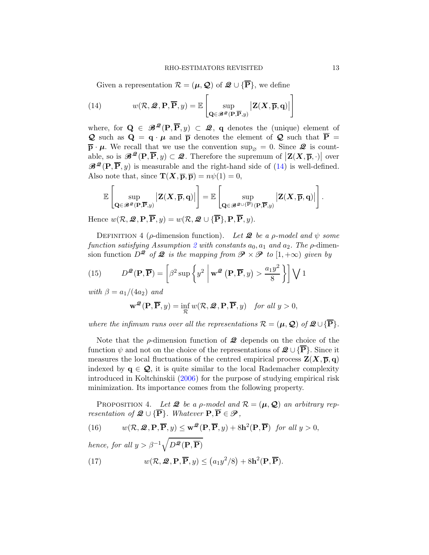<span id="page-12-0"></span>Given a representation  $\mathcal{R} = (\mu, \mathcal{Q})$  of  $\mathcal{Q} \cup {\overline{\mathbf{P}}},$  we define

(14) 
$$
w(\mathcal{R}, \mathcal{Q}, \mathbf{P}, \overline{\mathbf{P}}, y) = \mathbb{E}\left[\sup_{\mathbf{Q} \in \mathscr{B}^{\mathcal{Q}}(\mathbf{P}, \overline{\mathbf{P}}, y)} |\mathbf{Z}(\mathbf{X}, \overline{\mathbf{p}}, \mathbf{q})|\right]
$$

where, for  $\mathbf{Q} \in \mathscr{B}^{\mathscr{Q}}(\mathbf{P}, \overline{\mathbf{P}}, y) \subset \mathscr{Q}$ , q denotes the (unique) element of **Q** such as  $\mathbf{Q} = \mathbf{q} \cdot \mathbf{\mu}$  and  $\mathbf{\bar{p}}$  denotes the element of **Q** such that  $\mathbf{\bar{P}} =$  $\bar{\mathbf{p}} \cdot \mu$ . We recall that we use the convention  $\sup_{\emptyset} = 0$ . Since  $\mathcal{Q}$  is countable, so is  $\mathscr{B}^{\mathscr{Q}}(\mathbf{P},\overline{\mathbf{P}},y) \subset \mathscr{Q}$ . Therefore the supremum of  $|\mathbf{Z}(X,\overline{\mathbf{p}},\cdot)|$  over  $\mathcal{B}^{\mathcal{Q}}(\mathbf{P}, \overline{\mathbf{P}}, y)$  is measurable and the right-hand side of [\(14\)](#page-12-0) is well-defined. Also note that, since  $\mathbf{T}(\mathbf{X}, \overline{\mathbf{p}}, \overline{\mathbf{p}}) = n\psi(1) = 0$ ,

$$
\mathbb{E}\left[\sup_{\mathbf{Q}\in\mathscr{B}^{\mathscr{Q}}(\mathbf{P},\overline{\mathbf{P}},y)}\big|\mathbf{Z}(\mathbf{X},\overline{\mathbf{p}},\mathbf{q})\big|\right]=\mathbb{E}\left[\sup_{\mathbf{Q}\in\mathscr{B}^{\mathscr{Q}\cup\{\overline{\mathbf{P}}\}}(\mathbf{P},\overline{\mathbf{P}},y)}\big|\mathbf{Z}(\mathbf{X},\overline{\mathbf{p}},\mathbf{q})\big|\right].
$$

Hence  $w(\mathcal{R}, \mathcal{Q}, \mathbf{P}, \overline{\mathbf{P}}, y) = w(\mathcal{R}, \mathcal{Q}, \cup \{\overline{\mathbf{P}}\}, \mathbf{P}, \overline{\mathbf{P}}, y).$ 

DEFINITION 4 ( $\rho$ -dimension function). Let **2** be a  $\rho$ -model and  $\psi$  some function satisfying Assumption [2](#page-10-2) with constants  $a_0$ ,  $a_1$  and  $a_2$ . The  $\rho$ -dimension function  $D^2$  of 2 is the mapping from  $\mathcal{P} \times \mathcal{P}$  to  $[1, +\infty)$  given by

(15) 
$$
D^{\mathcal{Q}}(\mathbf{P}, \overline{\mathbf{P}}) = \left[\beta^2 \sup \left\{ y^2 \middle| \mathbf{w}^{\mathcal{Q}}(\mathbf{P}, \overline{\mathbf{P}}, y) > \frac{a_1 y^2}{8} \right\} \right] \bigvee 1
$$

with  $\beta = a_1/(4a_2)$  and

$$
\mathbf{w}^{\mathcal{Q}}(\mathbf{P}, \overline{\mathbf{P}}, y) = \inf_{\mathcal{R}} w(\mathcal{R}, \mathcal{Q}, \mathbf{P}, \overline{\mathbf{P}}, y) \quad \text{for all } y > 0,
$$

where the infimum runs over all the representations  $\mathcal{R} = (\mu, \mathcal{Q})$  of  $\mathcal{Q} \cup {\overline{\mathbf{P}}}$ .

Note that the  $\rho$ -dimension function of  $\mathcal Q$  depends on the choice of the function  $\psi$  and not on the choice of the representations of  $\mathcal{Q} \cup {\bf \overline{P}}$ . Since it measures the local fluctuations of the centred empirical process  $\mathbf{Z}(\mathbf{X}, \overline{\mathbf{p}}, \mathbf{q})$ indexed by  $q \in \mathcal{Q}$ , it is quite similar to the local Rademacher complexity introduced in Koltchinskii [\(2006](#page-40-4)) for the purpose of studying empirical risk minimization. Its importance comes from the following property.

PROPOSITION 4. Let **2** be a *ρ*-model and  $\mathcal{R} = (\mu, \mathcal{Q})$  an arbitrary representation of  $\mathcal{Q} \cup {\bf \overline{P}}$ . Whatever  $P, \overline{P} \in \mathcal{P}$ ,

(16) 
$$
w(\mathcal{R}, \mathcal{Q}, \mathbf{P}, \overline{\mathbf{P}}, y) \leq \mathbf{w}^{\mathcal{Q}}(\mathbf{P}, \overline{\mathbf{P}}, y) + 8\mathbf{h}^2(\mathbf{P}, \overline{\mathbf{P}}) \text{ for all } y > 0,
$$

hence, for all  $y > \beta^{-1} \sqrt{D^2(\mathbf{P}, \overline{\mathbf{P}})}$ 

(17) 
$$
w(\mathcal{R}, \mathcal{Q}, \mathbf{P}, \overline{\mathbf{P}}, y) \le (a_1 y^2 / 8) + 8 \mathbf{h}^2(\mathbf{P}, \overline{\mathbf{P}}).
$$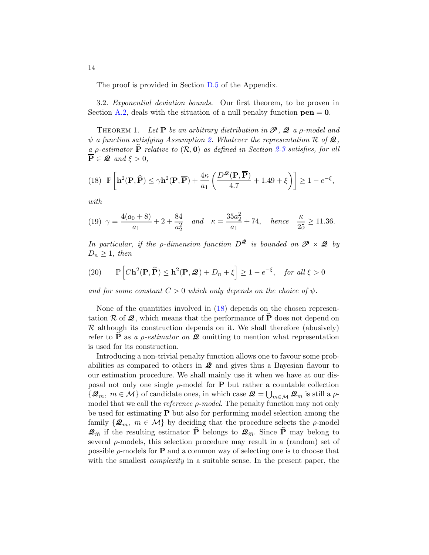The proof is provided in Section [D.5](#page-65-0) of the Appendix.

3.2. Exponential deviation bounds. Our first theorem, to be proven in Section [A.2,](#page-44-0) deals with the situation of a null penalty function  $pen = 0$ .

<span id="page-13-2"></span>THEOREM 1. Let **P** be an arbitrary distribution in  $\mathcal{P}$ , **2** a *p*-model and  $\psi$  a function satisfying Assumption [2.](#page-10-2) Whatever the representation R of 2, a p-estimator  $\hat{P}$  relative to  $(R, 0)$  as defined in Section [2.3](#page-7-0) satisfies, for all  $\overline{\mathbf{P}} \in \mathcal{Q}$  and  $\xi > 0$ ,

<span id="page-13-1"></span>
$$
(18)\quad \mathbb{P}\left[\mathbf{h}^{2}(\mathbf{P},\widehat{\mathbf{P}})\leq \gamma \mathbf{h}^{2}(\mathbf{P},\overline{\mathbf{P}})+\frac{4\kappa}{a_{1}}\left(\frac{D^{\mathscr{Q}}(\mathbf{P},\overline{\mathbf{P}})}{4.7}+1.49+\xi\right)\right]\geq 1-e^{-\xi},
$$

with

<span id="page-13-0"></span>(19) 
$$
\gamma = \frac{4(a_0 + 8)}{a_1} + 2 + \frac{84}{a_2^2}
$$
 and  $\kappa = \frac{35a_2^2}{a_1} + 74$ , hence  $\frac{\kappa}{25} \ge 11.36$ .

In particular, if the *ρ*-dimension function  $D^2$  is bounded on  $\mathcal{P} \times \mathcal{Q}$  by  $D_n \geq 1$ , then

<span id="page-13-3"></span>(20) 
$$
\mathbb{P}\left[ C\mathbf{h}^{2}(\mathbf{P},\widehat{\mathbf{P}}) \leq \mathbf{h}^{2}(\mathbf{P},\mathcal{Q}) + D_{n} + \xi \right] \geq 1 - e^{-\xi}, \text{ for all } \xi > 0
$$

and for some constant  $C > 0$  which only depends on the choice of  $\psi$ .

None of the quantities involved in [\(18\)](#page-13-1) depends on the chosen representation R of  $\mathcal{Q}$ , which means that the performance of  $\widehat{P}$  does not depend on  $\mathcal R$  although its construction depends on it. We shall therefore (abusively) refer to **P** as a *ρ*-estimator on **Q** omitting to mention what representation is used for its construction.

Introducing a non-trivial penalty function allows one to favour some probabilities as compared to others in  $\mathcal{Q}$  and gives thus a Bayesian flavour to our estimation procedure. We shall mainly use it when we have at our disposal not only one single  $\rho$ -model for **P** but rather a countable collection  $\{\mathcal{Q}_m, m \in \mathcal{M}\}\$  of candidate ones, in which case  $\mathcal{Q} = \bigcup_{m \in \mathcal{M}} \mathcal{Q}_m$  is still a  $\rho$ model that we call the *reference*  $\rho$ -model. The penalty function may not only be used for estimating  $P$  but also for performing model selection among the family  $\{\mathcal{Q}_m, m \in \mathcal{M}\}\$  by deciding that the procedure selects the  $\rho$ -model  $\mathcal{Q}_{\hat{m}}$  if the resulting estimator  $\widehat{P}$  belongs to  $\mathcal{Q}_{\hat{m}}$ . Since  $\widehat{P}$  may belong to several  $\rho$ -models, this selection procedure may result in a (random) set of possible  $\rho$ -models for **P** and a common way of selecting one is to choose that with the smallest *complexity* in a suitable sense. In the present paper, the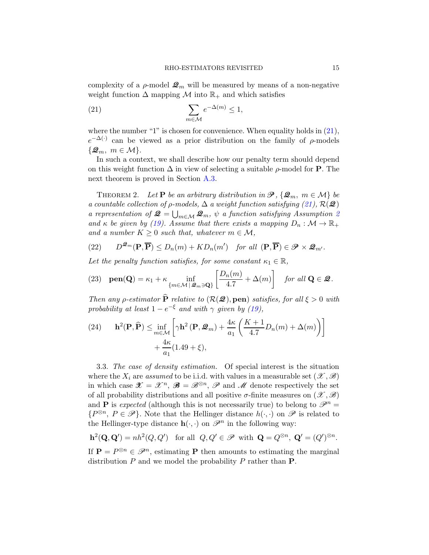complexity of a  $\rho$ -model  $\mathcal{Q}_m$  will be measured by means of a non-negative weight function  $\Delta$  mapping  $\mathcal M$  into  $\mathbb{R}_+$  and which satisfies

<span id="page-14-0"></span>(21) 
$$
\sum_{m \in \mathcal{M}} e^{-\Delta(m)} \le 1,
$$

where the number "1" is chosen for convenience. When equality holds in  $(21)$ ,  $e^{-\Delta(\cdot)}$  can be viewed as a prior distribution on the family of  $\rho$ -models  $\{\mathcal{Q}_m, m \in \mathcal{M}\}.$ 

In such a context, we shall describe how our penalty term should depend on this weight function  $\Delta$  in view of selecting a suitable  $\rho$ -model for **P**. The next theorem is proved in Section [A.3.](#page-44-1)

<span id="page-14-1"></span>THEOREM 2. Let **P** be an arbitrary distribution in  $\mathcal{P}, {\mathcal{Q}_m, m \in \mathcal{M}}$  be a countable collection of  $\rho$ -models,  $\Delta$  a weight function satisfying [\(21\)](#page-14-0),  $\mathcal{R}(\mathcal{Q})$ a representation of  $\mathcal{Q} = \bigcup_{m \in \mathcal{M}} \mathcal{Q}_m$ ,  $\psi$  a function satisfying Assumption [2](#page-10-2) and  $\kappa$  be given by [\(19\)](#page-13-0). Assume that there exists a mapping  $D_n : \mathcal{M} \to \mathbb{R}_+$ and a number  $K \geq 0$  such that, whatever  $m \in \mathcal{M}$ ,

<span id="page-14-4"></span>(22) 
$$
D^{\mathcal{Q}_m}(\mathbf{P},\overline{\mathbf{P}}) \leq D_n(m) + KD_n(m') \quad \text{for all } (\mathbf{P},\overline{\mathbf{P}}) \in \mathcal{P} \times \mathcal{Q}_{m'}.
$$

Let the penalty function satisfies, for some constant  $\kappa_1 \in \mathbb{R}$ ,

<span id="page-14-2"></span>(23) 
$$
\operatorname{pen}(\mathbf{Q}) = \kappa_1 + \kappa \inf_{\{m \in \mathcal{M} \mid \mathcal{Q}_m \ni \mathbf{Q}\}} \left[ \frac{D_n(m)}{4.7} + \Delta(m) \right]
$$
 for all  $\mathbf{Q} \in \mathcal{Q}$ .

Then any *ρ*-estimator  $\hat{P}$  relative to  $(R(\mathcal{Q}), \text{pen})$  satisfies, for all  $\xi > 0$  with probability at least  $1 - e^{-\xi}$  and with  $\gamma$  given by [\(19\)](#page-13-0),

<span id="page-14-5"></span>(24) 
$$
\mathbf{h}^{2}(\mathbf{P}, \widehat{\mathbf{P}}) \leq \inf_{m \in \mathcal{M}} \left[ \gamma \mathbf{h}^{2}(\mathbf{P}, \mathcal{Q}_{m}) + \frac{4\kappa}{a_{1}} \left( \frac{K+1}{4.7} D_{n}(m) + \Delta(m) \right) \right] + \frac{4\kappa}{a_{1}} (1.49 + \xi),
$$

<span id="page-14-3"></span>3.3. The case of density estimation. Of special interest is the situation where the  $X_i$  are assumed to be i.i.d. with values in a measurable set  $(\mathscr{X}, \mathscr{B})$ in which case  $\mathscr{X} = \mathscr{X}^n$ ,  $\mathscr{B} = \mathscr{B}^{\otimes n}$ ,  $\mathscr{P}$  and  $\mathscr{M}$  denote respectively the set of all probability distributions and all positive  $\sigma$ -finite measures on  $(\mathscr{X}, \mathscr{B})$ and **P** is expected (although this is not necessarily true) to belong to  $\mathscr{P}^n =$  $\{P^{\otimes n}, P \in \mathscr{P}\}\.$  Note that the Hellinger distance  $h(\cdot, \cdot)$  on  $\mathscr{P}$  is related to the Hellinger-type distance  $\mathbf{h}(\cdot, \cdot)$  on  $\mathscr{P}^n$  in the following way:

$$
\mathbf{h}^2(\mathbf{Q}, \mathbf{Q}') = nh^2(Q, Q') \quad \text{for all } \ Q, Q' \in \mathscr{P} \text{ with } \mathbf{Q} = Q^{\otimes n}, \ \mathbf{Q}' = (Q')^{\otimes n}.
$$

If  $\mathbf{P} = P^{\otimes n} \in \mathscr{P}^n$ , estimating **P** then amounts to estimating the marginal distribution  $P$  and we model the probability  $P$  rather than  $P$ .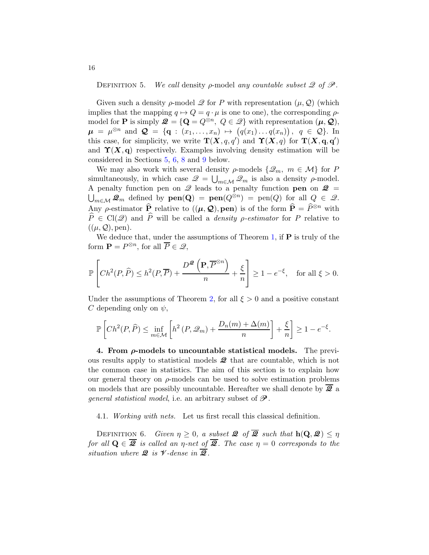DEFINITION 5. We call density  $\rho$ -model any countable subset  $\mathscr Q$  of  $\mathscr P$ .

Given such a density  $\rho$ -model  $\mathscr Q$  for P with representation  $(\mu, \mathscr Q)$  (which implies that the mapping  $q \mapsto Q = q \cdot \mu$  is one to one), the corresponding  $\rho$ model for **P** is simply  $\mathcal{Q} = \{Q = Q^{\otimes n}, Q \in \mathcal{Q}\}\$  with representation  $(\mu, \mathcal{Q}),$  $\mu = \mu^{\otimes n}$  and  $\mathcal{Q} = \{ \mathbf{q} : (x_1, \dots, x_n) \mapsto (q(x_1) \dots q(x_n)), q \in \mathcal{Q} \}.$  In this case, for simplicity, we write  $\mathbf{T}(\mathbf{X}, q, q')$  and  $\mathbf{\hat{Y}}(\mathbf{X}, q)$  for  $\mathbf{T}(\mathbf{X}, \mathbf{q}, \mathbf{q}')$ and  $\Upsilon(X, q)$  respectively. Examples involving density estimation will be considered in Sections [5,](#page-18-0) [6,](#page-20-0) [8](#page-30-0) and [9](#page-32-0) below.

We may also work with several density  $\rho$ -models  $\{\mathcal{Q}_m, m \in \mathcal{M}\}\$ for P simultaneously, in which case  $\mathscr{Q} = \bigcup_{m \in \mathcal{M}} \mathscr{Q}_m$  is also a density  $\rho$ -model. A penalty function pen on  $\mathscr Q$  leads to a penalty function **pen** on  $\mathscr Q$  =  $\bigcup_{m\in\mathcal{M}}\mathcal{Q}_m$  defined by  $\textbf{pen}(\mathbf{Q}) = \textbf{pen}(Q)^{\otimes n} = \text{pen}(Q)$  for all  $Q \in \mathcal{Q}$ . Any  $\rho$ -estimator  $\hat{\mathbf{P}}$  relative to  $((\mu, \mathcal{Q}), \text{pen})$  is of the form  $\hat{\mathbf{P}} = \hat{P}^{\otimes n}$  with  $\widehat{P} \in \text{Cl}(\mathscr{Q})$  and  $\widehat{P}$  will be called a *density p-estimator* for P relative to  $((\mu, \mathcal{Q}),$  pen).

We deduce that, under the assumptions of Theorem [1,](#page-13-2) if  $P$  is truly of the form  $\mathbf{P} = P^{\otimes n}$ , for all  $\overline{P} \in \mathcal{Q}$ ,

$$
\mathbb{P}\left[Ch^2(P,\widehat{P}) \le h^2(P,\overline{P}) + \frac{D^{\mathcal{Q}}\left(\mathbf{P},\overline{P}^{\otimes n}\right)}{n} + \frac{\xi}{n}\right] \ge 1 - e^{-\xi}, \quad \text{for all } \xi > 0.
$$

Under the assumptions of Theorem [2,](#page-14-1) for all  $\xi > 0$  and a positive constant C depending only on  $\psi$ ,

$$
\mathbb{P}\left[Ch^2(P,\widehat{P})\leq \inf_{m\in\mathcal{M}}\left[h^2\left(P,\mathscr{Q}_m\right)+\frac{D_n(m)+\Delta(m)}{n}\right]+\frac{\xi}{n}\right]\geq 1-e^{-\xi}.
$$

<span id="page-15-0"></span>4. From  $\rho$ -models to uncountable statistical models. The previous results apply to statistical models  $\mathcal{Q}$  that are countable, which is not the common case in statistics. The aim of this section is to explain how our general theory on  $\rho$ -models can be used to solve estimation problems on models that are possibly uncountable. Hereafter we shall denote by  $\overline{2}$  a *general statistical model,* i.e. an arbitrary subset of  $\mathcal{P}$ .

4.1. Working with nets. Let us first recall this classical definition.

<span id="page-15-1"></span>DEFINITION 6. Given  $\eta \geq 0$ , a subset  $\mathcal{Q}$  of  $\overline{\mathcal{Q}}$  such that  $h(\mathbf{Q}, \mathcal{Q}) \leq \eta$ for all  $\mathbf{Q} \in \overline{\mathbf{\mathcal{Q}}}$  is called an  $\eta$ -net of  $\overline{\mathbf{\mathcal{Q}}}$ . The case  $\eta = 0$  corresponds to the situation where  $\mathcal{Q}$  is  $\mathcal{V}$ -dense in  $\overline{\mathcal{Q}}$ .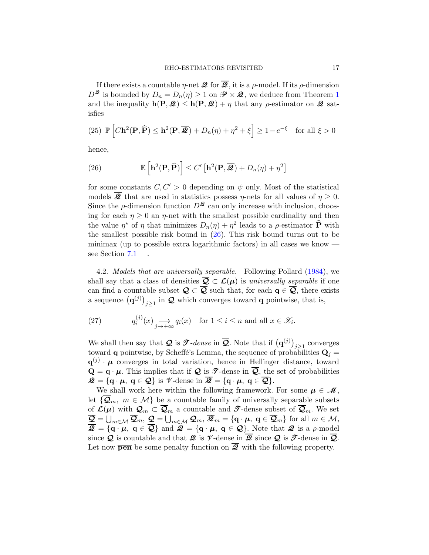If there exists a countable  $\eta$ -net  $\mathcal{Q}$  for  $\overline{\mathcal{Q}}$ , it is a  $\rho$ -model. If its  $\rho$ -dimension  $D^{\mathcal{Q}}$  is bounded by  $D_n = D_n(\eta) \geq 1$  $D_n = D_n(\eta) \geq 1$  on  $\mathcal{P} \times \mathcal{Q}$ , we deduce from Theorem 1 and the inequality  $h(P, Q) \leq h(P, \overline{Q}) + \eta$  that any  $\rho$ -estimator on  $Q$  satisfies

<span id="page-16-2"></span>(25) 
$$
\mathbb{P}\left[C\mathbf{h}^2(\mathbf{P},\widehat{\mathbf{P}})\leq \mathbf{h}^2(\mathbf{P},\overline{\mathcal{Q}})+D_n(\eta)+\eta^2+\xi\right]\geq 1-e^{-\xi}
$$
 for all  $\xi>0$ 

hence,

<span id="page-16-0"></span>(26) 
$$
\mathbb{E}\left[\mathbf{h}^{2}(\mathbf{P},\widehat{\mathbf{P}})\right] \leq C'\left[\mathbf{h}^{2}(\mathbf{P},\overline{\mathbf{Q}})+D_{n}(\eta)+\eta^{2}\right]
$$

for some constants  $C, C' > 0$  depending on  $\psi$  only. Most of the statistical models  $\overline{2}$  that are used in statistics possess  $\eta$ -nets for all values of  $\eta \geq 0$ . Since the  $\rho$ -dimension function  $D^2$  can only increase with inclusion, choosing for each  $\eta \geq 0$  an  $\eta$ -net with the smallest possible cardinality and then the value  $\eta^*$  of  $\eta$  that minimizes  $D_n(\eta) + \eta^2$  leads to a  $\rho$ -estimator  $\widehat{P}$  with the smallest possible risk bound in  $(26)$ . This risk bound turns out to be minimax (up to possible extra logarithmic factors) in all cases we know  $$ see Section [7.1](#page-22-1) —.

<span id="page-16-1"></span>4.2. Models that are universally separable. Following Pollard [\(1984](#page-40-6)), we shall say that a class of densities  $\overline{Q} \subset \mathcal{L}(\mu)$  is universally separable if one can find a countable subset  $\mathcal{Q} \subset \overline{\mathcal{Q}}$  such that, for each  $q \in \overline{\mathcal{Q}}$ , there exists a sequence  $(q^{(j)})_{j\geq 1}$  in  $\mathcal Q$  which converges toward **q** pointwise, that is,

(27) 
$$
q_i^{(j)}(x) \longrightarrow_{j \to +\infty} q_i(x)
$$
 for  $1 \le i \le n$  and all  $x \in \mathcal{X}_i$ .

We shall then say that  $\mathcal{Q}$  is  $\mathcal{T}$ -dense in  $\overline{\mathcal{Q}}$ . Note that if  $(\mathbf{q}^{(j)})_{j\geq 1}$  converges toward **q** pointwise, by Scheffé's Lemma, the sequence of probabilities  $\mathbf{Q}_j =$  $\mathbf{q}^{(j)} \cdot \boldsymbol{\mu}$  converges in total variation, hence in Hellinger distance, toward  $\mathbf{Q} = \mathbf{q} \cdot \boldsymbol{\mu}$ . This implies that if  $\mathbf{Q}$  is  $\mathbf{I}$ -dense in  $\overline{\mathbf{Q}}$ , the set of probabilities  $\mathcal{Q} = \{q \cdot \mu, q \in \mathcal{Q}\}\$ is  $\mathcal{V}\text{-dense in }\overline{\mathcal{Q}} = \{q \cdot \mu, q \in \overline{\mathcal{Q}}\}.$ 

We shall work here within the following framework. For some  $\mu \in \mathcal{M}$ , let  $\{\overline{\mathcal{Q}}_m, m \in \mathcal{M}\}\$ be a countable family of universally separable subsets of  $\mathcal{L}(\mu)$  with  $\mathcal{Q}_m \subset \overline{\mathcal{Q}}_m$  a countable and  $\mathcal{T}$ -dense subset of  $\overline{\mathcal{Q}}_m$ . We set  $\overline{\mathcal{Q}} = \bigcup_{m \in \mathcal{M}} \overline{\mathcal{Q}}_m, \, \underline{\mathcal{Q}} = \bigcup_{m \in \mathcal{M}} \mathcal{Q}_m, \, \overline{\mathcal{Q}}_m = \{ \mathbf{q} \cdot \boldsymbol{\mu}, \, \mathbf{q} \in \overline{\mathcal{Q}}_m \} \text{ for all } m \in \mathcal{M},$  $\overline{\mathscr{Q}} = \{ \overline{\mathbf{q}} \cdot \mu, \ \mathbf{q} \in \overline{\mathcal{Q}} \}$  and  $\mathscr{Q} = \{ \mathbf{q} \cdot \mu, \ \mathbf{q} \in \mathcal{Q} \}$ . Note that  $\mathscr{Q}$  is a  $\rho$ -model since Q is countable and that Q is  $\mathcal V$ -dense in  $\overline{\mathcal Q}$  is  $\mathcal T$ -dense in  $\overline{\mathcal Q}$ . Let now  $\overline{\mathbf{pen}}$  be some penalty function on  $\overline{\mathcal{Q}}$  with the following property.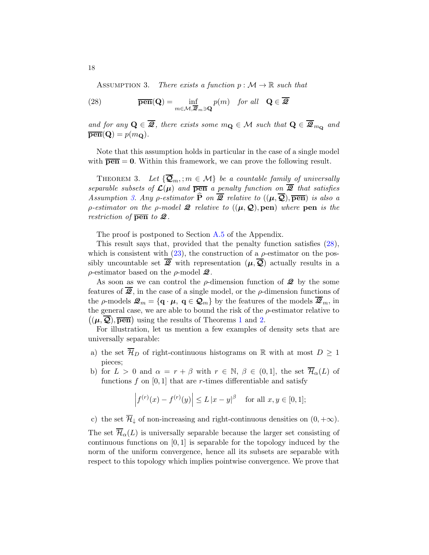<span id="page-17-1"></span><span id="page-17-0"></span>ASSUMPTION 3. There exists a function  $p : \mathcal{M} \to \mathbb{R}$  such that

(28) 
$$
\overline{\mathbf{pen}}(\mathbf{Q}) = \inf_{m \in \mathcal{M}, \overline{\mathbf{Z}}_m \ni \mathbf{Q}} p(m) \quad \text{for all} \quad \mathbf{Q} \in \overline{\mathbf{Z}}
$$

and for any  $\mathbf{Q} \in \overline{\mathbf{\mathcal{Q}}}$ , there exists some  $m_{\mathbf{Q}} \in \mathcal{M}$  such that  $\mathbf{Q} \in \overline{\mathbf{\mathcal{Q}}}_{m_{\mathbf{Q}}}$  and  $\overline{\mathbf{pen}}(\mathbf{Q}) = p(m_{\mathbf{Q}}).$ 

Note that this assumption holds in particular in the case of a single model with  $\overline{pen} = 0$ . Within this framework, we can prove the following result.

<span id="page-17-2"></span>THEOREM 3. Let  $\{\overline{\mathbf{Q}}_m, m \in \mathcal{M}\}\$ be a countable family of universally separable subsets of  $\mathcal{L}(\mu)$  and  $\overline{\mathbf{pen}}$  a penalty function on  $\overline{\mathcal{Q}}$  that satisfies Assumption [3.](#page-17-0) Any  $\rho$ -estimator  $\widehat{P}$  on  $\overline{\mathscr{Q}}$  relative to  $((\mu, \overline{\mathcal{Q}}), \overline{\mathbf{pen}})$  is also a *ρ*-estimator on the *ρ*-model **2** relative to  $((\mu, \mathcal{Q}), \text{pen})$  where **pen** is the restriction of  $\overline{\mathbf{pen}}$  to  $\mathcal{Q}$ .

The proof is postponed to Section [A.5](#page-48-0) of the Appendix.

This result says that, provided that the penalty function satisfies [\(28\)](#page-17-1), which is consistent with  $(23)$ , the construction of a  $\rho$ -estimator on the possibly uncountable set  $\overline{Q}$  with representation  $(\mu, \overline{Q})$  actually results in a  $\rho$ -estimator based on the  $\rho$ -model  $\mathcal{Q}$ .

As soon as we can control the  $\rho$ -dimension function of  $\mathcal{Q}$  by the some features of  $\overline{Q}$ , in the case of a single model, or the  $\rho$ -dimension functions of the *ρ*-models  $\mathcal{Q}_m = {\bf q} \cdot \mu$ ,  ${\bf q} \in \mathcal{Q}_m$  by the features of the models  $\overline{\mathcal{Q}}_m$ , in the general case, we are able to bound the risk of the  $\rho$ -estimator relative to  $((\mu, \overline{Q}), \overline{\mathbf{pen}})$  using the results of Theorems [1](#page-13-2) and [2.](#page-14-1)

For illustration, let us mention a few examples of density sets that are universally separable:

- a) the set  $\overline{\mathcal{H}}_D$  of right-continuous histograms on R with at most  $D \geq 1$ pieces;
- b) for  $L > 0$  and  $\alpha = r + \beta$  with  $r \in \mathbb{N}, \beta \in (0, 1]$ , the set  $\overline{\mathcal{H}}_{\alpha}(L)$  of functions  $f$  on [0, 1] that are  $r$ -times differentiable and satisfy

$$
\left| f^{(r)}(x) - f^{(r)}(y) \right| \le L |x - y|^{\beta} \quad \text{for all } x, y \in [0, 1];
$$

c) the set  $\overline{\mathcal{H}}_{\downarrow}$  of non-increasing and right-continuous densities on  $(0, +\infty)$ .

The set  $\overline{\mathcal{H}}_{\alpha}(L)$  is universally separable because the larger set consisting of continuous functions on  $[0, 1]$  is separable for the topology induced by the norm of the uniform convergence, hence all its subsets are separable with respect to this topology which implies pointwise convergence. We prove that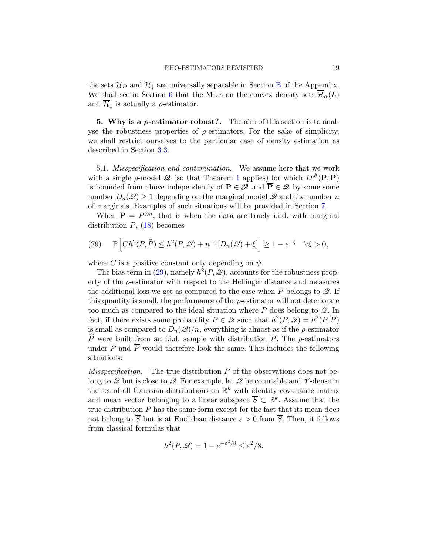the sets  $\overline{\mathcal{H}}_D$  and  $\overline{\mathcal{H}}_L$  are universally separable in Section [B](#page-51-0) of the Appendix. We shall see in Section [6](#page-20-0) that the MLE on the convex density sets  $\overline{\mathcal{H}}_{\alpha}(L)$ and  $\overline{\mathcal{H}}_{\downarrow}$  is actually a  $\rho$ -estimator.

<span id="page-18-0"></span>5. Why is a  $\rho$ -estimator robust?. The aim of this section is to analyse the robustness properties of  $\rho$ -estimators. For the sake of simplicity, we shall restrict ourselves to the particular case of density estimation as described in Section [3.3.](#page-14-3)

5.1. Misspecification and contamination. We assume here that we work with a single  $\rho$ -model  $\mathcal{Q}$  (so that Theorem [1](#page-13-2) applies) for which  $D^{\mathcal{Q}}(\mathbf{P}, \overline{\mathbf{P}})$ is bounded from above independently of  $P \in \mathscr{P}$  and  $\overline{P} \in \mathscr{Q}$  by some some number  $D_n(\mathscr{Q}) \geq 1$  depending on the marginal model  $\mathscr{Q}$  and the number n of marginals. Examples of such situations will be provided in Section [7.](#page-22-0)

When  $\mathbf{P} = P^{\otimes n}$ , that is when the data are truely i.i.d. with marginal distribution  $P$ ,  $(18)$  becomes

<span id="page-18-1"></span>(29) 
$$
\mathbb{P}\left[Ch^2(P,\widehat{P}) \leq h^2(P,\mathcal{Q}) + n^{-1}[D_n(\mathcal{Q}) + \xi]\right] \geq 1 - e^{-\xi} \quad \forall \xi > 0,
$$

where C is a positive constant only depending on  $\psi$ .

The bias term in [\(29\)](#page-18-1), namely  $h^2(P, \mathcal{Q})$ , accounts for the robustness property of the  $\rho$ -estimator with respect to the Hellinger distance and measures the additional loss we get as compared to the case when P belongs to  $\mathscr{Q}$ . If this quantity is small, the performance of the  $\rho$ -estimator will not deteriorate too much as compared to the ideal situation where P does belong to  $\mathscr{Q}$ . In fact, if there exists some probability  $\overline{P} \in \mathcal{Q}$  such that  $h^2(P, \mathcal{Q}) = h^2(P, \overline{P})$ is small as compared to  $D_n(\mathcal{Q})/n$ , everything is almost as if the  $\rho$ -estimator  $\widehat{P}$  were built from an i.i.d. sample with distribution  $\overline{P}$ . The *ρ*-estimators under P and  $\overline{P}$  would therefore look the same. This includes the following situations:

*Misspecification.* The true distribution  $P$  of the observations does not belong to  $\mathscr Q$  but is close to  $\mathscr Q$ . For example, let  $\mathscr Q$  be countable and  $\mathscr V$ -dense in the set of all Gaussian distributions on  $\mathbb{R}^k$  with identity covariance matrix and mean vector belonging to a linear subspace  $\overline{S} \subset \mathbb{R}^k$ . Assume that the true distribution  $P$  has the same form except for the fact that its mean does not belong to  $\overline{S}$  but is at Euclidean distance  $\varepsilon > 0$  from  $\overline{S}$ . Then, it follows from classical formulas that

$$
h^2(P, \mathcal{Q}) = 1 - e^{-\varepsilon^2/8} \le \varepsilon^2/8.
$$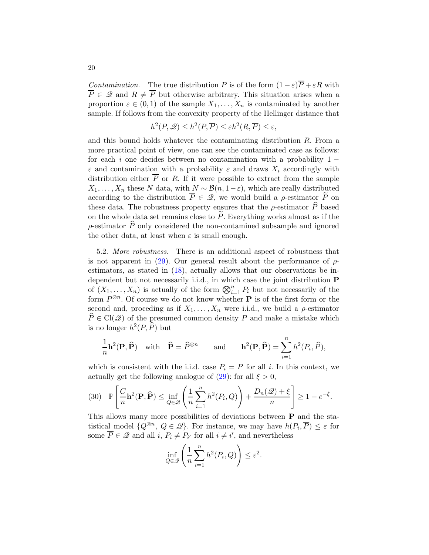*Contamination.* The true distribution P is of the form  $(1 - \varepsilon)\overline{P} + \varepsilon R$  with  $\overline{P} \in \mathscr{Q}$  and  $R \neq \overline{P}$  but otherwise arbitrary. This situation arises when a proportion  $\varepsilon \in (0,1)$  of the sample  $X_1, \ldots, X_n$  is contaminated by another sample. If follows from the convexity property of the Hellinger distance that

$$
h^2(P, \mathcal{Q}) \le h^2(P, \overline{P}) \le \varepsilon h^2(R, \overline{P}) \le \varepsilon,
$$

and this bound holds whatever the contaminating distribution R. From a more practical point of view, one can see the contaminated case as follows: for each i one decides between no contamination with a probability  $1 \varepsilon$  and contamination with a probability  $\varepsilon$  and draws  $X_i$  accordingly with distribution either  $\overline{P}$  or R. If it were possible to extract from the sample  $X_1, \ldots, X_n$  these N data, with  $N \sim \mathcal{B}(n, 1-\varepsilon)$ , which are really distributed according to the distribution  $\overline{P} \in \mathcal{Q}$ , we would build a *ρ*-estimator  $\widetilde{P}$  on these data. The robustness property ensures that the  $\rho$ -estimator  $\widehat{P}$  based on the whole data set remains close to  $\widetilde{P}$ . Everything works almost as if the  $\rho$ -estimator  $\hat{P}$  only considered the non-contamined subsample and ignored the other data, at least when  $\varepsilon$  is small enough.

5.2. More robustness. There is an additional aspect of robustness that is not apparent in [\(29\)](#page-18-1). Our general result about the performance of  $\rho$ estimators, as stated in [\(18\)](#page-13-1), actually allows that our observations be independent but not necessarily i.i.d., in which case the joint distribution P of  $(X_1, \ldots, X_n)$  is actually of the form  $\bigotimes_{i=1}^n P_i$  but not necessarily of the form  $P^{\otimes n}$ . Of course we do not know whether **P** is of the first form or the second and, proceding as if  $X_1, \ldots, X_n$  were i.i.d., we build a  $\rho$ -estimator  $P \in \text{Cl}(\mathcal{Q})$  of the presumed common density P and make a mistake which is no longer  $h^2(P, \widehat{P})$  but

$$
\frac{1}{n}\mathbf{h}^2(\mathbf{P}, \widehat{\mathbf{P}}) \quad \text{with} \quad \widehat{\mathbf{P}} = \widehat{P}^{\otimes n} \qquad \text{and} \qquad \mathbf{h}^2(\mathbf{P}, \widehat{\mathbf{P}}) = \sum_{i=1}^n h^2(P_i, \widehat{P}),
$$

which is consistent with the i.i.d. case  $P_i = P$  for all i. In this context, we actually get the following analogue of  $(29)$ : for all  $\xi > 0$ ,

<span id="page-19-0"></span>
$$
(30) \quad \mathbb{P}\left[\frac{C}{n}\mathbf{h}^{2}(\mathbf{P},\widehat{\mathbf{P}}) \le \inf_{Q \in \mathscr{Q}} \left(\frac{1}{n}\sum_{i=1}^{n}h^{2}(P_{i},Q)\right) + \frac{D_{n}(\mathscr{Q}) + \xi}{n}\right] \ge 1 - e^{-\xi}.
$$

This allows many more possibilities of deviations between P and the statistical model  $\{Q^{\otimes n}, Q \in \mathcal{Q}\}\$ . For instance, we may have  $h(P_i, \overline{P}) \leq \varepsilon$  for some  $\overline{P} \in \mathcal{Q}$  and all  $i, P_i \neq P_{i'}$  for all  $i \neq i'$ , and nevertheless

$$
\inf_{Q\in\mathscr{Q}}\left(\frac{1}{n}\sum_{i=1}^nh^2(P_i,Q)\right)\leq \varepsilon^2.
$$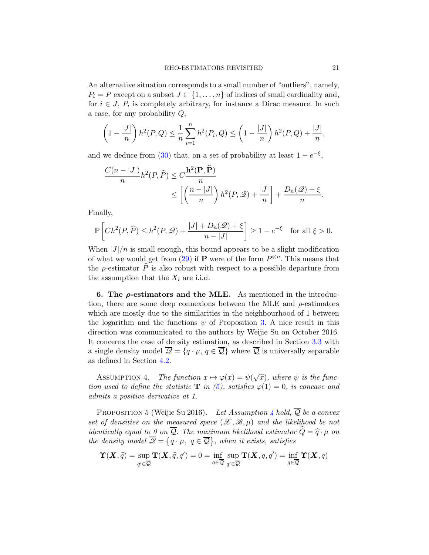An alternative situation corresponds to a small number of "outliers", namely,  $P_i = P$  except on a subset  $J \subset \{1, \ldots, n\}$  of indices of small cardinality and, for  $i \in J$ ,  $P_i$  is completely arbitrary, for instance a Dirac measure. In such a case, for any probability Q,

$$
\left(1 - \frac{|J|}{n}\right)h^2(P,Q) \le \frac{1}{n}\sum_{i=1}^n h^2(P_i,Q) \le \left(1 - \frac{|J|}{n}\right)h^2(P,Q) + \frac{|J|}{n},
$$

and we deduce from [\(30\)](#page-19-0) that, on a set of probability at least  $1 - e^{-\xi}$ ,

$$
\frac{C(n-|J|)}{n}h^{2}(P,\widehat{P}) \leq C \frac{\mathbf{h}^{2}(\mathbf{P},\widehat{\mathbf{P}})}{n} \leq \left[ \left( \frac{n-|J|}{n} \right) h^{2}(P,\mathcal{Q}) + \frac{|J|}{n} \right] + \frac{D_{n}(\mathcal{Q}) + \xi}{n}.
$$

Finally,

$$
\mathbb{P}\left[Ch^2(P,\widehat{P})\leq h^2(P,\mathcal{Q})+\frac{|J|+D_n(\mathcal{Q})+\xi}{n-|J|}\right]\geq 1-e^{-\xi}\quad\text{for all }\xi>0.
$$

When  $|J|/n$  is small enough, this bound appears to be a slight modification of what we would get from  $(29)$  if **P** were of the form  $P^{\otimes n}$ . This means that the  $\rho$ -estimator  $\hat{P}$  is also robust with respect to a possible departure from the assumption that the  $X_i$  are i.i.d.

<span id="page-20-0"></span>6. The  $\rho$ -estimators and the MLE. As mentioned in the introduction, there are some deep connexions between the MLE and  $\rho$ -estimators which are mostly due to the similarities in the neighbourhood of 1 between the logarithm and the functions  $\psi$  of Proposition [3.](#page-11-1) A nice result in this direction was communicated to the authors by Weijie Su on October 2016. It concerns the case of density estimation, as described in Section [3.3](#page-14-3) with a single density model  $\overline{\mathscr{Q}} = \{q \cdot \mu, q \in \overline{\mathcal{Q}}\}$  where  $\overline{\mathcal{Q}}$  is universally separable as defined in Section [4.2.](#page-16-1)

<span id="page-20-1"></span>ASSUMPTION 4. The function  $x \mapsto \varphi(x) = \psi(\sqrt{x})$ , where  $\psi$  is the function used to define the statistic **T** in [\(5\)](#page-8-2), satisfies  $\varphi(1) = 0$ , is concave and admits a positive derivative at 1.

PROPOSITION 5 (Weijie Su 2016). Let Assumption [4](#page-20-1) hold,  $\overline{Q}$  be a convex set of densities on the measured space  $(\mathscr{X}, \mathscr{B}, \mu)$  and the likelihood be not identically equal to 0 on  $\overline{Q}$ . The maximum likelihood estimator  $\hat{Q} = \hat{q} \cdot \mu$  on the density model  $\overline{\mathcal{Q}} = \{q \cdot \mu, q \in \overline{\mathcal{Q}}\}$ , when it exists, satisfies

$$
\Upsilon(X,\widehat{q}) = \sup_{q' \in \overline{Q}} \mathbf{T}(X,\widehat{q},q') = 0 = \inf_{q \in \overline{Q}} \sup_{q' \in \overline{Q}} \mathbf{T}(X,q,q') = \inf_{q \in \overline{Q}} \Upsilon(X,q)
$$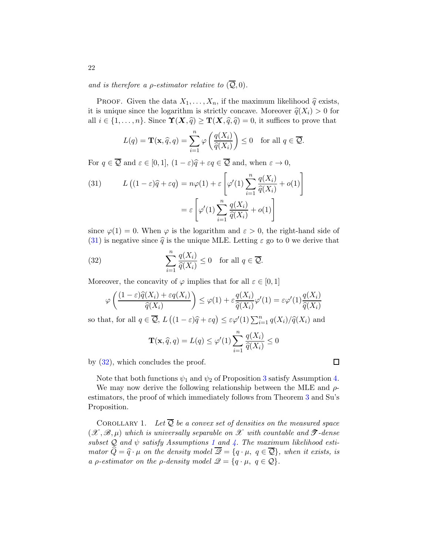and is therefore a *ρ*-estimator relative to  $(\overline{Q}, 0)$ .

PROOF. Given the data  $X_1, \ldots, X_n$ , if the maximum likelihood  $\hat{q}$  exists, it is unique since the logarithm is strictly concave. Moreover  $\hat{q}(X_i) > 0$  for all  $i \in \{1, \ldots, n\}$ . Since  $\Upsilon(X, \hat{q}) \geq \Upsilon(X, \hat{q}, \hat{q}) = 0$ , it suffices to prove that

$$
L(q) = \mathbf{T}(\mathbf{x}, \widehat{q}, q) = \sum_{i=1}^{n} \varphi\left(\frac{q(X_i)}{\widehat{q}(X_i)}\right) \le 0 \quad \text{for all } q \in \overline{Q}.
$$

For  $q \in \overline{Q}$  and  $\varepsilon \in [0, 1]$ ,  $(1 - \varepsilon)\hat{q} + \varepsilon q \in \overline{Q}$  and, when  $\varepsilon \to 0$ ,

<span id="page-21-0"></span>(31) 
$$
L((1 - \varepsilon)\widehat{q} + \varepsilon q) = n\varphi(1) + \varepsilon \left[\varphi'(1)\sum_{i=1}^{n} \frac{q(X_i)}{\widehat{q}(X_i)} + o(1)\right]
$$

$$
= \varepsilon \left[\varphi'(1)\sum_{i=1}^{n} \frac{q(X_i)}{\widehat{q}(X_i)} + o(1)\right]
$$

since  $\varphi(1) = 0$ . When  $\varphi$  is the logarithm and  $\varepsilon > 0$ , the right-hand side of [\(31\)](#page-21-0) is negative since  $\hat{q}$  is the unique MLE. Letting  $\varepsilon$  go to 0 we derive that

(32) 
$$
\sum_{i=1}^{n} \frac{q(X_i)}{\widehat{q}(X_i)} \le 0 \text{ for all } q \in \overline{Q}.
$$

Moreover, the concavity of  $\varphi$  implies that for all  $\varepsilon \in [0,1]$ 

<span id="page-21-1"></span>
$$
\varphi\left(\frac{(1-\varepsilon)\widehat{q}(X_i)+\varepsilon q(X_i)}{\widehat{q}(X_i)}\right) \leq \varphi(1)+\varepsilon\frac{q(X_i)}{\widehat{q}(X_i)}\varphi'(1)=\varepsilon\varphi'(1)\frac{q(X_i)}{\widehat{q}(X_i)}
$$

so that, for all  $q \in \overline{Q}$ ,  $L((1 - \varepsilon)\widehat{q} + \varepsilon q) \leq \varepsilon \varphi'(1) \sum_{i=1}^{n} q(X_i) / \widehat{q}(X_i)$  and

$$
\mathbf{T}(\mathbf{x},\widehat{q},q)=L(q)\leq \varphi'(1)\sum_{i=1}^n \frac{q(X_i)}{\widehat{q}(X_i)}\leq 0
$$

by [\(32\)](#page-21-1), which concludes the proof.

Note that both functions  $\psi_1$  and  $\psi_2$  of Proposition [3](#page-11-1) satisfy Assumption [4.](#page-20-1)

 $\Box$ 

We may now derive the following relationship between the MLE and  $\rho$ estimators, the proof of which immediately follows from Theorem [3](#page-17-2) and Su's Proposition.

COROLLARY 1. Let  $\overline{Q}$  be a convex set of densities on the measured space  $(\mathscr{X}, \mathscr{B}, \mu)$  which is universally separable on  $\mathscr{X}$  with countable and  $\mathscr{T}$ -dense subset  $Q$  and  $\psi$  satisfy Assumptions [1](#page-7-1) and [4.](#page-20-1) The maximum likelihood estimator  $\widehat{Q} = \widehat{q} \cdot \mu$  on the density model  $\overline{Q} = \{q \cdot \mu, q \in \overline{Q}\}\$ , when it exists, is a *ρ*-estimator on the *ρ*-density model  $\mathscr{Q} = \{q \cdot \mu, q \in \mathscr{Q}\}.$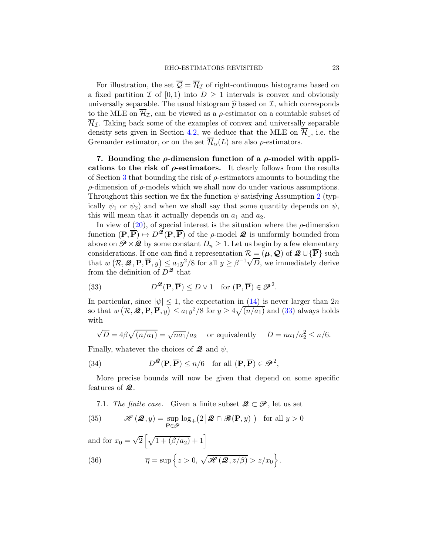For illustration, the set  $\overline{Q} = \overline{\mathcal{H}}_{\mathcal{I}}$  of right-continuous histograms based on a fixed partition  $\mathcal I$  of  $[0,1)$  into  $D \geq 1$  intervals is convex and obviously universally separable. The usual histogram  $\hat{p}$  based on  $\mathcal{I}$ , which corresponds to the MLE on  $\overline{\mathcal{H}}_{\mathcal{I}}$ , can be viewed as a  $\rho$ -estimator on a countable subset of  $\overline{\mathcal{H}}_{\mathcal{I}}$ . Taking back some of the examples of convex and universally separable density sets given in Section [4.2,](#page-16-1) we deduce that the MLE on  $\overline{\mathcal{H}}_{\downarrow}$ , i.e. the Grenander estimator, or on the set  $\overline{\mathcal{H}}_{\alpha}(L)$  are also  $\rho$ -estimators.

<span id="page-22-0"></span>7. Bounding the  $\rho$ -dimension function of a  $\rho$ -model with applications to the risk of  $\rho$ -estimators. It clearly follows from the results of Section [3](#page-11-0) that bounding the risk of  $\rho$ -estimators amounts to bounding the ρ-dimension of ρ-models which we shall now do under various assumptions. Throughout this section we fix the function  $\psi$  satisfying Assumption [2](#page-10-2) (typically  $\psi_1$  or  $\psi_2$ ) and when we shall say that some quantity depends on  $\psi$ , this will mean that it actually depends on  $a_1$  and  $a_2$ .

In view of  $(20)$ , of special interest is the situation where the  $\rho$ -dimension function  $(\mathbf{P}, \overline{\mathbf{P}}) \mapsto D^{\mathcal{Q}}(\mathbf{P}, \overline{\mathbf{P}})$  of the *ρ*-model  $\mathcal{Q}$  is uniformly bounded from above on  $\mathscr{P} \times \mathscr{Q}$  by some constant  $D_n \geq 1$ . Let us begin by a few elementary considerations. If one can find a representation  $\mathcal{R} = (\mu, \mathcal{Q})$  of  $\mathcal{Q} \cup {\overline{\mathbf{P}}}$  such that  $w\left(\mathcal{R}, \mathcal{Q}, \mathbf{P}, \overline{\mathbf{P}}, y\right) \leq a_1 y^2/8$  for all  $y \geq \beta^{-1}\sqrt{D}$ , we immediately derive from the definition of  $D^{\mathcal{Q}}$  that

<span id="page-22-2"></span>(33) 
$$
D^{\mathcal{Q}}(\mathbf{P},\overline{\mathbf{P}}) \leq D \vee 1 \text{ for } (\mathbf{P},\overline{\mathbf{P}}) \in \mathcal{P}^2.
$$

In particular, since  $|\psi| \leq 1$ , the expectation in [\(14\)](#page-12-0) is never larger than 2n so that  $w(R, \mathcal{Q}, \mathbf{P}, \overline{\mathbf{P}}, y) \le a_1 y^2/8$  for  $y \ge 4\sqrt{(n/a_1)}$  and [\(33\)](#page-22-2) always holds with

$$
\sqrt{D} = 4\beta \sqrt{(n/a_1)} = \sqrt{na_1}/a_2
$$
 or equivalently  $D = na_1/a_2^2 \le n/6$ .

Finally, whatever the choices of  $\mathcal{Q}$  and  $\psi$ ,

(34) 
$$
D^{\mathcal{Q}}(\mathbf{P}, \overline{\mathbf{P}}) \le n/6
$$
 for all  $(\mathbf{P}, \overline{\mathbf{P}}) \in \mathcal{P}^2$ ,

More precise bounds will now be given that depend on some specific features of  $\mathcal{Q}$ .

<span id="page-22-1"></span>7.1. The finite case. Given a finite subset  $\mathcal{Q} \subset \mathcal{P}$ , let us set

(35) 
$$
\mathscr{H}(\mathcal{Q},y) = \sup_{\mathbf{P} \in \mathcal{P}} \log_+(2|\mathcal{Q} \cap \mathscr{B}(\mathbf{P},y)|) \text{ for all } y > 0
$$

and for  $x_0 = \sqrt{2} \left[ \sqrt{1 + (\beta/a_2)} + 1 \right]$ 

<span id="page-22-3"></span>(36) 
$$
\overline{\eta} = \sup \left\{ z > 0, \sqrt{\mathcal{H}(\mathcal{Q}, z/\beta)} > z/x_0 \right\}.
$$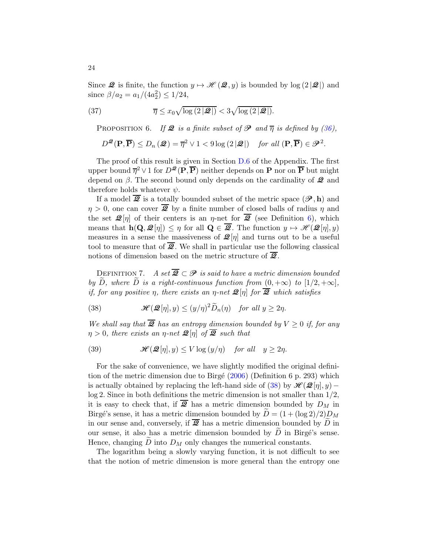Since  $\mathcal{Q}$  is finite, the function  $y \mapsto \mathcal{H}(\mathcal{Q}, y)$  is bounded by log  $(2|\mathcal{Q}|)$  and since  $\beta/a_2 = a_1/(4a_2^2) \le 1/24$ ,

(37) 
$$
\overline{\eta} \leq x_0 \sqrt{\log(2|\mathcal{Q}|)} < 3\sqrt{\log(2|\mathcal{Q}|)}.
$$

<span id="page-23-1"></span>PROPOSITION 6. If **2** is a finite subset of  $\mathcal{P}$  and  $\overline{\eta}$  is defined by [\(36\)](#page-22-3),

$$
D^{\mathcal{Q}}(\mathbf{P},\overline{\mathbf{P}}) \le D_n(\mathcal{Q}) = \overline{\eta}^2 \vee 1 < 9\log\left(2|\mathcal{Q}|\right) \quad \text{for all } (\mathbf{P},\overline{\mathbf{P}}) \in \mathcal{P}^2.
$$

The proof of this result is given in Section [D.6](#page-67-0) of the Appendix. The first upper bound  $\overline{\eta}^2 \vee 1$  for  $D^{\mathcal{Q}}(\overline{P}, \overline{P})$  neither depends on **P** nor on  $\overline{P}$  but might depend on  $\beta$ . The second bound only depends on the cardinality of  $\mathcal{Q}$  and therefore holds whatever  $\psi$ .

If a model  $\mathcal{Q}$  is a totally bounded subset of the metric space  $(\mathcal{P}, h)$  and  $\eta > 0$ , one can cover  $\overline{2}$  by a finite number of closed balls of radius  $\eta$  and the set  $\mathcal{Q}[\eta]$  of their centers is an  $\eta$ -net for  $\overline{\mathcal{Q}}$  (see Definition [6\)](#page-15-1), which means that  $h(\mathbf{Q}, \mathcal{Q}[\eta]) \leq \eta$  for all  $\mathbf{Q} \in \overline{\mathcal{Q}}$ . The function  $y \mapsto \mathcal{H}(\mathcal{Q}[\eta], y)$ measures in a sense the massiveness of  $\mathcal{Q}[\eta]$  and turns out to be a useful tool to measure that of  $\overline{2}$ . We shall in particular use the following classical notions of dimension based on the metric structure of  $\overline{22}$ .

DEFINITION 7. A set  $\overline{Q} \subset \mathscr{P}$  is said to have a metric dimension bounded by  $\tilde{D}$ , where  $\tilde{D}$  is a right-continuous function from  $(0, +\infty)$  to  $[1/2, +\infty]$ , if, for any positive  $\eta$ , there exists an  $\eta$ -net  $\mathcal{Q}[\eta]$  for  $\overline{\mathcal{Q}}$  which satisfies

<span id="page-23-0"></span>(38) 
$$
\mathcal{H}(\mathcal{Q}[\eta],y) \le (y/\eta)^2 \widetilde{D}_n(\eta) \quad \text{for all } y \ge 2\eta.
$$

We shall say that  $\overline{Q}$  has an entropy dimension bounded by  $V \geq 0$  if, for any  $\eta > 0$ , there exists an  $\eta$ -net  $\mathcal{Q}[\eta]$  of  $\overline{\mathcal{Q}}$  such that

(39) 
$$
\mathcal{H}(\mathcal{Q}[\eta],y) \leq V \log{(y/\eta)} \quad \text{for all} \quad y \geq 2\eta.
$$

For the sake of convenience, we have slightly modified the original definition of the metric dimension due to Birgé  $(2006)$  (Definition 6 p. 293) which is actually obtained by replacing the left-hand side of [\(38\)](#page-23-0) by  $\mathcal{H}(\mathcal{Q}[\eta], y)$  – log 2. Since in both definitions the metric dimension is not smaller than 1/2, it is easy to check that, if  $\overline{2}$  has a metric dimension bounded by  $D_M$  in Birgé's sense, it has a metric dimension bounded by  $\ddot{D} = (1 + (\log 2)/2)D_M$ in our sense and, conversely, if  $\overline{2}$  has a metric dimension bounded by  $\overline{D}$  in our sense, it also has a metric dimension bounded by  $D$  in Birgé's sense. Hence, changing  $D$  into  $D_M$  only changes the numerical constants.

The logarithm being a slowly varying function, it is not difficult to see that the notion of metric dimension is more general than the entropy one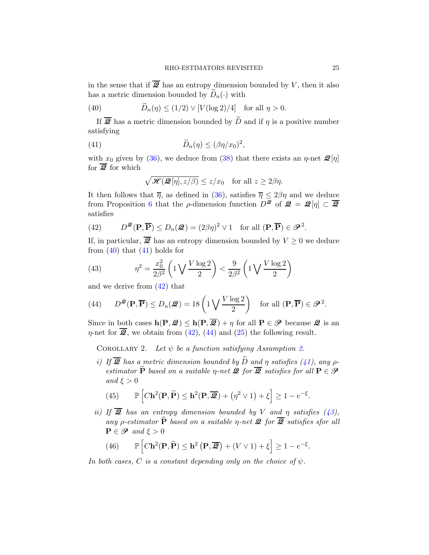in the sense that if  $\overline{2}$  has an entropy dimension bounded by V, then it also has a metric dimension bounded by  $\widetilde{D}_n(\cdot)$  with

<span id="page-24-0"></span>(40) 
$$
\widetilde{D}_n(\eta) \le (1/2) \vee [V(\log 2)/4] \text{ for all } \eta > 0.
$$

If  $\overline{2}$  has a metric dimension bounded by  $\widetilde{D}$  and if  $\eta$  is a positive number satisfying

(41) 
$$
\widetilde{D}_n(\eta) \leq (\beta \eta/x_0)^2,
$$

with  $x_0$  given by [\(36\)](#page-22-3), we deduce from [\(38\)](#page-23-0) that there exists an  $\eta$ -net  $\mathcal{Q}[\eta]$ for  $\overline{Q}$  for which

<span id="page-24-1"></span>
$$
\sqrt{\mathcal{H}(\mathcal{Q}[\eta], z/\beta)} \le z/x_0 \quad \text{for all } z \ge 2\beta\eta.
$$

It then follows that  $\overline{\eta}$ , as defined in [\(36\)](#page-22-3), satisfies  $\overline{\eta} \leq 2\beta\eta$  and we deduce from Proposition [6](#page-23-1) that the *ρ*-dimension function  $D^{\mathcal{Q}}$  of  $\mathcal{Q} = \mathcal{Q}[\eta] \subset \overline{\mathcal{Q}}$ satisfies

<span id="page-24-2"></span>(42) 
$$
D^{\mathcal{Q}}(\mathbf{P}, \overline{\mathbf{P}}) \le D_n(\mathcal{Q}) = (2\beta\eta)^2 \vee 1 \text{ for all } (\mathbf{P}, \overline{\mathbf{P}}) \in \mathcal{P}^2.
$$

If, in particular,  $\overline{2}$  has an entropy dimension bounded by  $V \geq 0$  we deduce from  $(40)$  that  $(41)$  holds for

<span id="page-24-4"></span>(43) 
$$
\eta^2 = \frac{x_0^2}{2\beta^2} \left( 1 \sqrt{\frac{V \log 2}{2}} \right) < \frac{9}{2\beta^2} \left( 1 \sqrt{\frac{V \log 2}{2}} \right)
$$

and we derive from [\(42\)](#page-24-2) that

<span id="page-24-3"></span>(44) 
$$
D^{\mathcal{B}}(\mathbf{P}, \overline{\mathbf{P}}) \le D_n(\mathcal{B}) = 18 \left( 1 \bigvee \frac{V \log 2}{2} \right)
$$
 for all  $(\mathbf{P}, \overline{\mathbf{P}}) \in \mathcal{P}^2$ .

Since in both cases  $h(P, Q) \leq h(P, \overline{Q}) + \eta$  for all  $P \in \mathscr{P}$  because  $Q$  is an  $\eta$ -net for  $\overline{2}$ , we obtain from [\(42\)](#page-24-2), [\(44\)](#page-24-3) and [\(25\)](#page-16-2) the following result.

COROLLARY [2.](#page-10-2) Let  $\psi$  be a function satisfying Assumption 2.

i) If  $\overline{\mathcal{Q}}$  has a metric dimension bounded by  $\widetilde{D}$  and  $\eta$  satisfies [\(41\)](#page-24-1), any  $\rho$ estimator  $\widehat{P}$  based on a suitable *η-net* **2** for  $\overline{Q}$  satisfies for all  $P \in \mathcal{P}$ and  $\xi > 0$ 

<span id="page-24-5"></span>(45) 
$$
\mathbb{P}\left[ C\mathbf{h}^{2}(\mathbf{P},\widehat{\mathbf{P}}) \leq \mathbf{h}^{2}(\mathbf{P},\overline{\mathcal{Q}}) + (\eta^{2} \vee 1) + \xi \right] \geq 1 - e^{-\xi}.
$$

ii) If  $\overline{2}$  has an entropy dimension bounded by V and  $\eta$  satisfies [\(43\)](#page-24-4), any  $\rho$ -estimator  $\widehat{P}$  based on a suitable  $\eta$ -net  $\mathcal{Q}$  for  $\overline{\mathcal{Q}}$  satisfies sfor all  $\mathbf{P} \in \mathcal{P}$  and  $\xi > 0$ 

<span id="page-24-6"></span>(46) 
$$
\mathbb{P}\left[ C\mathbf{h}^{2}(\mathbf{P},\widehat{\mathbf{P}}) \leq \mathbf{h}^{2}\left(\mathbf{P},\overline{\mathbf{Z}}\right) + \left(V \vee 1\right) + \xi \right] \geq 1 - e^{-\xi}.
$$

In both cases, C is a constant depending only on the choice of  $\psi$ .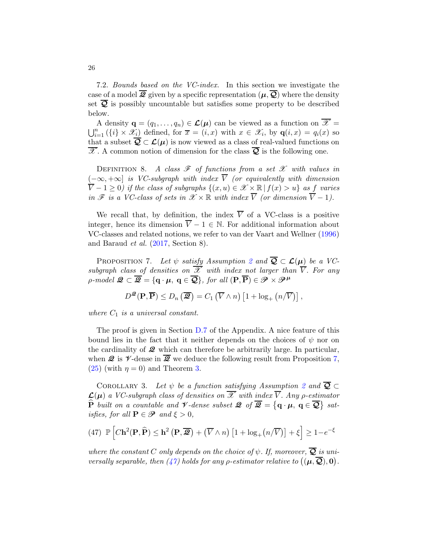<span id="page-25-2"></span>7.2. Bounds based on the VC-index. In this section we investigate the case of a model  $\mathcal{Q}$  given by a specific representation  $(\mu, \mathcal{Q})$  where the density set  $\overline{Q}$  is possibly uncountable but satisfies some property to be described below.

A density  $\mathbf{q} = (q_1, \ldots, q_n) \in \mathcal{L}(\boldsymbol{\mu})$  can be viewed as a function on  $\overline{\mathscr{X}} = \bigcup_{i=1}^n (\{i\} \times \mathscr{X}_i)$  defined, for  $\overline{x} = (i, x)$  with  $x \in \mathscr{X}_i$ , by  $\mathbf{q}(i, x) = q_i(x)$  so that a subset  $\overline{Q} \subset \mathcal{L}(\mu)$  is now viewed as a class of real-valued functions on  $\overline{\mathscr{X}}$ . A common notion of dimension for the class  $\overline{\mathcal{Q}}$  is the following one.

DEFINITION 8. A class  $\mathscr F$  of functions from a set  $\mathscr X$  with values in  $(-\infty, +\infty]$  is VC-subgraph with index  $\overline{V}$  (or equivalently with dimension  $\overline{V}$  − 1 ≥ 0) if the class of subgraphs  $\{(x, u) \in \mathcal{X} \times \mathbb{R} \mid f(x) > u\}$  as f varies in  $\mathscr F$  is a VC-class of sets in  $\mathscr X \times \mathbb R$  with index  $\overline{V}$  (or dimension  $\overline{V}$  - 1).

We recall that, by definition, the index  $\overline{V}$  of a VC-class is a positive integer, hence its dimension  $\overline{V} - 1 \in \mathbb{N}$ . For additional information about VC-classes and related notions, we refer to van der Vaart and Wellner [\(1996](#page-40-7)) and Baraud et al. [\(2017](#page-39-0), Section 8).

<span id="page-25-0"></span>PROPOSITION 7. Let  $\psi$  satisfy Assumption [2](#page-10-2) and  $\overline{Q} \subset \mathcal{L}(\mu)$  be a VCsubgraph class of densities on  $\overline{\mathscr{X}}$  with index not larger than  $\overline{V}$ . For any  $\rho$ -model  $\mathcal{Q} \subset \overline{\mathcal{Q}} = \{ \mathbf{q} \cdot \boldsymbol{\mu}, \, \mathbf{q} \in \overline{\mathcal{Q}} \}$ , for all  $(\mathbf{P}, \overline{\mathbf{P}}) \in \mathcal{P} \times \mathcal{P}^{\boldsymbol{\mu}}$ 

$$
D^{\mathcal{Q}}(\mathbf{P},\overline{\mathbf{P}}) \leq D_n\left(\overline{\mathcal{Q}}\right) = C_1\left(\overline{V}\wedge n\right)\left[1 + \log_+\left(n/\overline{V}\right)\right],
$$

where  $C_1$  is a universal constant.

The proof is given in Section [D.7](#page-68-0) of the Appendix. A nice feature of this bound lies in the fact that it neither depends on the choices of  $\psi$  nor on the cardinality of  $\mathcal{Q}$  which can therefore be arbitrarily large. In particular, when  $\mathcal{Q}$  is  $\mathcal{V}$ -dense in  $\overline{\mathcal{Q}}$  we deduce the following result from Proposition [7,](#page-25-0)  $(25)$  (with  $\eta = 0$ ) and Theorem [3.](#page-17-2)

<span id="page-25-3"></span>COROLLARY 3. Let  $\psi$  be a function satisfying Assumption [2](#page-10-2) and  $\overline{Q} \subset$  $\mathcal{L}(\mu)$  a VC-subgraph class of densities on  $\overline{\mathscr{X}}$  with index  $\overline{V}$ . Any  $\rho$ -estimator  $\widehat{\mathbf{P}}$  built on a countable and  $\mathscr V$ -dense subset  $\mathscr Q$  of  $\overline{\mathscr Q} = \big\{ \mathbf q \cdot \boldsymbol \mu, \ \mathbf q \in \overline{\mathcal Q} \big\}$  satisfies, for all  $\mathbf{P} \in \mathcal{P}$  and  $\xi > 0$ ,

<span id="page-25-1"></span>(47) 
$$
\mathbb{P}\left[ C\mathbf{h}^2(\mathbf{P}, \widehat{\mathbf{P}}) \leq \mathbf{h}^2\left(\mathbf{P}, \overline{\mathcal{Q}}\right) + \left(\overline{V} \wedge n\right) \left[1 + \log_+(n/\overline{V})\right] + \xi\right] \geq 1 - e^{-\xi}
$$

where the constant C only depends on the choice of  $\psi$ . If, moreover,  $\overline{Q}$  is universally separable, then  $(47)$  holds for any  $\rho$ -estimator relative to  $((\mu, \overline{Q}), 0)$ .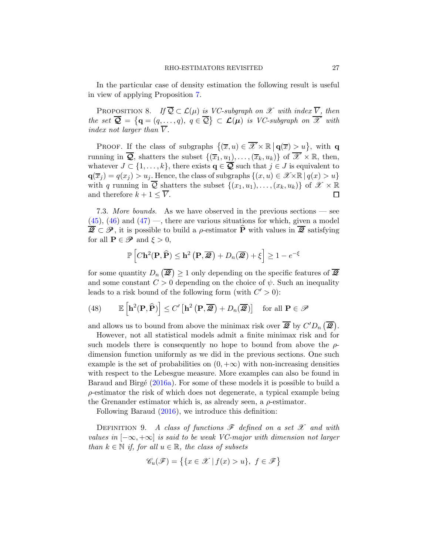In the particular case of density estimation the following result is useful in view of applying Proposition [7.](#page-25-0)

<span id="page-26-0"></span>PROPOSITION 8. If  $\overline{Q} \subset \mathcal{L}(\mu)$  is VC-subgraph on X with index  $\overline{V}$ , then the set  $\overline{\mathcal{Q}} = \{ \mathbf{q} = (q, \dots, q), \ q \in \overline{\mathcal{Q}} \} \subset \mathcal{L}(\mu)$  is VC-subgraph on  $\overline{\mathscr{X}}$  with index not larger than  $\overline{V}$ .

PROOF. If the class of subgraphs  $\{(\overline{x}, u) \in \overline{\mathscr{X}} \times \mathbb{R} \mid \mathbf{q}(\overline{x}) \geq u\}$ , with q running in  $\overline{Q}$ , shatters the subset  $\{(\overline{x}_1, u_1), \ldots, (\overline{x}_k, u_k)\}$  of  $\overline{\mathscr{X}} \times \mathbb{R}$ , then, whatever  $J \subset \{1, \ldots, k\}$ , there exists  $\mathbf{q} \in \overline{\mathbf{Q}}$  such that  $j \in J$  is equivalent to  $\mathbf{q}(\overline{x}_j) = q(x_j) > u_j$ . Hence, the class of subgraphs  $\{(x, u) \in \mathcal{X} \times \mathbb{R} \mid q(x) > u\}$ with q running in  $\overline{Q}$  shatters the subset  $\{(x_1, u_1), \ldots, (x_k, u_k)\}\$  of  $\mathscr{X} \times \mathbb{R}$ <br>and therefore  $k + 1 \leq \overline{V}$ . and therefore  $k + 1 \leq \overline{V}$ .

7.3. More bounds. As we have observed in the previous sections — see  $(45)$ ,  $(46)$  and  $(47)$  —, there are various situations for which, given a model  $\overline{Q} \subset \mathscr{P}$ , it is possible to build a  $\rho$ -estimator  $\widehat{P}$  with values in  $\overline{Q}$  satisfying for all  $P \in \mathscr{P}$  and  $\xi > 0$ ,

$$
\mathbb{P}\left[C\mathbf{h}^{2}(\mathbf{P},\widehat{\mathbf{P}})\leq\mathbf{h}^{2}\left(\mathbf{P},\overline{\mathbf{\mathcal{Q}}}\right)+D_{n}(\overline{\mathbf{\mathcal{Q}}})+\xi\right]\geq1-e^{-\xi}
$$

for some quantity  $D_n(\overline{\mathcal{Q}}) \geq 1$  only depending on the specific features of  $\overline{\mathcal{Q}}$ and some constant  $C > 0$  depending on the choice of  $\psi$ . Such an inequality leads to a risk bound of the following form (with  $C' > 0$ ):

(48) 
$$
\mathbb{E}\left[\mathbf{h}^{2}(\mathbf{P},\widehat{\mathbf{P}})\right] \leq C' \left[\mathbf{h}^{2}\left(\mathbf{P},\overline{\mathbf{\mathcal{Q}}}\right) + D_{n}(\overline{\mathbf{\mathcal{Q}}})\right] \text{ for all } \mathbf{P} \in \mathcal{P}
$$

and allows us to bound from above the minimax risk over  $\overline{\mathscr{Q}}$  by  $C'D_n(\overline{\mathscr{Q}})$ .

However, not all statistical models admit a finite minimax risk and for such models there is consequently no hope to bound from above the  $\rho$ dimension function uniformly as we did in the previous sections. One such example is the set of probabilities on  $(0, +\infty)$  with non-increasing densities with respect to the Lebesgue measure. More examples can also be found in Baraud and Birgé  $(2016a)$ . For some of these models it is possible to build a  $\rho$ -estimator the risk of which does not degenerate, a typical example being the Grenander estimator which is, as already seen, a  $\rho$ -estimator.

Following Baraud [\(2016](#page-39-7)), we introduce this definition:

DEFINITION 9. A class of functions  $\mathscr F$  defined on a set  $\mathscr X$  and with values in  $[-\infty, +\infty]$  is said to be weak VC-major with dimension not larger than  $k \in \mathbb{N}$  if, for all  $u \in \mathbb{R}$ , the class of subsets

$$
\mathscr{C}_u(\mathscr{F}) = \big\{ \{ x \in \mathscr{X} \mid f(x) > u \}, \ f \in \mathscr{F} \big\}
$$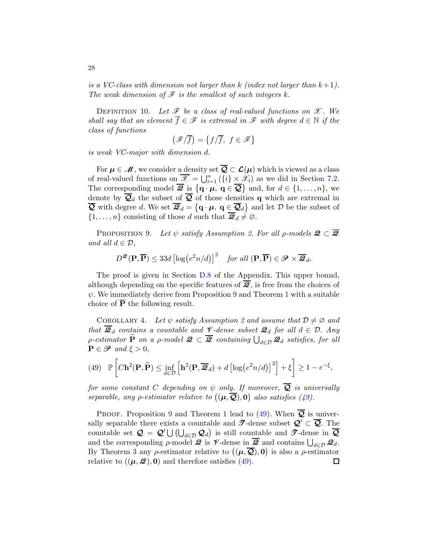is a VC-class with dimension not larger than  $k$  (index not larger than  $k+1$ ). The weak dimension of  $\mathscr F$  is the smallest of such integers k.

DEFINITION 10. Let  $\mathscr F$  be a class of real-valued functions on  $\mathscr X$ . We shall say that an element  $\overline{f} \in \mathscr{F}$  is extremal in  $\mathscr{F}$  with degree  $d \in \mathbb{N}$  if the class of functions

$$
\left(\mathscr{F}/\overline{f}\right)=\left\{f/\overline{f},\ f\in\mathscr{F}\right\}
$$

is weak VC-major with dimension d.

For  $\mu \in \mathcal{M}$ , we consider a density set  $\overline{Q} \subset \mathcal{L}(\mu)$  which is viewed as a class of real-valued functions on  $\overline{\mathscr{X}} = \bigcup_{i=1}^n (\{i\} \times \mathscr{X}_i)$  as we did in Section [7.2.](#page-25-2) The corresponding model  $\overline{\mathcal{Q}}$  is  $\{ \mathbf{q} \cdot \boldsymbol{\mu}, \, \mathbf{q} \in \overline{\mathcal{Q}} \}$  and, for  $d \in \{1, \ldots, n\}$ , we denote by  $\overline{Q}_d$  the subset of  $\overline{Q}$  of those densities q which are extremal in  $\overline{Q}$  with degree d. We set  $\overline{Q}_d = \{ \mathbf{q} \cdot \boldsymbol{\mu}, \ \mathbf{q} \in \overline{Q}_d \}$  and let  $D$  be the subset of  $\{1,\ldots,n\}$  consisting of those d such that  $\overline{\mathcal{Q}}_d\neq\emptyset$ .

<span id="page-27-0"></span>PROPOSITION 9. Let  $\psi$  satisfy Assumption [2.](#page-10-2) For all  $\rho$ -models  $\mathcal{Q} \subset \overline{\mathcal{Q}}$ and all  $d \in \mathcal{D}$ ,

$$
D^{\mathcal{Q}}(\mathbf{P}, \overline{\mathbf{P}}) \le 33d \left[ \log \left( e^2 n/d \right) \right]^3 \quad \text{for all } (\mathbf{P}, \overline{\mathbf{P}}) \in \mathcal{P} \times \overline{\mathcal{Q}}_d.
$$

The proof is given in Section [D.8](#page-69-0) of the Appendix. This upper bound, although depending on the specific features of  $\overline{2}$ , is free from the choices of  $\psi$ . We immediately derive from Proposition [9](#page-27-0) and Theorem [1](#page-13-2) with a suitable choice of P the following result.

<span id="page-27-2"></span>COROLLARY 4. Let  $\psi$  satisfy Assumption [2](#page-10-2) and assume that  $\mathcal{D} \neq \emptyset$  and that  $\overline{\mathcal{Q}}_d$  contains a countable and  $\mathcal V$ -dense subset  $\mathcal{Q}_d$  for all  $d \in \mathcal D$ . Any *ρ*-estimator  $\widehat{P}$  on a *ρ*-model  $\mathcal{Q} \subset \overline{\mathcal{Q}}$  containing  $\bigcup_{d \in \mathcal{D}} \mathcal{Q}_d$  satisfies, for all  $\mathbf{P} \in \mathcal{P}$  and  $\xi > 0$ ,

<span id="page-27-1"></span>(49) 
$$
\mathbb{P}\left[ C\mathbf{h}^2(\mathbf{P}, \widehat{\mathbf{P}}) \le \inf_{d \in \mathcal{D}} \left[ \mathbf{h}^2(\mathbf{P}, \overline{\mathbf{Q}}_d) + d \left[ \log(e^2 n/d) \right]^3 \right] + \xi \right] \ge 1 - e^{-\xi},
$$

for some constant C depending on  $\psi$  only. If moreover,  $\overline{Q}$  is universally separable, any  $\rho$ -estimator relative to  $((\mu, \overline{Q}), 0)$  also satisfies [\(49\)](#page-27-1).

PROOF. Proposition [9](#page-27-0) and Theorem [1](#page-13-2) lead to [\(49\)](#page-27-1). When  $\overline{Q}$  is universally separable there exists a countable and  $\mathscr{T}$ -dense subset  $\mathcal{Q}' \subset \overline{\mathcal{Q}}$ . The countable set  $\mathcal{Q} = \mathcal{Q}' \bigcup (\bigcup_{d \in \mathcal{D}} \mathcal{Q}_d)$  is still countable and  $\mathcal{T}$ -dense in  $\overline{\mathcal{Q}}$ and the corresponding  $\rho$ -model  $\mathcal{Q}$  is  $\mathcal{V}$ -dense in  $\overline{\mathcal{Q}}$  and contains  $\bigcup_{d \in \mathcal{D}} \mathcal{Q}_d$ . By Theorem [3](#page-17-2) any  $\rho$ -estimator relative to  $((\mu, \overline{Q}), 0)$  is also a  $\rho$ -estimator relative to  $((\mu, \mathcal{Q}), 0)$  and therefore satisfies [\(49\)](#page-27-1). □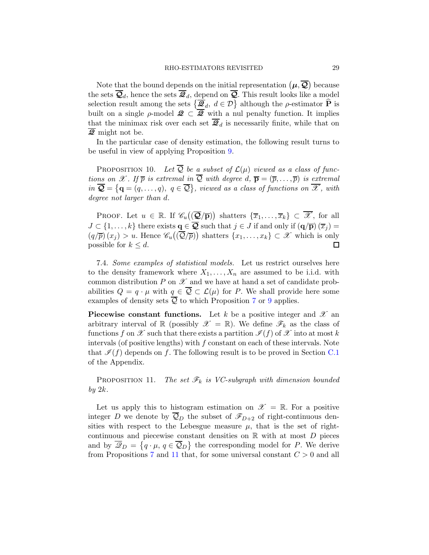Note that the bound depends on the initial representation  $(\mu, \overline{Q})$  because the sets  $\overline{Q}_d$ , hence the sets  $\overline{Q}_d$ , depend on  $\overline{Q}$ . This result looks like a model selection result among the sets  $\{\overline{\mathcal{Q}}_d, d \in \mathcal{D}\}\$  although the  $\rho$ -estimator  $\widehat{P}$  is built on a single  $\rho$ -model  $\mathscr{Q} \subset \overline{\mathscr{Q}}$  with a nul penalty function. It implies that the minimax risk over each set  $\overline{\mathcal{Q}}_d$  is necessarily finite, while that on Q might not be.

In the particular case of density estimation, the following result turns to be useful in view of applying Proposition [9.](#page-27-0)

PROPOSITION 10. Let  $\overline{Q}$  be a subset of  $\mathcal{L}(\mu)$  viewed as a class of functions on X. If  $\overline{p}$  is extremal in  $\overline{Q}$  with degree d,  $\overline{p} = (\overline{p}, \ldots, \overline{p})$  is extremal  $in \overline{Q} = \{q = (q, \ldots, q), q \in \overline{Q}\},$  viewed as a class of functions on  $\overline{\mathscr{X}}$ , with degree not larger than d.

PROOF. Let  $u \in \mathbb{R}$ . If  $\mathscr{C}_u(\overline{\mathcal{Q}}/\overline{\mathbf{p}})\$  shatters  $\{\overline{x}_1,\ldots,\overline{x}_k\} \subset \overline{\mathscr{X}}$ , for all  $J \subset \{1, \ldots, k\}$  there exists  $\mathbf{q} \in \mathbf{Q}$  such that  $j \in J$  if and only if  $(\mathbf{q}/\mathbf{p}) (\overline{x}_j) =$  $(q/\overline{p})(x_j) > u$ . Hence  $\mathscr{C}_u((\overline{\mathcal{Q}}/\overline{p}))$  shatters  $\{x_1,\ldots,x_k\} \subset \mathscr{X}$  which is only possible for  $k \leq d$ . П

7.4. Some examples of statistical models. Let us restrict ourselves here to the density framework where  $X_1, \ldots, X_n$  are assumed to be i.i.d. with common distribution  $P$  on  $\mathscr X$  and we have at hand a set of candidate probabilities  $Q = q \cdot \mu$  with  $q \in \overline{Q} \subset \mathcal{L}(\mu)$  for P. We shall provide here some examples of density sets  $\overline{Q}$  to which Proposition [7](#page-25-0) or [9](#page-27-0) applies.

**Piecewise constant functions.** Let k be a positive integer and  $\mathcal{X}$  and arbitrary interval of R (possibly  $\mathscr{X} = \mathbb{R}$ ). We define  $\mathscr{F}_k$  as the class of functions f on X such that there exists a partition  $\mathcal{I}(f)$  of X into at most k intervals (of positive lengths) with  $f$  constant on each of these intervals. Note that  $\mathcal{I}(f)$  depends on f. The following result is to be proved in Section [C.1](#page-52-0) of the Appendix.

<span id="page-28-0"></span>PROPOSITION 11. The set  $\mathscr{F}_k$  is VC-subgraph with dimension bounded by  $2k$ .

Let us apply this to histogram estimation on  $\mathscr{X} = \mathbb{R}$ . For a positive integer D we denote by  $\overline{Q}_D$  the subset of  $\mathscr{F}_{D+2}$  of right-continuous densities with respect to the Lebesgue measure  $\mu$ , that is the set of rightcontinuous and piecewise constant densities on  $\mathbb R$  with at most  $D$  pieces and by  $\overline{\mathscr{Q}}_D = \{q \cdot \mu, q \in \overline{\mathcal{Q}}_D\}$  the corresponding model for P. We derive from Propositions [7](#page-25-0) and [11](#page-28-0) that, for some universal constant  $C > 0$  and all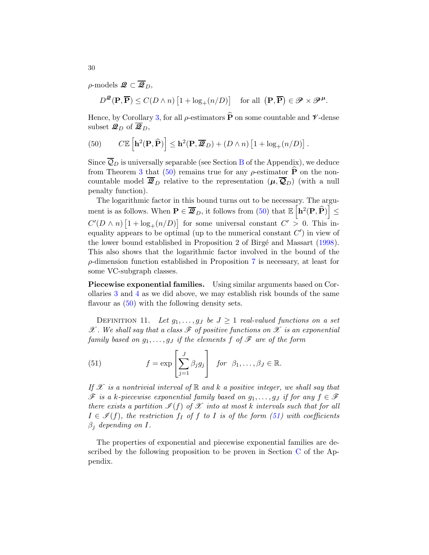$\rho$ -models  $\mathcal{Q} \subset \overline{\mathcal{Q}}_D$ ,

$$
D^{\mathcal{Q}}(\mathbf{P}, \overline{\mathbf{P}}) \le C(D \wedge n) \left[1 + \log_+(n/D)\right] \quad \text{for all } \left(\mathbf{P}, \overline{\mathbf{P}}\right) \in \mathcal{P} \times \mathcal{P}^{\mu}.
$$

Hence, by Corollary [3,](#page-25-3) for all  $\rho$ -estimators  $\widehat{P}$  on some countable and  $\nu$ -dense subset  $\mathcal{Q}_D$  of  $\overline{\mathcal{Q}}_D$ ,

<span id="page-29-0"></span>(50) 
$$
C\mathbb{E}\left[\mathbf{h}^{2}(\mathbf{P},\widehat{\mathbf{P}})\right] \leq \mathbf{h}^{2}(\mathbf{P},\overline{\mathcal{Q}}_{D}) + (D \wedge n)\left[1 + \log_{+}(n/D)\right].
$$

Since  $\overline{Q}_D$  is universally separable (see Section [B](#page-51-0) of the Appendix), we deduce from Theorem [3](#page-17-2) that [\(50\)](#page-29-0) remains true for any  $\rho$ -estimator  $\hat{P}$  on the noncountable model  $\overline{\mathcal{Q}}_D$  relative to the representation  $(\mu, \overline{\mathcal{Q}}_D)$  (with a null penalty function).

The logarithmic factor in this bound turns out to be necessary. The argument is as follows. When  $\mathbf{P} \in \overline{\mathbf{\mathcal{Q}}}_{D}$ , it follows from [\(50\)](#page-29-0) that  $\mathbb{E} \left[ \mathbf{h}^2(\mathbf{P}, \widehat{\mathbf{P}}) \right]$ ≤  $C'(D \wedge n)$   $[1 + \log_+(n/D)]$  for some universal constant  $C' > 0$ . This inequality appears to be optimal (up to the numerical constant  $C'$ ) in view of the lower bound established in Proposition 2 of Birgé and Massart [\(1998](#page-39-8)). This also shows that the logarithmic factor involved in the bound of the  $\rho$ -dimension function established in Proposition [7](#page-25-0) is necessary, at least for some VC-subgraph classes.

Piecewise exponential families. Using similar arguments based on Corollaries [3](#page-25-3) and [4](#page-27-2) as we did above, we may establish risk bounds of the same flavour as  $(50)$  with the following density sets.

DEFINITION 11. Let  $g_1, \ldots, g_J$  be  $J \geq 1$  real-valued functions on a set  $\mathscr X$ . We shall say that a class  $\mathscr F$  of positive functions on  $\mathscr X$  is an exponential family based on  $g_1, \ldots, g_J$  if the elements f of  $\mathscr F$  are of the form

<span id="page-29-1"></span>(51) 
$$
f = \exp\left[\sum_{j=1}^{J} \beta_j g_j\right] \quad \text{for} \ \ \beta_1, \ldots, \beta_J \in \mathbb{R}.
$$

If  $\mathscr X$  is a nontrivial interval of  $\mathbb R$  and  $k$  a positive integer, we shall say that  $\mathscr F$  is a k-piecewise exponential family based on  $g_1, \ldots, g_J$  if for any  $f \in \mathscr F$ there exists a partition  $\mathcal{I}(f)$  of  $\mathcal X$  into at most k intervals such that for all  $I \in \mathcal{I}(f)$ , the restriction  $f_I$  of f to I is of the form [\(51\)](#page-29-1) with coefficients  $\beta_j$  depending on I.

The properties of exponential and piecewise exponential families are described by the following proposition to be proven in Section [C](#page-52-1) of the Appendix.

30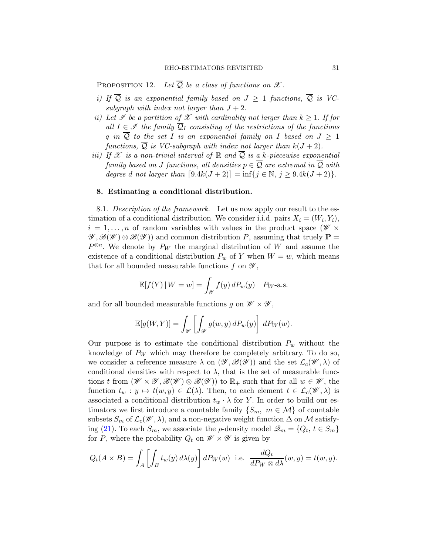PROPOSITION 12. Let  $\overline{Q}$  be a class of functions on  $\mathscr{X}$ .

- i) If  $\overline{Q}$  is an exponential family based on  $J \geq 1$  functions,  $\overline{Q}$  is VCsubgraph with index not larger than  $J + 2$ .
- ii) Let  $\mathscr I$  be a partition of  $\mathscr X$  with cardinality not larger than  $k \geq 1$ . If for all  $I \in \mathscr{I}$  the family  $\overline{Q}_I$  consisting of the restrictions of the functions q in  $\overline{Q}$  to the set I is an exponential family on I based on  $J \geq 1$ functions,  $\overline{Q}$  is VC-subgraph with index not larger than  $k(J+2)$ .
- iii) If X is a non-trivial interval of R and  $\overline{Q}$  is a k-piecewise exponential family based on J functions, all densities  $\overline{p} \in \overline{Q}$  are extremal in  $\overline{Q}$  with degree d not larger than  $[9.4k(J + 2)] = \inf\{j \in \mathbb{N}, j \geq 9.4k(J + 2)\}.$

## <span id="page-30-0"></span>8. Estimating a conditional distribution.

8.1. Description of the framework. Let us now apply our result to the estimation of a conditional distribution. We consider i.i.d. pairs  $X_i = (W_i, Y_i)$ ,  $i = 1, \ldots, n$  of random variables with values in the product space  $(\mathscr{W} \times$  $\mathscr{Y}, \mathscr{B}(\mathscr{W}) \otimes \mathscr{B}(\mathscr{Y})$  and common distribution P, assuming that truely  $\mathbf{P} =$  $P^{\otimes n}$ . We denote by  $P_W$  the marginal distribution of W and assume the existence of a conditional distribution  $P_w$  of Y when  $W = w$ , which means that for all bounded measurable functions  $f$  on  $\mathscr{Y},$ 

$$
\mathbb{E}[f(Y) | W = w] = \int_{\mathcal{Y}} f(y) dP_w(y) \quad P_{W} \text{-a.s.}
$$

and for all bounded measurable functions g on  $\mathscr{W} \times \mathscr{Y}$ ,

$$
\mathbb{E}[g(W,Y)] = \int_{\mathscr{W}} \left[ \int_{\mathscr{Y}} g(w,y) dP_w(y) \right] dP_W(w).
$$

Our purpose is to estimate the conditional distribution  $P_w$  without the knowledge of  $P_W$  which may therefore be completely arbitrary. To do so, we consider a reference measure  $\lambda$  on  $(\mathscr{Y}, \mathscr{B}(\mathscr{Y}))$  and the set  $\mathcal{L}_c(\mathscr{W}, \lambda)$  of conditional densities with respect to  $\lambda$ , that is the set of measurable functions t from  $(\mathscr{W} \times \mathscr{Y}, \mathscr{B}(\mathscr{W}) \otimes \mathscr{B}(\mathscr{Y}))$  to  $\mathbb{R}_+$  such that for all  $w \in \mathscr{W}$ , the function  $t_w : y \mapsto t(w, y) \in \mathcal{L}(\lambda)$ . Then, to each element  $t \in \mathcal{L}_c(\mathscr{W}, \lambda)$  is associated a conditional distribution  $t_w \cdot \lambda$  for Y. In order to build our estimators we first introduce a countable family  $\{S_m, m \in \mathcal{M}\}\$ of countable subsets  $S_m$  of  $\mathcal{L}_c(\mathscr{W}, \lambda)$ , and a non-negative weight function  $\Delta$  on M satisfy-ing [\(21\)](#page-14-0). To each  $S_m$ , we associate the  $\rho$ -density model  $\mathcal{Q}_m = \{Q_t, t \in S_m\}$ for P, where the probability  $Q_t$  on  $\mathscr{W} \times \mathscr{Y}$  is given by

$$
Q_t(A \times B) = \int_A \left[ \int_B t_w(y) d\lambda(y) \right] dP_W(w) \text{ i.e. } \frac{dQ_t}{dP_W \otimes d\lambda}(w, y) = t(w, y).
$$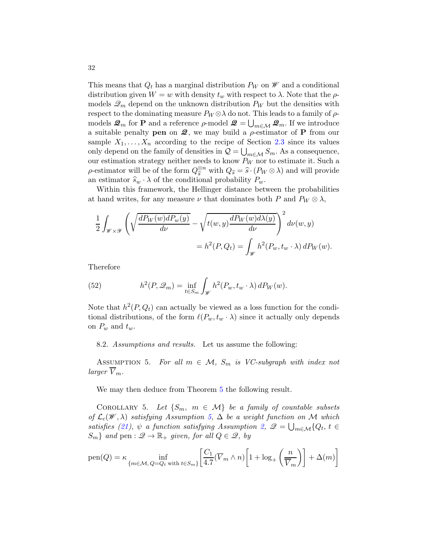This means that  $Q_t$  has a marginal distribution  $P_W$  on  $\mathscr W$  and a conditional distribution given  $W = w$  with density  $t_w$  with respect to  $\lambda$ . Note that the  $\rho$ models  $\mathscr{Q}_m$  depend on the unknown distribution  $P_W$  but the densities with respect to the dominating measure  $P_W \otimes \lambda$  do not. This leads to a family of  $\rho$ models  $\mathcal{Q}_m$  for **P** and a reference  $\rho$ -model  $\mathcal{Q} = \bigcup_{m \in \mathcal{M}} \mathcal{Q}_m$ . If we introduce a suitable penalty **pen** on  $\mathcal{Q}$ , we may build a  $\rho$ -estimator of **P** from our sample  $X_1, \ldots, X_n$  according to the recipe of Section [2.3](#page-7-0) since its values only depend on the family of densities in  $\mathcal{Q} = \bigcup_{m \in \mathcal{M}} S_m$ . As a consequence, our estimation strategy neither needs to know  $P_W$  nor to estimate it. Such a  $\rho$ -estimator will be of the form  $Q_s^{\otimes n}$  with  $Q_s = \hat{s} \cdot (P_W \otimes \lambda)$  and will provide an estimator  $\widehat{s}_w \cdot \lambda$  of the conditional probability  $P_w$ .

Within this framework, the Hellinger distance between the probabilities at hand writes, for any measure  $\nu$  that dominates both P and  $P_W \otimes \lambda$ ,

$$
\frac{1}{2} \int_{\mathscr{W} \times \mathscr{Y}} \left( \sqrt{\frac{dP_W(w) dP_w(y)}{d\nu}} - \sqrt{t(w, y) \frac{dP_W(w) d\lambda(y)}{d\nu}} \right)^2 d\nu(w, y) \n= h^2(P, Q_t) = \int_{\mathscr{W}} h^2(P_w, t_w \cdot \lambda) dP_W(w).
$$

Therefore

(52) 
$$
h^{2}(P, \mathcal{Q}_{m}) = \inf_{t \in S_{m}} \int_{\mathcal{W}} h^{2}(P_{w}, t_{w} \cdot \lambda) dP_{W}(w).
$$

Note that  $h^2(P, Q_t)$  can actually be viewed as a loss function for the conditional distributions, of the form  $\ell(P_w, t_w \cdot \lambda)$  since it actually only depends on  $P_w$  and  $t_w$ .

8.2. Assumptions and results. Let us assume the following:

<span id="page-31-0"></span>ASSUMPTION 5. For all  $m \in \mathcal{M}$ ,  $S_m$  is VC-subgraph with index not larger  $\overline{V}_m$ .

We may then deduce from Theorem [5](#page-41-0) the following result.

<span id="page-31-1"></span>COROLLARY 5. Let  $\{S_m, m \in \mathcal{M}\}\$ be a family of countable subsets of  $\mathcal{L}_c(\mathcal{W}, \lambda)$  satisfying Assumption [5,](#page-31-0)  $\Delta$  be a weight function on M which satisfies [\(21\)](#page-14-0),  $\psi$  a function satisfying Assumption [2,](#page-10-2)  $\mathcal{Q} = \bigcup_{m \in \mathcal{M}} \{Q_t, t \in \mathcal{Q}\}$  $S_m$ } and pen :  $\mathscr{Q} \to \mathbb{R}_+$  given, for all  $Q \in \mathscr{Q}$ , by

$$
pen(Q) = \kappa \inf_{\{m \in \mathcal{M}, Q = Q_t \text{ with } t \in S_m\}} \left[ \frac{C_1}{4.7} (\overline{V}_m \wedge n) \left[ 1 + \log_+ \left( \frac{n}{\overline{V}_m} \right) \right] + \Delta(m) \right]
$$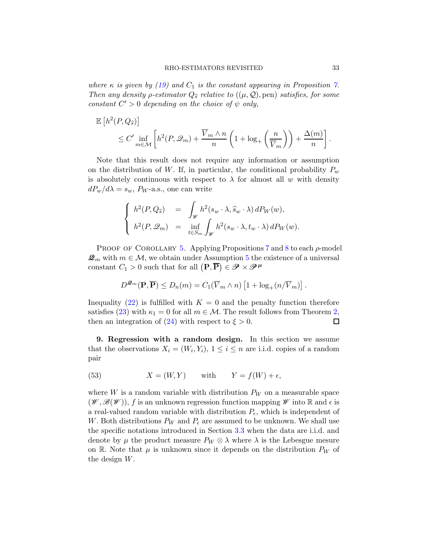where  $\kappa$  is given by [\(19\)](#page-13-0) and  $C_1$  is the constant appearing in Proposition [7.](#page-25-0) Then any density  $\rho$ -estimator  $Q_{\hat{s}}$  relative to  $((\mu, \mathcal{Q}),$  pen) satisfies, for some constant  $C' > 0$  depending on the choice of  $\psi$  only,

$$
\mathbb{E}\left[h^2(P,Q_{\widehat{s}})\right] \leq C' \inf_{m \in \mathcal{M}} \left[h^2(P,\mathcal{Q}_m) + \frac{\overline{V}_m \wedge n}{n} \left(1 + \log_+\left(\frac{n}{\overline{V}_m}\right)\right) + \frac{\Delta(m)}{n}\right].
$$

Note that this result does not require any information or assumption on the distribution of W. If, in particular, the conditional probability  $P_w$ is absolutely continuous with respect to  $\lambda$  for almost all w with density  $dP_w/d\lambda = s_w$ ,  $P_W$ -a.s., one can write

$$
\begin{cases}\n h^{2}(P,Q_{\widehat{s}}) & = \int_{\mathscr{W}} h^{2}(s_{w} \cdot \lambda, \widehat{s}_{w} \cdot \lambda) dP_{W}(w), \\
h^{2}(P,\mathscr{Q}_{m}) & = \inf_{t \in S_{m}} \int_{\mathscr{W}} h^{2}(s_{w} \cdot \lambda, t_{w} \cdot \lambda) dP_{W}(w).\n\end{cases}
$$

PROOF OF COROLLARY [5.](#page-31-1) Applying Propositions [7](#page-25-0) and [8](#page-26-0) to each  $\rho$ -model  $\mathcal{Q}_m$  with  $m \in \mathcal{M}$ , we obtain under Assumption [5](#page-31-0) the existence of a universal constant  $C_1 > 0$  such that for all  $(P, \overline{P}) \in \mathscr{P} \times \mathscr{P}^{\mu}$ 

$$
D^{\mathcal{Q}_m}(\mathbf{P}, \overline{\mathbf{P}}) \le D_n(m) = C_1(\overline{V}_m \wedge n) \left[1 + \log_+(n/\overline{V}_m)\right].
$$

Inequality [\(22\)](#page-14-4) is fulfilled with  $K = 0$  and the penalty function therefore satisfies [\(23\)](#page-14-2) with  $\kappa_1 = 0$  for all  $m \in \mathcal{M}$ . The result follows from Theorem [2,](#page-14-1) then an integration of (24) with respect to  $\xi > 0$ . then an integration of  $(24)$  with respect to  $\xi > 0$ .

<span id="page-32-0"></span>9. Regression with a random design. In this section we assume that the observations  $X_i = (W_i, Y_i), 1 \le i \le n$  are i.i.d. copies of a random pair

<span id="page-32-1"></span>(53) 
$$
X = (W, Y) \quad \text{with} \quad Y = f(W) + \epsilon,
$$

where W is a random variable with distribution  $P_W$  on a measurable space  $(\mathscr{W}, \mathscr{B}(\mathscr{W}))$ , f is an unknown regression function mapping  $\mathscr{W}$  into R and  $\epsilon$  is a real-valued random variable with distribution  $P_{\epsilon}$ , which is independent of W. Both distributions  $P_W$  and  $P_\epsilon$  are assumed to be unknown. We shall use the specific notations introduced in Section [3.3](#page-14-3) when the data are i.i.d. and denote by  $\mu$  the product measure  $P_W \otimes \lambda$  where  $\lambda$  is the Lebesgue mesure on R. Note that  $\mu$  is unknown since it depends on the distribution  $P_W$  of the design W.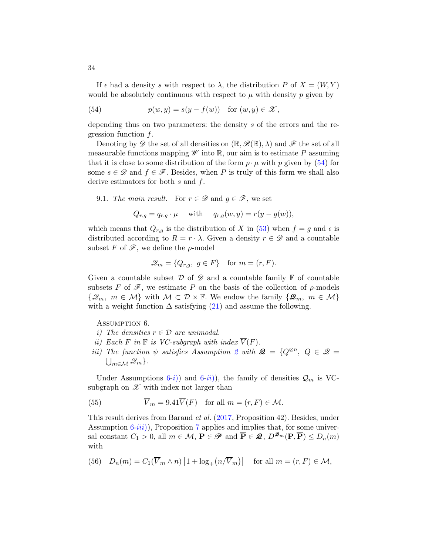If  $\epsilon$  had a density s with respect to  $\lambda$ , the distribution P of  $X = (W, Y)$ would be absolutely continuous with respect to  $\mu$  with density p given by

<span id="page-33-0"></span>(54) 
$$
p(w, y) = s(y - f(w)) \text{ for } (w, y) \in \mathcal{X},
$$

depending thus on two parameters: the density s of the errors and the regression function  $f$ .

Denoting by  $\mathscr{D}$  the set of all densities on  $(\mathbb{R}, \mathscr{B}(\mathbb{R}), \lambda)$  and  $\mathscr{F}$  the set of all measurable functions mapping  $\mathscr W$  into  $\mathbb R$ , our aim is to estimate P assuming that it is close to some distribution of the form  $p \cdot \mu$  with p given by [\(54\)](#page-33-0) for some  $s \in \mathscr{D}$  and  $f \in \mathscr{F}$ . Besides, when P is truly of this form we shall also derive estimators for both  $s$  and  $f$ .

9.1. The main result. For  $r \in \mathscr{D}$  and  $q \in \mathscr{F}$ , we set

$$
Q_{r,g} = q_{r,g} \cdot \mu \quad \text{ with } \quad q_{r,g}(w,y) = r(y - g(w)),
$$

which means that  $Q_{r,g}$  is the distribution of X in [\(53\)](#page-32-1) when  $f = g$  and  $\epsilon$  is distributed according to  $R = r \cdot \lambda$ . Given a density  $r \in \mathscr{D}$  and a countable subset F of  $\mathscr{F}$ , we define the  $\rho$ -model

$$
\mathcal{Q}_m = \{Q_{r,g}, g \in F\} \quad \text{for } m = (r, F).
$$

Given a countable subset  $\mathcal D$  of  $\mathscr D$  and a countable family  $\mathbb F$  of countable subsets F of  $\mathscr{F}$ , we estimate P on the basis of the collection of  $\rho$ -models  $\{\mathscr{Q}_m, m \in \mathcal{M}\}\$  with  $\mathcal{M} \subset \mathcal{D} \times \mathbb{F}$ . We endow the family  $\{\mathscr{Q}_m, m \in \mathcal{M}\}\$ with a weight function  $\Delta$  satisfying [\(21\)](#page-14-0) and assume the following.

<span id="page-33-1"></span>Assumption 6.

- <span id="page-33-2"></span>i) The densities  $r \in \mathcal{D}$  are unimodal.
- <span id="page-33-3"></span>ii) Each F in  $\mathbb F$  is VC-subgraph with index  $\overline{V}(F)$ .
- iii) The function  $\psi$  satisfies Assumption [2](#page-10-2) with  $\mathcal{Q} = \{Q^{\otimes n}, Q \in \mathcal{Q} = \emptyset\}$ .  $\bigcup_{m\in\mathcal{M}}\mathscr{Q}_m\}.$

Under Assumptions [6-](#page-33-1)i) and 6-[ii](#page-33-2)), the family of densities  $\mathcal{Q}_m$  is VCsubgraph on  $\mathscr X$  with index not larger than

(55) 
$$
\overline{V}_m = 9.41 \overline{V}(F) \text{ for all } m = (r, F) \in \mathcal{M}.
$$

This result derives from Baraud et al. [\(2017,](#page-39-0) Proposition 42). Besides, under Assumption  $6-iii$  $6-iii$ ), Proposition [7](#page-25-0) applies and implies that, for some universal constant  $C_1 > 0$ , all  $m \in \mathcal{M}$ ,  $\mathbf{P} \in \mathcal{P}$  and  $\overline{\mathbf{P}} \in \mathcal{Q}$ ,  $D^{\mathcal{Q}_m}(\mathbf{P}, \overline{\mathbf{P}}) \le D_n(m)$ with

(56) 
$$
D_n(m) = C_1(\overline{V}_m \wedge n) [1 + \log_+(n/\overline{V}_m)]
$$
 for all  $m = (r, F) \in \mathcal{M}$ ,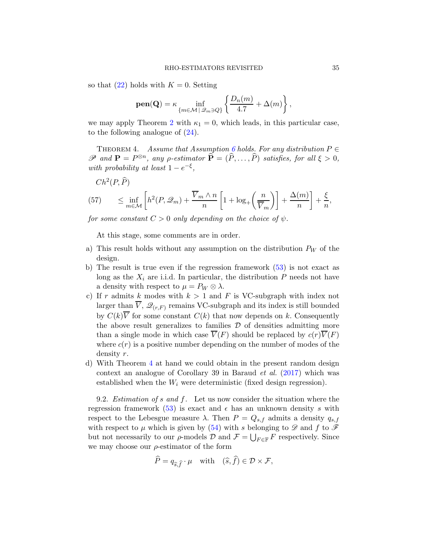so that  $(22)$  holds with  $K = 0$ . Setting

$$
\textbf{pen}(\textbf{Q}) = \kappa \inf_{\{m \in \mathcal{M} \, | \, \mathscr{Q}_m \ni Q\}} \left\{ \frac{D_n(m)}{4.7} + \Delta(m) \right\},\,
$$

we may apply Theorem [2](#page-14-1) with  $\kappa_1 = 0$ , which leads, in this particular case, to the following analogue of  $(24)$ .

<span id="page-34-0"></span>THEOREM 4. Assume that Assumption [6](#page-33-1) holds. For any distribution  $P \in$  $\mathscr P$  and  $\mathbf P = P^{\otimes n}$ , any p-estimator  $\widehat{\mathbf P} = (\widehat{P}, \ldots, \widehat{P})$  satisfies, for all  $\xi > 0$ , with probability at least  $1 - e^{-\xi}$ ,

$$
Ch^{2}(P, \widehat{P})
$$
  
(57) 
$$
\leq \inf_{m \in \mathcal{M}} \left[ h^{2}(P, \mathcal{Q}_{m}) + \frac{\overline{V}_{m} \wedge n}{n} \left[ 1 + \log_{+} \left( \frac{n}{\overline{V}_{m}} \right) \right] + \frac{\Delta(m)}{n} \right] + \frac{\xi}{n},
$$

for some constant  $C > 0$  only depending on the choice of  $\psi$ .

At this stage, some comments are in order.

- a) This result holds without any assumption on the distribution  $P_W$  of the design.
- b) The result is true even if the regression framework [\(53\)](#page-32-1) is not exact as long as the  $X_i$  are i.i.d. In particular, the distribution  $P$  needs not have a density with respect to  $\mu = P_W \otimes \lambda$ .
- c) If r admits k modes with  $k > 1$  and F is VC-subgraph with index not larger than  $\overline{V}$ ,  $\mathscr{Q}_{(r,F)}$  remains VC-subgraph and its index is still bounded by  $C(k)\overline{V}$  for some constant  $C(k)$  that now depends on k. Consequently the above result generalizes to families  $\mathcal D$  of densities admitting more than a single mode in which case  $\overline{V}(F)$  should be replaced by  $c(r)\overline{V}(F)$ where  $c(r)$  is a positive number depending on the number of modes of the density r.
- d) With Theorem [4](#page-34-0) at hand we could obtain in the present random design context an analogue of Corollary 39 in Baraud et al. [\(2017](#page-39-0)) which was established when the  $W_i$  were deterministic (fixed design regression).

9.2. *Estimation of s and f.* Let us now consider the situation where the regression framework [\(53\)](#page-32-1) is exact and  $\epsilon$  has an unknown density s with respect to the Lebesgue measure  $\lambda$ . Then  $P = Q_{s,f}$  admits a density  $q_{s,f}$ with respect to  $\mu$  which is given by [\(54\)](#page-33-0) with s belonging to  $\mathscr D$  and f to  $\mathscr F$ but not necessarily to our  $\rho$ -models  $\mathcal D$  and  $\mathcal F=\bigcup_{F\in\mathbb F}F$  respectively. Since we may choose our  $\rho$ -estimator of the form

$$
\widehat{P} = q_{\widehat{s}, \widehat{f}} \cdot \mu \quad \text{with} \quad (\widehat{s}, \widehat{f}) \in \mathcal{D} \times \mathcal{F},
$$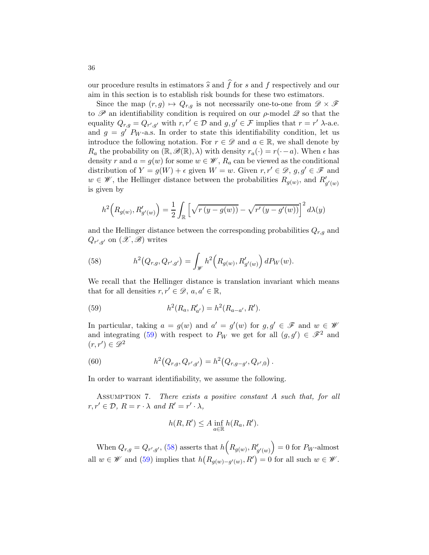our procedure results in estimators  $\hat{s}$  and  $\hat{f}$  for s and f respectively and our aim in this section is to establish risk bounds for these two estimators.

Since the map  $(r, g) \mapsto Q_{r,g}$  is not necessarily one-to-one from  $\mathscr{D} \times \mathscr{F}$ to  $\mathscr P$  an identifiability condition is required on our  $\rho$ -model  $\mathscr Q$  so that the equality  $Q_{r,g} = Q_{r',g'}$  with  $r, r' \in \mathcal{D}$  and  $g, g' \in \mathcal{F}$  implies that  $r = r'$   $\lambda$ -a.e. and  $g = g'$   $P_W$ -a.s. In order to state this identifiability condition, let us introduce the following notation. For  $r \in \mathscr{D}$  and  $a \in \mathbb{R}$ , we shall denote by  $R_a$  the probability on  $(\mathbb{R}, \mathscr{B}(\mathbb{R}), \lambda)$  with density  $r_a(\cdot) = r(\cdot - a)$ . When  $\epsilon$  has density r and  $a = g(w)$  for some  $w \in \mathscr{W}$ ,  $R_a$  can be viewed as the conditional distribution of  $Y = g(W) + \epsilon$  given  $W = w$ . Given  $r, r' \in \mathcal{D}, g, g' \in \mathcal{F}$  and  $w \in \mathscr{W}$ , the Hellinger distance between the probabilities  $R_{g(w)}$ , and  $R'_{g'(w)}$ is given by

$$
h^{2}\Big(R_{g(w)},R'_{g'(w)}\Big) = \frac{1}{2} \int_{\mathbb{R}}\Big[\sqrt{r\left(y-g(w)\right)}-\sqrt{r'\left(y-g'(w)\right)}\Big]^{2}\,d\lambda(y)
$$

and the Hellinger distance between the corresponding probabilities  $Q_{r,g}$  and  $Q_{r',g'}$  on  $(\mathscr{X},\mathscr{B})$  writes

<span id="page-35-1"></span>(58) 
$$
h^{2}(Q_{r,g}, Q_{r',g'}) = \int_{\mathscr{W}} h^{2}(R_{g(w)}, R'_{g'(w)}) dP_{W}(w).
$$

We recall that the Hellinger distance is translation invariant which means that for all densities  $r, r' \in \mathcal{D}, a, a' \in \mathbb{R}$ ,

<span id="page-35-0"></span>(59) 
$$
h^2(R_a, R'_{a'}) = h^2(R_{a-a'}, R').
$$

In particular, taking  $a = g(w)$  and  $a' = g'(w)$  for  $g, g' \in \mathcal{F}$  and  $w \in \mathcal{W}$ and integrating [\(59\)](#page-35-0) with respect to  $P_W$  we get for all  $(g, g') \in \mathscr{F}^2$  and  $(r, r') \in \mathscr{D}^2$ 

(60) 
$$
h^2(Q_{r,g}, Q_{r',g'}) = h^2(Q_{r,g-g'}, Q_{r',0}).
$$

In order to warrant identifiability, we assume the following.

Assumption 7. There exists a positive constant A such that, for all  $r, r' \in \mathcal{D}, R = r \cdot \lambda \text{ and } R' = r' \cdot \lambda,$ 

$$
h(R, R') \le A \inf_{a \in \mathbb{R}} h(R_a, R').
$$

When  $Q_{r,g} = Q_{r',g'}$ , [\(58\)](#page-35-1) asserts that  $h\left(R_{g(w)}, R'_{g'(w)}\right)$  $= 0$  for  $P_W$ -almost all  $w \in \mathscr{W}$  and [\(59\)](#page-35-0) implies that  $h(R_{g(w)-g'(w)}, R') = 0$  for all such  $w \in \mathscr{W}$ .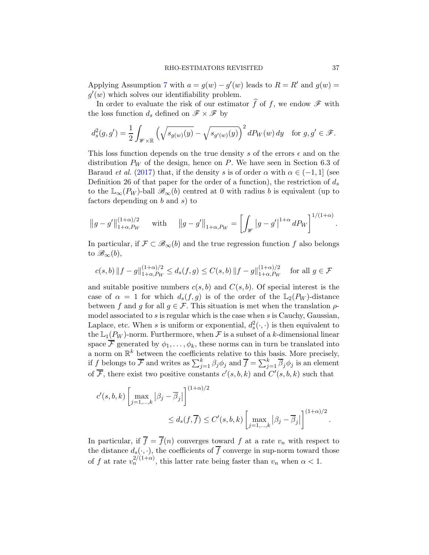Applying Assumption [7](#page-35-0) with  $a = g(w) - g'(w)$  leads to  $R = R'$  and  $g(w) =$  $g'(w)$  which solves our identifiability problem.

In order to evaluate the risk of our estimator  $\widehat{f}$  of  $f$ , we endow  $\mathscr F$  with the loss function  $d_s$  defined on  $\mathscr{F} \times \mathscr{F}$  by

$$
d_s^2(g,g') = \frac{1}{2} \int_{\mathscr{W} \times \mathbb{R}} \left( \sqrt{s_{g(w)}(y)} - \sqrt{s_{g'(w)}(y)} \right)^2 dP_W(w) \, dy \quad \text{for } g, g' \in \mathscr{F}.
$$

This loss function depends on the true density s of the errors  $\epsilon$  and on the distribution  $P_W$  of the design, hence on P. We have seen in Section 6.3 of Baraud *et al.* [\(2017](#page-39-0)) that, if the density s is of order  $\alpha$  with  $\alpha \in (-1, 1]$  (see Definition 26 of that paper for the order of a function), the restriction of  $d_s$ to the  $\mathbb{L}_{\infty}(P_W)$ -ball  $\mathscr{B}_{\infty}(b)$  centred at 0 with radius b is equivalent (up to factors depending on  $b$  and  $s$ ) to

$$
||g - g'||_{1+\alpha, P_W}^{(1+\alpha)/2}
$$
 with  $||g - g'||_{1+\alpha, P_W} = \left[ \int_{\mathcal{W}} |g - g'|^{1+\alpha} dP_W \right]^{1/(1+\alpha)}$ .

In particular, if  $\mathcal{F} \subset \mathscr{B}_{\infty}(b)$  and the true regression function f also belongs to  $\mathscr{B}_{\infty}(b)$ ,

$$
c(s,b) \|f - g\|_{1+\alpha, P_W}^{(1+\alpha)/2} \le d_s(f,g) \le C(s,b) \|f - g\|_{1+\alpha, P_W}^{(1+\alpha)/2} \quad \text{for all } g \in \mathcal{F}
$$

and suitable positive numbers  $c(s, b)$  and  $C(s, b)$ . Of special interest is the case of  $\alpha = 1$  for which  $d_s(f, g)$  is of the order of the  $\mathbb{L}_2(P_W)$ -distance between f and g for all  $g \in \mathcal{F}$ . This situation is met when the translation  $\rho$ model associated to s is regular which is the case when s is Cauchy, Gaussian, Laplace, etc. When s is uniform or exponential,  $d_s^2(\cdot, \cdot)$  is then equivalent to the  $\mathbb{L}_1(P_W)$ -norm. Furthermore, when F is a subset of a k-dimensional linear space  $\overline{\mathcal{F}}$  generated by  $\phi_1, \ldots, \phi_k$ , these norms can in turn be translated into a norm on  $\mathbb{R}^k$  between the coefficients relative to this basis. More precisely, if f belongs to  $\overline{\mathcal{F}}$  and writes as  $\sum_{j=1}^k \beta_j \phi_j$  and  $\overline{f} = \sum_{j=1}^k \overline{\beta}_j \phi_j$  is an element of  $\overline{\mathcal{F}}$ , there exist two positive constants  $c'(s, b, k)$  and  $C'(s, b, k)$  such that

$$
c'(s,b,k) \left[ \max_{j=1,\dots,k} |\beta_j - \overline{\beta}_j| \right]^{(1+\alpha)/2}
$$
  

$$
\leq d_s(f,\overline{f}) \leq C'(s,b,k) \left[ \max_{j=1,\dots,k} |\beta_j - \overline{\beta}_j| \right]^{(1+\alpha)/2}.
$$

In particular, if  $\overline{f} = \overline{f}(n)$  converges toward f at a rate  $v_n$  with respect to the distance  $d_s(\cdot, \cdot)$ , the coefficients of  $\overline{f}$  converge in sup-norm toward those of f at rate  $v_n^{2/(1+\alpha)}$ , this latter rate being faster than  $v_n$  when  $\alpha < 1$ .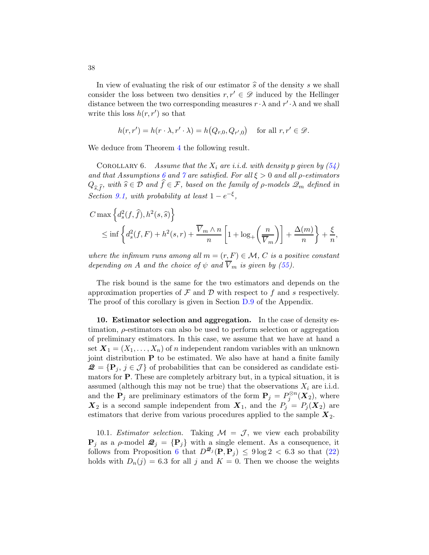In view of evaluating the risk of our estimator  $\hat{s}$  of the density s we shall consider the loss between two densities  $r, r' \in \mathscr{D}$  induced by the Hellinger distance between the two corresponding measures  $r \cdot \lambda$  and  $r' \cdot \lambda$  and we shall write this loss  $h(r, r')$  so that

$$
h(r,r') = h(r \cdot \lambda, r' \cdot \lambda) = h\big(Q_{r,0}, Q_{r',0}\big) \text{ for all } r, r' \in \mathcal{D}.
$$

We deduce from Theorem [4](#page-34-0) the following result.

<span id="page-37-0"></span>COROLLARY 6. Assume that the  $X_i$  are i.i.d. with density p given by  $(54)$ and that Assumptions [6](#page-33-1) and [7](#page-35-0) are satisfied. For all  $\xi > 0$  and all  $\rho$ -estimators  $Q_{\hat{\varepsilon}}\hat{f}$ , with  $\hat{s}\in\mathcal{D}$  and  $\hat{f}\in\mathcal{F}$ , based on the family of  $\rho$ -models  $\mathscr{Q}_m$  defined in Section [9.1,](#page-33-2) with probability at least  $1 - e^{-\xi}$ ,

$$
C \max \left\{ d_s^2(f, \hat{f}), h^2(s, \hat{s}) \right\}
$$
  
\$\leq\$ inf  $\left\{ d_s^2(f, F) + h^2(s, r) + \frac{\overline{V}_m \wedge n}{n} \left[ 1 + \log_+\left(\frac{n}{\overline{V}_m}\right) \right] + \frac{\Delta(m)}{n} \right\} + \frac{\xi}{n},$ 

where the infimum runs among all  $m = (r, F) \in \mathcal{M}$ , C is a positive constant depending on A and the choice of  $\psi$  and  $\overline{V}_m$  is given by [\(55\)](#page-33-3).

The risk bound is the same for the two estimators and depends on the approximation properties of  $\mathcal F$  and  $\mathcal D$  with respect to  $f$  and  $s$  respectively. The proof of this corollary is given in Section [D.9](#page-70-0) of the Appendix.

10. Estimator selection and aggregation. In the case of density estimation,  $\rho$ -estimators can also be used to perform selection or aggregation of preliminary estimators. In this case, we assume that we have at hand a set  $X_1 = (X_1, \ldots, X_n)$  of n independent random variables with an unknown joint distribution P to be estimated. We also have at hand a finite family  $\mathcal{Q} = \{P_j, j \in \mathcal{J}\}\$  of probabilities that can be considered as candidate estimators for P. These are completely arbitrary but, in a typical situation, it is assumed (although this may not be true) that the observations  $X_i$  are i.i.d. and the  $P_j$  are preliminary estimators of the form  $P_j = P_j^{\otimes n}(X_2)$ , where  $\mathbf{X}_2$  is a second sample independent from  $\mathbf{X}_1$ , and the  $P_j = P_j(\mathbf{X}_2)$  are estimators that derive from various procedures applied to the sample  $X_2$ .

10.1. Estimator selection. Taking  $\mathcal{M} = \mathcal{J}$ , we view each probability  ${\bf P}_j$  as a  $\rho$ -model  ${\bf \mathcal{Q}}_j = {\bf P}_j$  with a single element. As a consequence, it follows from Proposition [6](#page-23-0) that  $D^{\mathcal{Q}_j}(\mathbf{P}, \mathbf{P}_j) \leq 9 \log 2 < 6.3$  so that [\(22\)](#page-14-0) holds with  $D_n(j) = 6.3$  for all j and  $K = 0$ . Then we choose the weights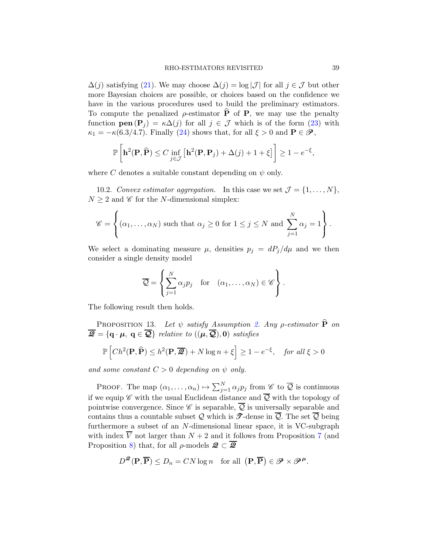$\Delta(j)$  satisfying [\(21\)](#page-14-1). We may choose  $\Delta(j) = \log |\mathcal{J}|$  for all  $j \in \mathcal{J}$  but other more Bayesian choices are possible, or choices based on the confidence we have in the various procedures used to build the preliminary estimators. To compute the penalized  $\rho$ -estimator  $\hat{P}$  of P, we may use the penalty function  $pen(P_i) = \kappa \Delta(j)$  for all  $j \in \mathcal{J}$  which is of the form  $(23)$  with  $\kappa_1 = -\kappa(6.3/4.7)$ . Finally [\(24\)](#page-14-3) shows that, for all  $\xi > 0$  and  $\mathbf{P} \in \mathcal{P}$ ,

$$
\mathbb{P}\left[\mathbf{h}^2(\mathbf{P},\widehat{\mathbf{P}})\leq C\inf_{j\in\mathcal{J}}\left[\mathbf{h}^2(\mathbf{P},\mathbf{P}_j)+\Delta(j)+1+\xi\right]\right]\geq 1-e^{-\xi},
$$

where C denotes a suitable constant depending on  $\psi$  only.

10.2. Convex estimator aggregation. In this case we set  $\mathcal{J} = \{1, \ldots, N\},\$  $N \geq 2$  and  $\mathscr C$  for the N-dimensional simplex:

$$
\mathscr{C} = \left\{ (\alpha_1, \dots, \alpha_N) \text{ such that } \alpha_j \ge 0 \text{ for } 1 \le j \le N \text{ and } \sum_{j=1}^N \alpha_j = 1 \right\}.
$$

We select a dominating measure  $\mu$ , densities  $p_j = dP_j/d\mu$  and we then consider a single density model

$$
\overline{\mathcal{Q}} = \left\{ \sum_{j=1}^N \alpha_j p_j \quad \text{for} \quad (\alpha_1, \dots, \alpha_N) \in \mathscr{C} \right\}.
$$

The following result then holds.

PROPOSITION 13. Let  $\psi$  satisfy Assumption [2.](#page-10-0) Any *ρ*-estimator  $\widehat{P}$  on  $\overline{\mathcal{Q}} = \{ \mathbf{q} \cdot \boldsymbol{\mu}, \ \mathbf{q} \in \overline{\mathcal{Q}} \}$  relative to  $((\boldsymbol{\mu}, \overline{\mathcal{Q}}), 0)$  satisfies

$$
\mathbb{P}\left[Ch^2(\mathbf{P}, \widehat{\mathbf{P}}) \le h^2(\mathbf{P}, \overline{\mathcal{Q}}) + N \log n + \xi\right] \ge 1 - e^{-\xi}, \quad \text{for all } \xi > 0
$$

and some constant  $C > 0$  depending on  $\psi$  only.

PROOF. The map  $(\alpha_1, \ldots, \alpha_n) \mapsto \sum_{j=1}^N \alpha_j p_j$  from  $\mathscr{C}$  to  $\overline{\mathcal{Q}}$  is continuous if we equip  $\mathscr C$  with the usual Euclidean distance and  $\overline{\mathcal Q}$  with the topology of pointwise convergence. Since  $\mathscr C$  is separable,  $\overline{\mathcal Q}$  is universally separable and contains thus a countable subset Q which is  $\mathcal{T}$ -dense in  $\overline{Q}$ . The set  $\overline{Q}$  being furthermore a subset of an N-dimensional linear space, it is VC-subgraph with index  $\overline{V}$  not larger than  $N+2$  and it follows from Proposition [7](#page-25-0) (and Proposition [8\)](#page-26-0) that, for all  $\rho$ -models  $\mathcal{Q} \subset \overline{\mathcal{Q}}$ 

$$
D^{\mathcal{Q}}(\mathbf{P}, \overline{\mathbf{P}}) \le D_n = CN \log n \quad \text{for all } (\mathbf{P}, \overline{\mathbf{P}}) \in \mathcal{P} \times \mathcal{P}^{\mu}.
$$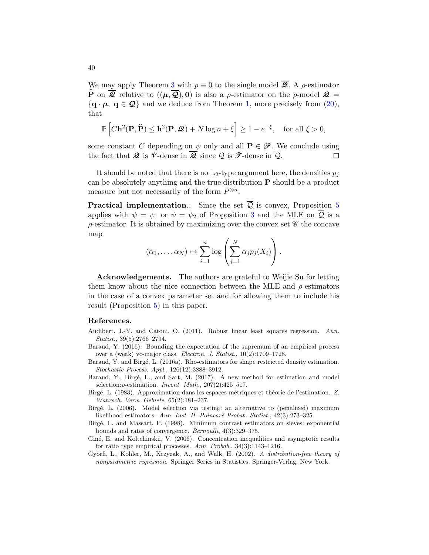We may apply Theorem [3](#page-17-0) with  $p \equiv 0$  to the single model  $\overline{Q}$ . A  $\rho$ -estimator  $\widehat{P}$  on  $\overline{\mathscr{Q}}$  relative to  $((\mu, \overline{\mathscr{Q}}), 0)$  is also a *ρ*-estimator on the *ρ*-model  $\mathscr{Q} =$  $\{q \cdot \mu, q \in \mathcal{Q}\}\$ and we deduce from Theorem [1,](#page-13-0) more precisely from [\(20\)](#page-13-1), that

$$
\mathbb{P}\left[C\mathbf{h}^2(\mathbf{P},\widehat{\mathbf{P}})\leq \mathbf{h}^2(\mathbf{P},\mathbf{\mathcal{Q}})+N\log n+\xi\right]\geq 1-e^{-\xi},\quad \text{for all } \xi>0,
$$

some constant C depending on  $\psi$  only and all  $P \in \mathcal{P}$ . We conclude using the fact that  $\mathcal{Q}$  is  $\mathcal{V}$ -dense in  $\overline{\mathcal{Q}}$  since O is  $\mathcal{T}$ -dense in  $\overline{\mathcal{Q}}$ . the fact that  $\mathcal Q$  is  $\mathcal V$ -dense in  $\overline{\mathcal Q}$  since  $\mathcal Q$  is  $\mathcal T$ -dense in  $\overline{\mathcal Q}$ .

It should be noted that there is no  $\mathbb{L}_2$ -type argument here, the densities  $p_j$ can be absolutely anything and the true distribution P should be a product measure but not necessarily of the form  $P^{\otimes n}$ .

**Practical implementation..** Since the set  $\overline{Q}$  is convex, Proposition [5](#page-20-0) applies with  $\psi = \psi_1$  or  $\psi = \psi_2$  of Proposition [3](#page-11-0) and the MLE on  $\overline{Q}$  is a  $\rho$ -estimator. It is obtained by maximizing over the convex set  $\mathscr C$  the concave map

$$
(\alpha_1, ..., \alpha_N) \mapsto \sum_{i=1}^n \log \left( \sum_{j=1}^N \alpha_j p_j(X_i) \right).
$$

Acknowledgements. The authors are grateful to Weijie Su for letting them know about the nice connection between the MLE and  $\rho$ -estimators in the case of a convex parameter set and for allowing them to include his result (Proposition [5\)](#page-20-0) in this paper.

#### References.

- Audibert, J.-Y. and Catoni, O. (2011). Robust linear least squares regression. *Ann. Statist.*, 39(5):2766–2794.
- <span id="page-39-2"></span>Baraud, Y. (2016). Bounding the expectation of the supremum of an empirical process over a (weak) vc-major class. *Electron. J. Statist.*, 10(2):1709–1728.
- <span id="page-39-1"></span>Baraud, Y. and Birgé, L. (2016a). Rho-estimators for shape restricted density estimation. *Stochastic Process. Appl.*, 126(12):3888–3912.
- <span id="page-39-0"></span>Baraud, Y., Birgé, L., and Sart, M. (2017). A new method for estimation and model selection:ρ-estimation. *Invent. Math.*, 207(2):425–517.
- Birgé, L. (1983). Approximation dans les espaces métriques et théorie de l'estimation. Z. *Wahrsch. Verw. Gebiete*, 65(2):181–237.
- Birg´e, L. (2006). Model selection via testing: an alternative to (penalized) maximum likelihood estimators. Ann. Inst. H. Poincaré Probab. Statist., 42(3):273–325.
- Birg´e, L. and Massart, P. (1998). Minimum contrast estimators on sieves: exponential bounds and rates of convergence. *Bernoulli*, 4(3):329–375.
- Giné, E. and Koltchinskii, V. (2006). Concentration inequalities and asymptotic results for ratio type empirical processes. *Ann. Probab.*, 34(3):1143–1216.
- Gy¨orfi, L., Kohler, M., Krzy˙zak, A., and Walk, H. (2002). *A distribution-free theory of nonparametric regression*. Springer Series in Statistics. Springer-Verlag, New York.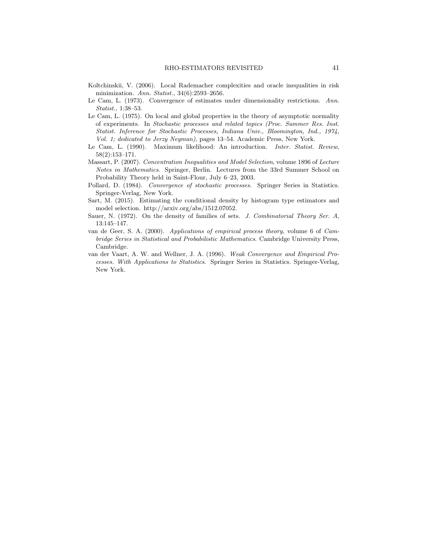- Koltchinskii, V. (2006). Local Rademacher complexities and oracle inequalities in risk minimization. *Ann. Statist.*, 34(6):2593–2656.
- Le Cam, L. (1973). Convergence of estimates under dimensionality restrictions. *Ann. Statist.*, 1:38–53.
- Le Cam, L. (1975). On local and global properties in the theory of asymptotic normality of experiments. In *Stochastic processes and related topics (Proc. Summer Res. Inst. Statist. Inference for Stochastic Processes, Indiana Univ., Bloomington, Ind., 1974, Vol. 1; dedicated to Jerzy Neyman)*, pages 13–54. Academic Press, New York.
- Le Cam, L. (1990). Maximum likelihood: An introduction. *Inter. Statist. Review*, 58(2):153–171.
- <span id="page-40-0"></span>Massart, P. (2007). *Concentration Inequalities and Model Selection*, volume 1896 of *Lecture Notes in Mathematics*. Springer, Berlin. Lectures from the 33rd Summer School on Probability Theory held in Saint-Flour, July 6–23, 2003.
- Pollard, D. (1984). *Convergence of stochastic processes*. Springer Series in Statistics. Springer-Verlag, New York.
- Sart, M. (2015). Estimating the conditional density by histogram type estimators and model selection. http://arxiv.org/abs/1512.07052.
- <span id="page-40-2"></span>Sauer, N. (1972). On the density of families of sets. *J. Combinatorial Theory Ser. A*, 13:145–147.
- van de Geer, S. A. (2000). *Applications of empirical process theory*, volume 6 of *Cambridge Series in Statistical and Probabilistic Mathematics*. Cambridge University Press, Cambridge.
- <span id="page-40-1"></span>van der Vaart, A. W. and Wellner, J. A. (1996). *Weak Convergence and Empirical Processes. With Applications to Statistics*. Springer Series in Statistics. Springer-Verlag, New York.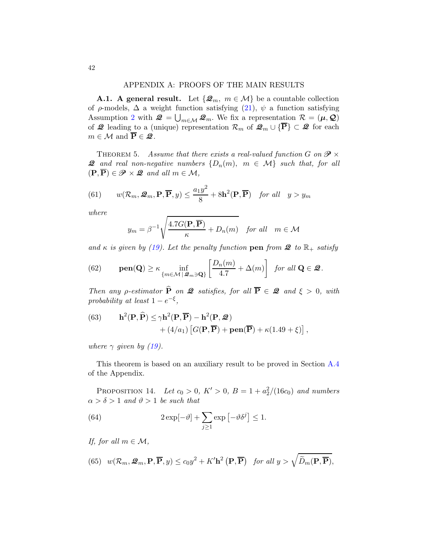# APPENDIX A: PROOFS OF THE MAIN RESULTS

**A.1.** A general result. Let  $\{\mathcal{Q}_m, m \in \mathcal{M}\}\)$  be a countable collection of  $\rho$ -models,  $\Delta$  a weight function satisfying [\(21\)](#page-14-1),  $\psi$  a function satisfying Assumption [2](#page-10-0) with  $\mathcal{Q} = \bigcup_{m \in \mathcal{M}} \mathcal{Q}_m$ . We fix a representation  $\mathcal{R} = (\mu, \mathcal{Q})$ of  $\mathcal{Q}$  leading to a (unique) representation  $\mathcal{R}_m$  of  $\mathcal{Q}_m \cup \{\overline{P}\}\subset \mathcal{Q}$  for each  $m \in \mathcal{M}$  and  $\overline{P} \in \mathcal{Q}$ .

<span id="page-41-0"></span>THEOREM 5. Assume that there exists a real-valued function G on  $\mathcal{P} \times$ **2** and real non-negative numbers  $\{D_n(m), m \in \mathcal{M}\}\$  such that, for all  $(\mathbf{P}, \overline{\mathbf{P}}) \in \mathscr{P} \times \mathscr{Q}$  and all  $m \in \mathcal{M}$ ,

<span id="page-41-1"></span>(61) 
$$
w(\mathcal{R}_m, \mathcal{Q}_m, \mathbf{P}, \overline{\mathbf{P}}, y) \le \frac{a_1 y^2}{8} + 8\mathbf{h}^2(\mathbf{P}, \overline{\mathbf{P}})
$$
 for all  $y > y_m$ 

where

$$
y_m = \beta^{-1} \sqrt{\frac{4.7G(\mathbf{P}, \overline{\mathbf{P}})}{\kappa} + D_n(m)} \quad \text{for all} \quad m \in \mathcal{M}
$$

and  $\kappa$  is given by [\(19\)](#page-13-2). Let the penalty function pen from  $\mathcal{Q}$  to  $\mathbb{R}_+$  satisfy

<span id="page-41-5"></span>(62) 
$$
\mathbf{pen}(\mathbf{Q}) \geq \kappa \inf_{\{m \in \mathcal{M} \mid \mathcal{Q}_m \ni \mathbf{Q}\}} \left[ \frac{D_n(m)}{4.7} + \Delta(m) \right] \text{ for all } \mathbf{Q} \in \mathcal{Q}.
$$

Then any p-estimator  $\widehat{P}$  on  $\mathcal Q$  satisfies, for all  $\overline{P} \in \mathcal Q$  and  $\xi > 0$ , with probability at least  $1-e^{-\xi}$ ,

<span id="page-41-6"></span>(63) 
$$
\mathbf{h}^{2}(\mathbf{P}, \widehat{\mathbf{P}}) \leq \gamma \mathbf{h}^{2}(\mathbf{P}, \overline{\mathbf{P}}) - \mathbf{h}^{2}(\mathbf{P}, \mathcal{Q}) + (4/a_{1}) \left[ G(\mathbf{P}, \overline{\mathbf{P}}) + \mathbf{pen}(\overline{\mathbf{P}}) + \kappa (1.49 + \xi) \right],
$$

where  $\gamma$  given by [\(19\)](#page-13-2).

This theorem is based on an auxiliary result to be proved in Section [A.4](#page-45-0) of the Appendix.

<span id="page-41-3"></span>PROPOSITION 14. Let  $c_0 > 0$ ,  $K' > 0$ ,  $B = 1 + a_2^2/(16c_0)$  and numbers  $\alpha > \delta > 1$  and  $\vartheta > 1$  be such that

<span id="page-41-4"></span>(64) 
$$
2 \exp[-\vartheta] + \sum_{j\geq 1} \exp[-\vartheta \delta^j] \leq 1.
$$

If, for all  $m \in \mathcal{M}$ ,

<span id="page-41-2"></span>(65) 
$$
w(\mathcal{R}_m, \mathcal{Q}_m, \mathbf{P}, \overline{\mathbf{P}}, y) \le c_0 y^2 + K' \mathbf{h}^2 (\mathbf{P}, \overline{\mathbf{P}})
$$
 for all  $y > \sqrt{\widetilde{D}_m(\mathbf{P}, \overline{\mathbf{P}})}$ ,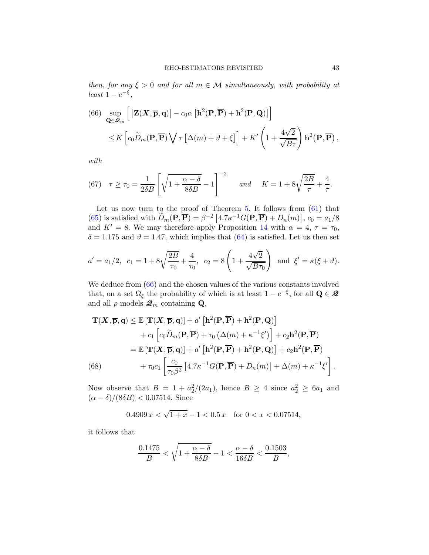then, for any  $\xi > 0$  and for all  $m \in \mathcal{M}$  simultaneously, with probability at  $least 1-e^{-\xi},$ 

<span id="page-42-0"></span>(66) 
$$
\sup_{\mathbf{Q}\in\mathcal{Q}_m} \left[ \left| \mathbf{Z}(\mathbf{X}, \overline{\mathbf{p}}, \mathbf{q}) \right| - c_0 \alpha \left[ \mathbf{h}^2(\mathbf{P}, \overline{\mathbf{P}}) + \mathbf{h}^2(\mathbf{P}, \mathbf{Q}) \right] \right]
$$
  
 
$$
\leq K \left[ c_0 \widetilde{D}_m(\mathbf{P}, \overline{\mathbf{P}}) \bigvee \tau \left[ \Delta(m) + \vartheta + \xi \right] \right] + K' \left( 1 + \frac{4\sqrt{2}}{\sqrt{B\tau}} \right) \mathbf{h}^2(\mathbf{P}, \overline{\mathbf{P}}),
$$

with

<span id="page-42-2"></span>(67) 
$$
\tau \ge \tau_0 = \frac{1}{2\delta B} \left[ \sqrt{1 + \frac{\alpha - \delta}{8\delta B}} - 1 \right]^{-2}
$$
 and  $K = 1 + 8\sqrt{\frac{2B}{\tau}} + \frac{4}{\tau}$ .

Let us now turn to the proof of Theorem  $5$ . It follows from  $(61)$  that [\(65\)](#page-41-2) is satisfied with  $\widetilde{D}_m(\mathbf{P}, \overline{\mathbf{P}}) = \beta^{-2} [4.7 \kappa^{-1} G(\mathbf{P}, \overline{\mathbf{P}}) + D_n(m)], c_0 = a_1/8$ and  $K' = 8$ . We may therefore apply Proposition [14](#page-41-3) with  $\alpha = 4, \tau = \tau_0$ ,  $\delta = 1.175$  and  $\vartheta = 1.47$ , which implies that [\(64\)](#page-41-4) is satisfied. Let us then set

$$
a' = a_1/2
$$
,  $c_1 = 1 + 8\sqrt{\frac{2B}{\tau_0}} + \frac{4}{\tau_0}$ ,  $c_2 = 8\left(1 + \frac{4\sqrt{2}}{\sqrt{B\tau_0}}\right)$  and  $\xi' = \kappa(\xi + \vartheta)$ .

We deduce from  $(66)$  and the chosen values of the various constants involved that, on a set  $\Omega_{\xi}$  the probability of which is at least  $1 - e^{-\xi}$ , for all  $\mathbf{Q} \in \mathcal{Q}$ and all  $\rho$ -models  $\mathcal{Q}_m$  containing **Q**,

$$
\mathbf{T}(\mathbf{X}, \overline{\mathbf{p}}, \mathbf{q}) \leq \mathbb{E} [\mathbf{T}(\mathbf{X}, \overline{\mathbf{p}}, \mathbf{q})] + a' [\mathbf{h}^2(\mathbf{P}, \overline{\mathbf{P}}) + \mathbf{h}^2(\mathbf{P}, \mathbf{Q})]
$$
  
+  $c_1 [c_0 \widetilde{D}_m(\mathbf{P}, \overline{\mathbf{P}}) + \tau_0 (\Delta(m) + \kappa^{-1} \xi')] + c_2 \mathbf{h}^2(\mathbf{P}, \overline{\mathbf{P}})$   
=  $\mathbb{E} [\mathbf{T}(\mathbf{X}, \overline{\mathbf{p}}, \mathbf{q})] + a' [\mathbf{h}^2(\mathbf{P}, \overline{\mathbf{P}}) + \mathbf{h}^2(\mathbf{P}, \mathbf{Q})] + c_2 \mathbf{h}^2(\mathbf{P}, \overline{\mathbf{P}})$   
(68)  $+ \tau_0 c_1 \left[ \frac{c_0}{\tau_0 \beta^2} [4.7 \kappa^{-1} G(\mathbf{P}, \overline{\mathbf{P}}) + D_n(m)] + \Delta(m) + \kappa^{-1} \xi' \right].$ 

<span id="page-42-1"></span>Now observe that  $B = 1 + a_2^2/(2a_1)$ , hence  $B \ge 4$  since  $a_2^2 \ge 6a_1$  and  $(\alpha - \delta)/(8\delta B) < 0.07514$ . Since

 $0.4909 x < \sqrt{1+x} - 1 < 0.5 x$  for  $0 < x < 0.07514$ ,

it follows that

$$
\frac{0.1475}{B}<\sqrt{1+\frac{\alpha-\delta}{8\delta B}}-1<\frac{\alpha-\delta}{16\delta B}<\frac{0.1503}{B},
$$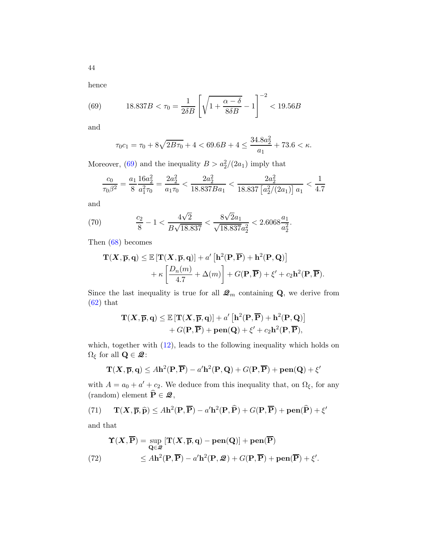hence

(69) 
$$
18.837B < \tau_0 = \frac{1}{2\delta B} \left[ \sqrt{1 + \frac{\alpha - \delta}{8\delta B}} - 1 \right]^{-2} < 19.56B
$$

and

<span id="page-43-0"></span>
$$
\tau_0 c_1 = \tau_0 + 8\sqrt{2B\tau_0} + 4 < 69.6B + 4 \le \frac{34.8a_2^2}{a_1} + 73.6 < \kappa.
$$

Moreover, [\(69\)](#page-43-0) and the inequality  $B > a_2^2/(2a_1)$  imply that

$$
\frac{c_0}{\tau_0 \beta^2} = \frac{a_1}{8} \frac{16a_2^2}{a_1^2 \tau_0} = \frac{2a_2^2}{a_1 \tau_0} < \frac{2a_2^2}{18.837 Ba_1} < \frac{2a_2^2}{18.837 \left[a_2^2/(2a_1)\right] a_1} < \frac{1}{4.7}
$$

and

<span id="page-43-3"></span>(70) 
$$
\frac{c_2}{8} - 1 < \frac{4\sqrt{2}}{B\sqrt{18.837}} < \frac{8\sqrt{2}a_1}{\sqrt{18.837}a_2^2} < 2.6068\frac{a_1}{a_2^2}.
$$

Then [\(68\)](#page-42-1) becomes

$$
\mathbf{T}(X,\overline{\mathbf{p}},\mathbf{q}) \leq \mathbb{E}\left[\mathbf{T}(X,\overline{\mathbf{p}},\mathbf{q})\right] + a'\left[\mathbf{h}^{2}(\mathbf{P},\overline{\mathbf{P}}) + \mathbf{h}^{2}(\mathbf{P},\mathbf{Q})\right] + \kappa \left[\frac{D_{n}(m)}{4.7} + \Delta(m)\right] + G(\mathbf{P},\overline{\mathbf{P}}) + \xi' + c_{2}\mathbf{h}^{2}(\mathbf{P},\overline{\mathbf{P}}).
$$

Since the last inequality is true for all  $\mathcal{Q}_m$  containing **Q**, we derive from  $(62)$  that

$$
\mathbf{T}(\mathbf{X}, \overline{\mathbf{p}}, \mathbf{q}) \leq \mathbb{E} \left[ \mathbf{T}(\mathbf{X}, \overline{\mathbf{p}}, \mathbf{q}) \right] + a' \left[ \mathbf{h}^2(\mathbf{P}, \overline{\mathbf{P}}) + \mathbf{h}^2(\mathbf{P}, \mathbf{Q}) \right] + G(\mathbf{P}, \overline{\mathbf{P}}) + \mathbf{pen}(\mathbf{Q}) + \xi' + c_2 \mathbf{h}^2(\mathbf{P}, \overline{\mathbf{P}}),
$$

which, together with  $(12)$ , leads to the following inequality which holds on  $\Omega_\xi$  for all  $\mathbf{Q} \in \mathbf{\mathcal{Q}}$ :

$$
\mathbf{T}(\mathbf{X},\overline{\mathbf{p}},\mathbf{q}) \leq A\mathbf{h}^2(\mathbf{P},\overline{\mathbf{P}}) - a'\mathbf{h}^2(\mathbf{P},\mathbf{Q}) + G(\mathbf{P},\overline{\mathbf{P}}) + \mathbf{pen}(\mathbf{Q}) + \xi'
$$

with  $A = a_0 + a' + c_2$ . We deduce from this inequality that, on  $\Omega_{\xi}$ , for any (random) element  $\widehat{\mathbf{P}} \in \mathcal{Q}$ ,

<span id="page-43-1"></span>(71) 
$$
\mathbf{T}(\mathbf{X}, \overline{\mathbf{p}}, \widehat{\mathbf{p}}) \leq A\mathbf{h}^{2}(\mathbf{P}, \overline{\mathbf{P}}) - a'\mathbf{h}^{2}(\mathbf{P}, \widehat{\mathbf{P}}) + G(\mathbf{P}, \overline{\mathbf{P}}) + \mathbf{pen}(\widehat{\mathbf{P}}) + \xi'
$$

and that

<span id="page-43-2"></span>
$$
\Upsilon(X,\overline{P}) = \sup_{\mathbf{Q} \in \mathcal{Q}} [\mathbf{T}(X,\overline{\mathbf{p}},\mathbf{q}) - \mathbf{pen}(\mathbf{Q})] + \mathbf{pen}(\overline{P})
$$
  
(72)  

$$
\leq A\mathbf{h}^{2}(\mathbf{P},\overline{P}) - a'\mathbf{h}^{2}(\mathbf{P},\mathcal{Q}) + G(\mathbf{P},\overline{P}) + \mathbf{pen}(\overline{P}) + \xi'.
$$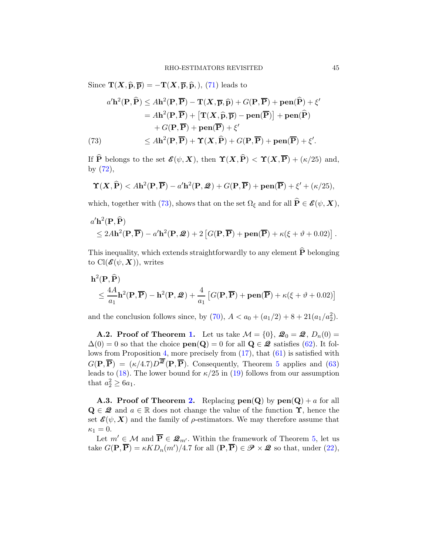Since  $\mathbf{T}(\mathbf{X}, \hat{\mathbf{p}}, \overline{\mathbf{p}}) = -\mathbf{T}(\mathbf{X}, \overline{\mathbf{p}}, \hat{\mathbf{p}},),$  [\(71\)](#page-43-1) leads to

(73)  
\n
$$
a' \mathbf{h}^{2}(\mathbf{P}, \widehat{\mathbf{P}}) \leq A \mathbf{h}^{2}(\mathbf{P}, \overline{\mathbf{P}}) - \mathbf{T}(\mathbf{X}, \overline{\mathbf{p}}, \widehat{\mathbf{p}}) + G(\mathbf{P}, \overline{\mathbf{P}}) + \mathbf{pen}(\widehat{\mathbf{P}}) + \xi'
$$
\n
$$
= A \mathbf{h}^{2}(\mathbf{P}, \overline{\mathbf{P}}) + [\mathbf{T}(\mathbf{X}, \widehat{\mathbf{p}}, \overline{\mathbf{p}}) - \mathbf{pen}(\overline{\mathbf{P}})] + \mathbf{pen}(\widehat{\mathbf{P}})
$$
\n
$$
+ G(\mathbf{P}, \overline{\mathbf{P}}) + \mathbf{pen}(\overline{\mathbf{P}}) + \xi'
$$
\n
$$
\leq A \mathbf{h}^{2}(\mathbf{P}, \overline{\mathbf{P}}) + \mathbf{T}(\mathbf{X}, \widehat{\mathbf{P}}) + G(\mathbf{P}, \overline{\mathbf{P}}) + \mathbf{pen}(\overline{\mathbf{P}}) + \xi'.
$$

<span id="page-44-0"></span>If  $\widehat{P}$  belongs to the set  $\mathscr{E}(\psi, X)$ , then  $\Upsilon(X, \widehat{P}) < \Upsilon(X, \overline{P}) + (\kappa/25)$  and, by [\(72\)](#page-43-2),

$$
\Upsilon(X,\widehat{\mathbf{P}}) < A\mathbf{h}^{2}(\mathbf{P},\overline{\mathbf{P}}) - a'\mathbf{h}^{2}(\mathbf{P},\mathcal{Q}) + G(\mathbf{P},\overline{\mathbf{P}}) + \mathbf{pen}(\overline{\mathbf{P}}) + \xi' + (\kappa/25),
$$

which, together with [\(73\)](#page-44-0), shows that on the set  $\Omega_{\xi}$  and for all  $\widehat{P} \in \mathscr{E}(\psi, \mathbf{X}),$ 

$$
a'\mathbf{h}^{2}(\mathbf{P},\widehat{\mathbf{P}})
$$
  
\$\leq 2A\mathbf{h}^{2}(\mathbf{P},\overline{\mathbf{P}}) - a'\mathbf{h}^{2}(\mathbf{P},\mathcal{Q}) + 2 [G(\mathbf{P},\overline{\mathbf{P}}) + \mathbf{pen}(\overline{\mathbf{P}}) + \kappa(\xi + \vartheta + 0.02)].

This inequality, which extends straightforwardly to any element  $\widehat{P}$  belonging to  $\text{Cl}(\mathcal{E}(\psi,\bm{X}))$ , writes

$$
\mathbf{h}^{2}(\mathbf{P}, \widehat{\mathbf{P}})
$$
  
 
$$
\leq \frac{4A}{a_{1}} \mathbf{h}^{2}(\mathbf{P}, \overline{\mathbf{P}}) - \mathbf{h}^{2}(\mathbf{P}, \mathcal{Q}) + \frac{4}{a_{1}} \left[ G(\mathbf{P}, \overline{\mathbf{P}}) + \mathbf{pen}(\overline{\mathbf{P}}) + \kappa(\xi + \vartheta + 0.02) \right]
$$

and the conclusion follows since, by  $(70)$ ,  $A < a_0 + (a_1/2) + 8 + 21(a_1/a_2^2)$ .

**A.2. Proof of Theorem [1.](#page-13-0)** Let us take  $\mathcal{M} = \{0\}$ ,  $\mathcal{Q}_0 = \mathcal{Q}$ ,  $D_n(0) =$  $\Delta(0) = 0$  so that the choice  $pen(Q) = 0$  for all  $Q \in \mathcal{Q}$  satisfies [\(62\)](#page-41-5). It follows from Proposition [4,](#page-12-0) more precisely from [\(17\)](#page-12-1), that [\(61\)](#page-41-1) is satisfied with  $G(\mathbf{P}, \overline{\mathbf{P}}) = (\kappa/4.7)D^{\overline{2\mathbf{Z}}}(\mathbf{P}, \overline{\mathbf{P}})$ . Consequently, Theorem [5](#page-41-0) applies and [\(63\)](#page-41-6) leads to [\(18\)](#page-13-3). The lower bound for  $\kappa/25$  in [\(19\)](#page-13-2) follows from our assumption that  $a_2^2 \ge 6a_1$ .

**A.3. Proof of Theorem [2.](#page-14-4)** Replacing  $pen(Q)$  by  $pen(Q) + a$  for all  $\mathbf{Q} \in \mathcal{Q}$  and  $a \in \mathbb{R}$  does not change the value of the function  $\Upsilon$ , hence the set  $\mathcal{E}(\psi, X)$  and the family of  $\rho$ -estimators. We may therefore assume that  $\kappa_1=0.$ 

Let  $m' \in \mathcal{M}$  and  $\overline{P} \in \mathcal{Q}_{m'}$ . Within the framework of Theorem [5,](#page-41-0) let us take  $G(\mathbf{P}, \overline{\mathbf{P}}) = \kappa K D_n(m') / 4.7$  for all  $(\mathbf{P}, \overline{\mathbf{P}}) \in \mathscr{P} \times \mathscr{Q}$  so that, under [\(22\)](#page-14-0),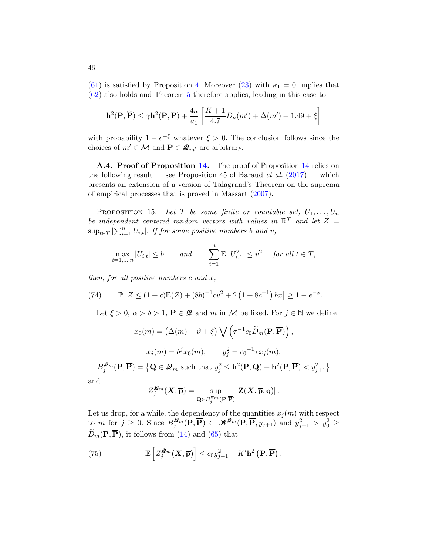[\(61\)](#page-41-1) is satisfied by Proposition [4.](#page-12-0) Moreover [\(23\)](#page-14-2) with  $\kappa_1 = 0$  implies that [\(62\)](#page-41-5) also holds and Theorem [5](#page-41-0) therefore applies, leading in this case to

$$
\mathbf{h}^{2}(\mathbf{P}, \widehat{\mathbf{P}}) \leq \gamma \mathbf{h}^{2}(\mathbf{P}, \overline{\mathbf{P}}) + \frac{4\kappa}{a_{1}} \left[ \frac{K+1}{4.7} D_{n}(m') + \Delta(m') + 1.49 + \xi \right]
$$

with probability  $1 - e^{-\xi}$  whatever  $\xi > 0$ . The conclusion follows since the choices of  $m' \in \mathcal{M}$  and  $\overline{\mathbf{P}} \in \mathcal{Q}_{m'}$  are arbitrary.

<span id="page-45-0"></span>A.4. Proof of Proposition [14.](#page-41-3) The proof of Proposition [14](#page-41-3) relies on the following result — see Proposition 45 of Baraud *et al.*  $(2017)$  $(2017)$  — which presents an extension of a version of Talagrand's Theorem on the suprema of empirical processes that is proved in Massart [\(2007](#page-40-0)).

<span id="page-45-1"></span>PROPOSITION 15. Let T be some finite or countable set,  $U_1, \ldots, U_n$ be independent centered random vectors with values in  $\mathbb{R}^T$  and let  $Z =$  $\sup_{t \in T} |\sum_{i=1}^n U_{i,t}|$ . If for some positive numbers b and v,

$$
\max_{i=1,\dots,n}|U_{i,t}| \le b \qquad \text{and} \qquad \sum_{i=1}^n \mathbb{E}\left[U_{i,t}^2\right] \le v^2 \quad \text{ for all } t \in T,
$$

then, for all positive numbers  $c$  and  $x$ ,

(74) 
$$
\mathbb{P}\left[Z \le (1+c)\mathbb{E}(Z) + (8b)^{-1}cv^2 + 2(1+8c^{-1})bx\right] \ge 1 - e^{-x}.
$$

<span id="page-45-2"></span>Let  $\xi > 0$ ,  $\alpha > \delta > 1$ ,  $\overline{P} \in \mathcal{Q}$  and m in M be fixed. For  $j \in \mathbb{N}$  we define

$$
x_0(m) = (\Delta(m) + \vartheta + \xi) \bigvee \left(\tau^{-1} c_0 \widetilde{D}_m(\mathbf{P}, \overline{\mathbf{P}})\right),
$$

$$
x_j(m) = \delta^j x_0(m), \qquad y_j^2 = c_0^{-1} \tau x_j(m),
$$

$$
\mathbf{P} \overline{\mathbf{P}} = \{ \mathbf{Q} \in \mathcal{Q}_m \text{ such that } y_i^2 \le \mathbf{h}^2(\mathbf{P} \mathbf{Q}) + \mathbf{h}^2(\mathbf{P} \overline{\mathbf{P}}) \le \varepsilon \}
$$

 $B_j^{\mathcal{Q}_m}(\mathbf{P}, \overline{\mathbf{P}}) = \left\{ \mathbf{Q} \in \mathcal{Q}_m \text{ such that } y_j^2 \leq \mathbf{h}^2(\mathbf{P}, \mathbf{Q}) + \mathbf{h}^2(\mathbf{P}, \overline{\mathbf{P}}) < y_{j+1}^2 \right\}$ 

and

$$
Z_j^{\mathcal{Q}_m}(\boldsymbol{X}, \overline{\mathbf{p}}) = \sup_{\mathbf{Q} \in B_j^{\mathcal{Q}_m}(\mathbf{P}, \overline{\mathbf{P}})} \left| \mathbf{Z}(\boldsymbol{X}, \overline{\mathbf{p}}, \mathbf{q}) \right|.
$$

Let us drop, for a while, the dependency of the quantities  $x_i(m)$  with respect to *m* for  $j \geq 0$ . Since  $B_j^{\mathcal{Q}_m}(\mathbf{P}, \overline{\mathbf{P}}) \subset \mathscr{B}^{\mathcal{Q}_m}(\mathbf{P}, \overline{\mathbf{P}}, y_{j+1})$  and  $y_{j+1}^2 > y_0^2 \geq$  $\widetilde{D}_m(\mathbf{P}, \overline{\mathbf{P}})$ , it follows from [\(14\)](#page-12-2) and [\(65\)](#page-41-2) that

<span id="page-45-3"></span>(75) 
$$
\mathbb{E}\left[Z_j^{\mathcal{Q}_m}(\boldsymbol{X},\overline{\mathbf{p}})\right] \leq c_0 y_{j+1}^2 + K' \mathbf{h}^2\left(\mathbf{P},\overline{\mathbf{P}}\right).
$$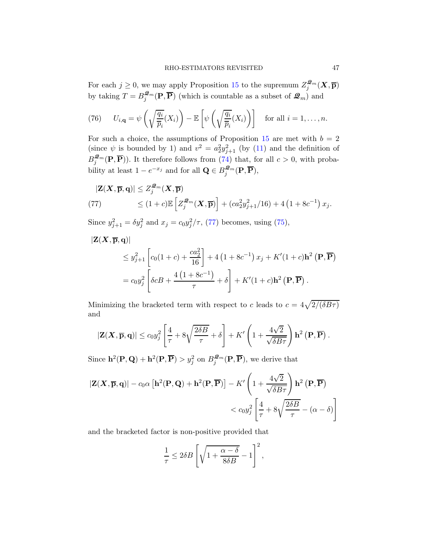For each  $j \geq 0$ , we may apply Proposition [15](#page-45-1) to the supremum  $Z_j^{\mathcal{Q}_m}(\mathbf{X}, \overline{\mathbf{p}})$ by taking  $T = B_j^{\mathcal{Q}_m}(\mathbf{P}, \overline{\mathbf{P}})$  (which is countable as a subset of  $\mathcal{Q}_m$ ) and

(76) 
$$
U_{i,\mathbf{q}} = \psi\left(\sqrt{\frac{q_i}{\overline{p}_i}}(X_i)\right) - \mathbb{E}\left[\psi\left(\sqrt{\frac{q_i}{\overline{p}_i}}(X_i)\right)\right]
$$
 for all  $i = 1, ..., n$ .

For such a choice, the assumptions of Proposition [15](#page-45-1) are met with  $b = 2$ (since  $\psi$  is bounded by 1) and  $v^2 = a_2^2 y_{j+1}^2$  (by [\(11\)](#page-10-2) and the definition of  $B_j^{\mathcal{Q}_m}(\mathbf{P}, \overline{\mathbf{P}})$ . It therefore follows from [\(74\)](#page-45-2) that, for all  $c > 0$ , with probability at least  $1 - e^{-x_j}$  and for all  $\mathbf{Q} \in B_j^{\mathcal{Q}_m}(\mathbf{P}, \overline{\mathbf{P}})$ ,

<span id="page-46-0"></span>
$$
|\mathbf{Z}(\mathbf{X}, \overline{\mathbf{p}}, \mathbf{q})| \leq Z_j^{\mathcal{Q}_m}(\mathbf{X}, \overline{\mathbf{p}})
$$
  
(77) 
$$
\leq (1+c) \mathbb{E} \left[ Z_j^{\mathcal{Q}_m}(\mathbf{X}, \overline{\mathbf{p}}) \right] + (ca_2^2 y_{j+1}^2/16) + 4 \left( 1 + 8c^{-1} \right) x_j.
$$

Since  $y_{j+1}^2 = \delta y_j^2$  and  $x_j = c_0 y_j^2 / \tau$ , [\(77\)](#page-46-0) becomes, using [\(75\)](#page-45-3),

$$
\begin{split} |\mathbf{Z}(\mathbf{X}, \overline{\mathbf{p}}, \mathbf{q})| \\ &\leq y_{j+1}^2 \left[ c_0(1+c) + \frac{ca_2^2}{16} \right] + 4\left(1 + 8c^{-1}\right)x_j + K'(1+c)\mathbf{h}^2\left(\mathbf{P}, \overline{\mathbf{P}}\right) \\ &= c_0 y_j^2 \left[ \delta c B + \frac{4\left(1 + 8c^{-1}\right)}{\tau} + \delta \right] + K'(1+c)\mathbf{h}^2\left(\mathbf{P}, \overline{\mathbf{P}}\right). \end{split}
$$

Minimizing the bracketed term with respect to c leads to  $c = 4\sqrt{2/(\delta B\tau)}$ and

$$
|\mathbf{Z}(\mathbf{X}, \overline{\mathbf{p}}, \mathbf{q})| \leq c_0 y_j^2 \left[ \frac{4}{\tau} + 8\sqrt{\frac{2\delta B}{\tau}} + \delta \right] + K' \left( 1 + \frac{4\sqrt{2}}{\sqrt{\delta B \tau}} \right) \mathbf{h}^2 \left( \mathbf{P}, \overline{\mathbf{P}} \right).
$$

Since  $\mathbf{h}^2(\mathbf{P}, \mathbf{Q}) + \mathbf{h}^2(\mathbf{P}, \overline{\mathbf{P}}) > y_j^2$  on  $B_j^{\mathcal{Q}_m}(\mathbf{P}, \overline{\mathbf{P}})$ , we derive that

$$
\begin{aligned} |\mathbf{Z}(\mathbf{X}, \overline{\mathbf{p}}, \mathbf{q})| - c_0 \alpha \left[ \mathbf{h}^2(\mathbf{P}, \mathbf{Q}) + \mathbf{h}^2(\mathbf{P}, \overline{\mathbf{P}}) \right] - K' \left( 1 + \frac{4\sqrt{2}}{\sqrt{\delta B \tau}} \right) \mathbf{h}^2 \left( \mathbf{P}, \overline{\mathbf{P}} \right) \\ &< c_0 y_j^2 \left[ \frac{4}{\tau} + 8\sqrt{\frac{2\delta B}{\tau}} - (\alpha - \delta) \right] \end{aligned}
$$

and the bracketed factor is non-positive provided that

$$
\frac{1}{\tau} \le 2\delta B \left[ \sqrt{1 + \frac{\alpha - \delta}{8\delta B}} - 1 \right]^2,
$$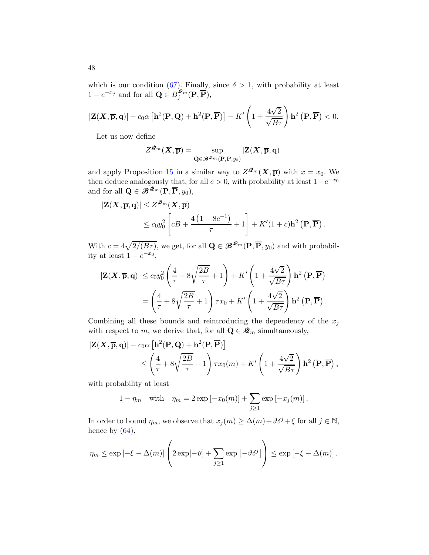which is our condition [\(67\)](#page-42-2). Finally, since  $\delta > 1$ , with probability at least  $1 - e^{-x_j}$  and for all  $\mathbf{Q} \in B_j^{\mathcal{Q}_m}(\mathbf{P}, \overline{\mathbf{P}}),$ 

$$
|\mathbf{Z}(\mathbf{X},\overline{\mathbf{p}},\mathbf{q})| - c_0\alpha \left[\mathbf{h}^2(\mathbf{P},\mathbf{Q}) + \mathbf{h}^2(\mathbf{P},\overline{\mathbf{P}})\right] - K'\left(1 + \frac{4\sqrt{2}}{\sqrt{B\tau}}\right)\mathbf{h}^2(\mathbf{P},\overline{\mathbf{P}}) < 0.
$$

Let us now define

$$
Z^{\boldsymbol{\mathcal{Q}}_m}(\boldsymbol{X}, \overline{\mathbf{p}}) = \sup_{\mathbf{Q} \in \boldsymbol{\mathscr{B}}^{\boldsymbol{\mathcal{Q}}_m}(\mathbf{P}, \overline{\mathbf{P}}, y_0)} |\mathbf{Z}(\boldsymbol{X}, \overline{\mathbf{p}}, \mathbf{q})|
$$

and apply Proposition [15](#page-45-1) in a similar way to  $Z^{\mathcal{Q}_m}(\mathbf{X}, \overline{\mathbf{p}})$  with  $x = x_0$ . We then deduce analogously that, for all  $c > 0$ , with probability at least  $1-e^{-x_0}$ and for all  $\mathbf{Q} \in \mathscr{B}^{\mathscr{Q}_m}(\mathbf{P}, \overline{\mathbf{P}}, y_0)$ ,

$$
\begin{aligned} |\mathbf{Z}(\mathbf{X}, \overline{\mathbf{p}}, \mathbf{q})| &\leq Z^{\mathcal{Q}_m}(\mathbf{X}, \overline{\mathbf{p}}) \\ &\leq c_0 y_0^2 \left[ cB + \frac{4\left(1 + 8c^{-1}\right)}{\tau} + 1 \right] + K'(1+c)\mathbf{h}^2\left(\mathbf{P}, \overline{\mathbf{P}}\right). \end{aligned}
$$

With  $c = 4\sqrt{2/(B\tau)}$ , we get, for all  $\mathbf{Q} \in \mathscr{B}^{2m}(\mathbf{P}, \overline{\mathbf{P}}, y_0)$  and with probability at least  $1 - e^{-x_0}$ ,

$$
\begin{split} |\mathbf{Z}(\mathbf{X}, \overline{\mathbf{p}}, \mathbf{q})| &\leq c_0 y_0^2 \left( \frac{4}{\tau} + 8\sqrt{\frac{2B}{\tau}} + 1 \right) + K' \left( 1 + \frac{4\sqrt{2}}{\sqrt{B\tau}} \right) \mathbf{h}^2 \left( \mathbf{P}, \overline{\mathbf{P}} \right) \\ &= \left( \frac{4}{\tau} + 8\sqrt{\frac{2B}{\tau}} + 1 \right) \tau x_0 + K' \left( 1 + \frac{4\sqrt{2}}{\sqrt{B\tau}} \right) \mathbf{h}^2 \left( \mathbf{P}, \overline{\mathbf{P}} \right). \end{split}
$$

Combining all these bounds and reintroducing the dependency of the  $x_j$ with respect to m, we derive that, for all  $\mathbf{Q} \in \mathcal{Q}_m$  simultaneously,

$$
\begin{split} |\mathbf{Z}(\mathbf{X}, \overline{\mathbf{p}}, \mathbf{q})| - c_0 \alpha \left[ \mathbf{h}^2(\mathbf{P}, \mathbf{Q}) + \mathbf{h}^2(\mathbf{P}, \overline{\mathbf{P}}) \right] \\ &\leq \left( \frac{4}{\tau} + 8\sqrt{\frac{2B}{\tau}} + 1 \right) \tau x_0(m) + K' \left( 1 + \frac{4\sqrt{2}}{\sqrt{B\tau}} \right) \mathbf{h}^2 \left( \mathbf{P}, \overline{\mathbf{P}} \right), \end{split}
$$

with probability at least

$$
1 - \eta_m
$$
 with  $\eta_m = 2 \exp[-x_0(m)] + \sum_{j \ge 1} \exp[-x_j(m)].$ 

In order to bound  $\eta_m$ , we observe that  $x_j(m) \geq \Delta(m) + \vartheta \delta^j + \xi$  for all  $j \in \mathbb{N}$ , hence by  $(64)$ ,

$$
\eta_m \le \exp\left[-\xi - \Delta(m)\right] \left(2 \exp[-\vartheta] + \sum_{j\ge 1} \exp\left[-\vartheta \delta^j\right]\right) \le \exp\left[-\xi - \Delta(m)\right].
$$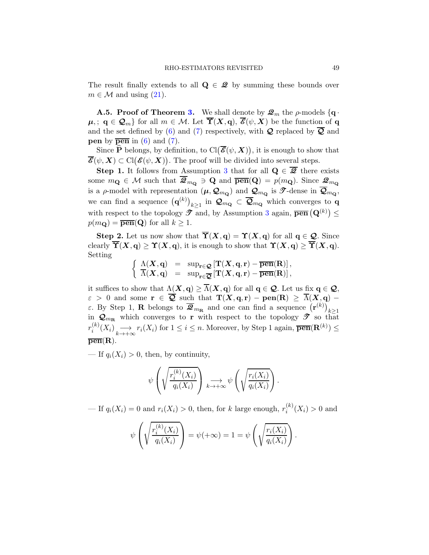The result finally extends to all  $\mathbf{Q} \in \mathbf{Z}$  by summing these bounds over  $m \in \mathcal{M}$  and using  $(21)$ .

**A.5. Proof of Theorem [3.](#page-17-0)** We shall denote by  $\mathcal{Q}_m$  the  $\rho$ -models  $\{q \}$ .  $\mu, \, \alpha \in \mathcal{Q}_m$  for all  $m \in \mathcal{M}$ . Let  $\overline{\Upsilon}(X, q), \overline{\mathscr{E}}(\psi, X)$  be the function of q and the set defined by [\(6\)](#page-8-0) and [\(7\)](#page-8-1) respectively, with  $\mathcal Q$  replaced by  $\overline{\mathcal Q}$  and **pen** by  $\overline{pen}$  in [\(6\)](#page-8-0) and [\(7\)](#page-8-1).

Since  $\widehat{P}$  belongs, by definition, to  $\text{Cl}(\overline{\mathscr{E}}(\psi,X))$ , it is enough to show that  $\overline{\mathscr{E}}(\psi,\bm{X}) \subset \mathrm{Cl}(\mathscr{E}(\psi,\bm{X}))$ . The proof will be divided into several steps.

**Step 1.** It follows from Assumption [3](#page-17-1) that for all  $Q \in \overline{Q}$  there exists some  $m_{\mathbf{Q}} \in \mathcal{M}$  such that  $\overline{\mathcal{Q}}_{m_{\mathbf{Q}}} \ni \mathbf{Q}$  and  $\overline{\mathbf{pen}}(\mathbf{Q}) = p(m_{\mathbf{Q}})$ . Since  $\mathcal{Q}_{m_{\mathbf{Q}}}$ is a  $\rho$ -model with representation  $(\mu, \mathcal{Q}_{m_{\mathbf{Q}}})$  and  $\mathcal{Q}_{m_{\mathbf{Q}}}$  is  $\mathcal{T}$ -dense in  $\overline{\mathcal{Q}}_{m_{\mathbf{Q}}}$ , we can find a sequence  $({\bf q}^{(k)})_{k\geq 1}$  in  $\mathcal{Q}_{m_{\bf Q}}\subset \overline{\mathcal{Q}}_{m_{\bf Q}}$  which converges to  ${\bf q}$ with respect to the topology  $\mathcal{T}$  and, by Assumption [3](#page-17-1) again,  $\overline{\mathbf{pen}}\left(\mathbf{Q}^{(k)}\right) \leq$  $p(m_{\mathbf{Q}}) = \overline{\mathbf{pen}}(\mathbf{Q})$  for all  $k \geq 1$ .

Step 2. Let us now show that  $\overline{\Upsilon}(X, q) = \Upsilon(X, q)$  for all  $q \in \mathcal{Q}$ . Since clearly  $\overline{\Upsilon}(X, q) \geq \Upsilon(X, q)$ , it is enough to show that  $\Upsilon(X, q) \geq \overline{\Upsilon}(X, q)$ . Setting

$$
\left\{\begin{array}{rcl} \Lambda(\boldsymbol{X},\mathbf{q}) & = & \sup_{\mathbf{r}\in\boldsymbol{\mathcal{Q}}} \left[\mathbf{T}(\boldsymbol{X},\mathbf{q},\mathbf{r})-\overline{\mathbf{p}\mathbf{e}\mathbf{n}}(\mathbf{R})\right],\\ \overline{\Lambda}(\boldsymbol{X},\mathbf{q}) & = & \sup_{\mathbf{r}\in\overline{\boldsymbol{\mathcal{Q}}}} \left[\mathbf{T}(\boldsymbol{X},\mathbf{q},\mathbf{r})-\overline{\mathbf{p}\mathbf{e}\mathbf{n}}(\mathbf{R})\right], \end{array}\right.
$$

it suffices to show that  $\Lambda(X, \mathbf{q}) \geq \overline{\Lambda}(X, \mathbf{q})$  for all  $\mathbf{q} \in \mathcal{Q}$ . Let us fix  $\mathbf{q} \in \mathcal{Q}$ ,  $\varepsilon > 0$  and some  $r \in \overline{Q}$  such that  $T(X,q,r) - \text{pen}(R) \geq \overline{\Lambda}(X,q)$ ε. By Step 1, **R** belongs to  $\overline{\mathcal{Q}}_{m_{\mathbf{R}}}$  and one can find a sequence  $(\mathbf{r}^{(k)})_{k\geq 1}$ <br>in  $\mathcal{Q}_{m_{\mathbf{R}}}$  which converges to **r** with respect to the topology  $\mathcal{T}$  so that  $r_i^{(k)}$  $i^{(k)}(X_i) \longrightarrow_{k \to +\infty} r_i(X_i)$  for  $1 \leq i \leq n$ . Moreover, by Step 1 again,  $\overline{\text{pen}}(\mathbf{R}^{(k)}) \leq$  $\overline{\mathbf{pen}}(\mathbf{R}).$ 

— If  $q_i(X_i) > 0$ , then, by continuity,

$$
\psi\left(\sqrt{\frac{r_i^{(k)}(X_i)}{q_i(X_i)}}\right) \underset{k \to +\infty}{\longrightarrow} \psi\left(\sqrt{\frac{r_i(X_i)}{q_i(X_i)}}\right)
$$

.

— If  $q_i(X_i) = 0$  and  $r_i(X_i) > 0$ , then, for k large enough,  $r_i^{(k)}$  $i^{(\kappa)}(X_i) > 0$  and

$$
\psi\left(\sqrt{\frac{r_i^{(k)}(X_i)}{q_i(X_i)}}\right) = \psi(+\infty) = 1 = \psi\left(\sqrt{\frac{r_i(X_i)}{q_i(X_i)}}\right).
$$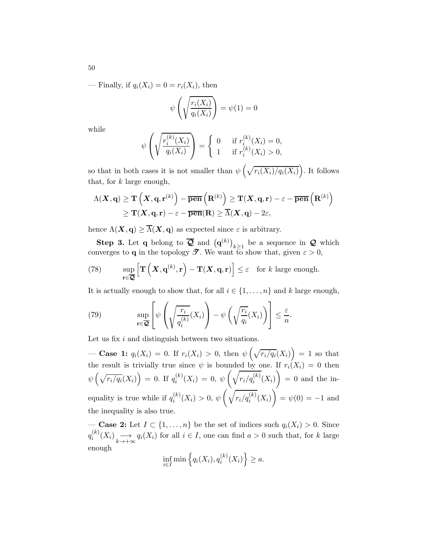— Finally, if  $q_i(X_i) = 0 = r_i(X_i)$ , then

$$
\psi\left(\sqrt{\frac{r_i(X_i)}{q_i(X_i)}}\right) = \psi(1) = 0
$$

while

$$
\psi\left(\sqrt{\frac{r_i^{(k)}(X_i)}{q_i(X_i)}}\right) = \begin{cases} 0 & \text{if } r_i^{(k)}(X_i) = 0, \\ 1 & \text{if } r_i^{(k)}(X_i) > 0, \end{cases}
$$

so that in both cases it is not smaller than  $\psi\left(\sqrt{r_i(X_i)/q_i(X_i)}\right)$ . It follows that, for  $k$  large enough,

$$
\begin{aligned} \Lambda(\boldsymbol{X},\mathbf{q}) &\geq \mathbf{T}\left(\boldsymbol{X},\mathbf{q},\mathbf{r}^{(k)}\right)-\overline{\mathbf{pen}}\left(\mathbf{R}^{(k)}\right) \geq \mathbf{T}(\boldsymbol{X},\mathbf{q},\mathbf{r})-\varepsilon-\overline{\mathbf{pen}}\left(\mathbf{R}^{(k)}\right) \\ &\geq \mathbf{T}(\boldsymbol{X},\mathbf{q},\mathbf{r})-\varepsilon-\overline{\mathbf{pen}}(\mathbf{R}) \geq \overline{\Lambda}(\boldsymbol{X},\mathbf{q})-2\varepsilon, \end{aligned}
$$

hence  $\Lambda(\mathbf{X}, \mathbf{q}) \geq \overline{\Lambda}(\mathbf{X}, \mathbf{q})$  as expected since  $\varepsilon$  is arbitrary.

Step 3. Let q belong to  $\overline{Q}$  and  $(q^{(k)})_{k\geq 1}$  be a sequence in  $Q$  which converges to **q** in the topology  $\mathscr{T}$ . We want to show that, given  $\varepsilon > 0$ ,

<span id="page-49-1"></span>(78) 
$$
\sup_{\mathbf{r}\in\overline{\mathbf{Q}}} \left[\mathbf{T}\left(\mathbf{X},\mathbf{q}^{(k)},\mathbf{r}\right)-\mathbf{T}(\mathbf{X},\mathbf{q},\mathbf{r})\right]\leq\varepsilon \text{ for } k \text{ large enough.}
$$

It is actually enough to show that, for all  $i \in \{1, \ldots, n\}$  and k large enough,

<span id="page-49-0"></span>(79) 
$$
\sup_{\mathbf{r}\in\overline{\mathbf{Q}}} \left[ \psi\left(\sqrt{\frac{r_i}{q_i^{(k)}}}(X_i)\right) - \psi\left(\sqrt{\frac{r_i}{q_i}}(X_i)\right) \right] \leq \frac{\varepsilon}{n}.
$$

Let us fix i and distinguish between two situations.

**Case 1:**  $q_i(X_i) = 0$ . If  $r_i(X_i) > 0$ , then  $\psi\left(\sqrt{r_i/q_i}(X_i)\right) = 1$  so that the result is trivially true since  $\psi$  is bounded by one. If  $r_i(X_i) = 0$  then  $\psi\left(\sqrt{r_i/q_i}(X_i)\right) = 0.$  If  $q_i^{(k)}$  $i^{(\kappa)}(X_i) = 0, \ \psi$  $\left(\sqrt{r_i/q_i^{(k)}}(X_i)\right)$  $\setminus$  $= 0$  and the inequality is true while if  $q_i^{(k)}$  $i^{(\kappa)}(X_i) > 0, \ \psi$  $\left(\sqrt{r_i/q_i^{(k)}}(X_i)\right)$ Ý  $= \psi(0) = -1$  and the inequality is also true.

— Case 2: Let  $I \subset \{1, \ldots, n\}$  be the set of indices such  $q_i(X_i) > 0$ . Since  $q_i^{(k)}$  $i^{(k)}(X_i) \longrightarrow_{k \to +\infty} q_i(X_i)$  for all  $i \in I$ , one can find  $a > 0$  such that, for k large enough

$$
\inf_{i \in I} \min \left\{ q_i(X_i), q_i^{(k)}(X_i) \right\} \ge a.
$$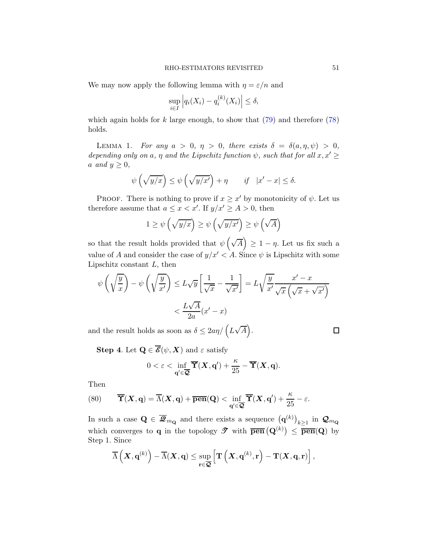We may now apply the following lemma with  $\eta = \varepsilon/n$  and

$$
\sup_{i \in I} \left| q_i(X_i) - q_i^{(k)}(X_i) \right| \le \delta,
$$

which again holds for k large enough, to show that  $(79)$  and therefore  $(78)$ holds.

LEMMA 1. For any  $a > 0, \eta > 0$ , there exists  $\delta = \delta(a, \eta, \psi) > 0$ , depending only on a,  $\eta$  and the Lipschitz function  $\psi$ , such that for all  $x, x' \geq$ a and  $y \geq 0$ ,

$$
\psi\left(\sqrt{y/x}\right) \le \psi\left(\sqrt{y/x'}\right) + \eta \qquad \text{if} \quad |x' - x| \le \delta.
$$

PROOF. There is nothing to prove if  $x \geq x'$  by monotonicity of  $\psi$ . Let us therefore assume that  $a \leq x < x'$ . If  $y/x' \geq A > 0$ , then

$$
1 \ge \psi\left(\sqrt{y/x}\right) \ge \psi\left(\sqrt{y/x'}\right) \ge \psi\left(\sqrt{A}\right)
$$

so that the result holds provided that  $\psi\left(\sqrt{A}\right) \geq 1 - \eta$ . Let us fix such a value of A and consider the case of  $y/x' < A$ . Since  $\psi$  is Lipschitz with some Lipschitz constant  $L$ , then

$$
\psi\left(\sqrt{\frac{y}{x}}\right) - \psi\left(\sqrt{\frac{y}{x'}}\right) \le L\sqrt{y}\left[\frac{1}{\sqrt{x}} - \frac{1}{\sqrt{x'}}\right] = L\sqrt{\frac{y}{x'}}\frac{x'-x}{\sqrt{x}\left(\sqrt{x} + \sqrt{x'}\right)}
$$

$$
< \frac{L\sqrt{A}}{2a}(x'-x)
$$

and the result holds as soon as  $\delta \leq 2a\eta/\left(L\sqrt{A}\right)$ .

 $\Box$ 

**Step 4.** Let  $\mathbf{Q} \in \overline{\mathcal{E}}(\psi, \mathbf{X})$  and  $\varepsilon$  satisfy

$$
0 < \varepsilon < \inf_{\mathbf{q}' \in \overline{\mathbf{Q}}} \overline{\mathbf{T}}(\mathbf{X}, \mathbf{q}') + \frac{\kappa}{25} - \overline{\mathbf{T}}(\mathbf{X}, \mathbf{q}).
$$

Then

<span id="page-50-0"></span>(80) 
$$
\overline{\mathbf{T}}(\mathbf{X}, \mathbf{q}) = \overline{\Lambda}(\mathbf{X}, \mathbf{q}) + \overline{\mathbf{pen}}(\mathbf{Q}) < \inf_{\mathbf{q}' \in \overline{\mathbf{Q}}} \overline{\mathbf{T}}(\mathbf{X}, \mathbf{q}') + \frac{\kappa}{25} - \varepsilon.
$$

In such a case  $\mathbf{Q} \in \overline{\mathbf{Z}}_{m_{\mathbf{Q}}}$  and there exists a sequence  $(\mathbf{q}^{(k)})_{k\geq 1}$  in  $\mathbf{Q}_{m_{\mathbf{Q}}}$ which converges to **q** in the topology  $\mathscr{T}$  with  $\overline{\mathbf{pen}}(\mathbf{Q}^{(k)}) \leq \overline{\mathbf{pen}}(\mathbf{Q})$  by Step 1. Since

$$
\overline{\Lambda}\left(\boldsymbol{X}, \mathbf{q}^{(k)}\right)-\overline{\Lambda}(\boldsymbol{X}, \mathbf{q}) \leq \sup_{\mathbf{r} \in \overline{\mathbf{Q}}}\left[\mathbf{T}\left(\boldsymbol{X}, \mathbf{q}^{(k)}, \mathbf{r}\right)-\mathbf{T}(\boldsymbol{X}, \mathbf{q}, \mathbf{r})\right],
$$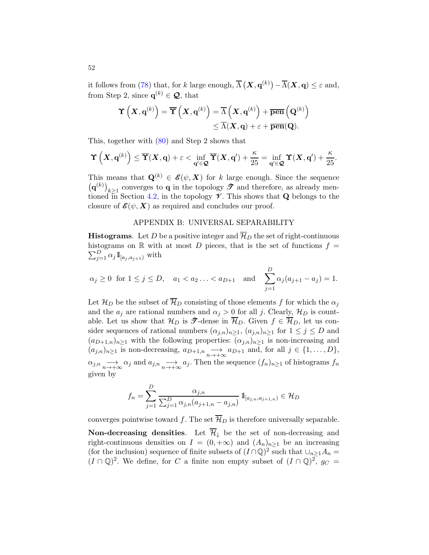it follows from [\(78\)](#page-49-1) that, for k large enough,  $\overline{\Lambda} (\mathbf{X}, \mathbf{q}^{(k)}) - \overline{\Lambda} (\mathbf{X}, \mathbf{q}) \leq \varepsilon$  and, from Step 2, since  $\mathbf{q}^{(k)} \in \mathcal{Q}$ , that

$$
\begin{aligned} \boldsymbol{\Upsilon}\left(\boldsymbol{X}, \mathbf{q}^{(k)}\right)= \overline{\boldsymbol{\Upsilon}}\left(\boldsymbol{X}, \mathbf{q}^{(k)}\right)= \overline{\Lambda}\left(\boldsymbol{X}, \mathbf{q}^{(k)}\right)+ \overline{\mathbf{pen}}\left(\mathbf{Q}^{(k)}\right)\\ \leq \overline{\Lambda}(\boldsymbol{X}, \mathbf{q}) + \varepsilon + \overline{\mathbf{pen}}(\mathbf{Q}). \end{aligned}
$$

This, together with [\(80\)](#page-50-0) and Step 2 shows that

$$
\Upsilon\left(X, \mathbf{q}^{(k)}\right) \leq \overline{\Upsilon}(X, \mathbf{q}) + \varepsilon < \inf_{\mathbf{q}' \in \mathcal{Q}} \overline{\Upsilon}(X, \mathbf{q}') + \frac{\kappa}{25} = \inf_{\mathbf{q}' \in \mathcal{Q}} \Upsilon(X, \mathbf{q}') + \frac{\kappa}{25}.
$$

This means that  $\mathbf{Q}^{(k)} \in \mathcal{E}(\psi, \mathbf{X})$  for k large enough. Since the sequence  $(\mathbf{q}^{(k)})_{k\geq 1}$  converges to **q** in the topology  $\mathcal{T}$  and therefore, as already men-tioned in Section [4.2,](#page-16-0) in the topology  $\mathcal V$ . This shows that **Q** belongs to the closure of  $\mathcal{E}(\psi, X)$  as required and concludes our proof.

## APPENDIX B: UNIVERSAL SEPARABILITY

**Histograms.** Let D be a positive integer and  $\overline{\mathcal{H}}_D$  the set of right-continuous histograms on  $\mathbb R$  with at most D pieces, that is the set of functions  $f =$  $\sum_{j=1}^D \alpha_j \mathbb{1}_{[a_j, a_{j+1})}$  with

$$
\alpha_j \ge 0
$$
 for  $1 \le j \le D$ ,  $a_1 < a_2 ... < a_{D+1}$  and  $\sum_{j=1}^D \alpha_j (a_{j+1} - a_j) = 1$ .

Let  $\mathcal{H}_D$  be the subset of  $\overline{\mathcal{H}}_D$  consisting of those elements f for which the  $\alpha_i$ and the  $a_j$  are rational numbers and  $\alpha_j > 0$  for all j. Clearly,  $\mathcal{H}_D$  is countable. Let us show that  $\mathcal{H}_D$  is  $\mathcal{T}$ -dense in  $\overline{\mathcal{H}}_D$ . Given  $f \in \overline{\mathcal{H}}_D$ , let us consider sequences of rational numbers  $(\alpha_{j,n})_{n\geq 1}$ ,  $(\alpha_{j,n})_{n\geq 1}$  for  $1 \leq j \leq D$  and  $(a_{D+1,n})_{n\geq 1}$  with the following properties:  $(\alpha_{j,n})_{n\geq 1}$  is non-increasing and  $(a_{j,n})_{n\geq 1}$  is non-decreasing,  $a_{D+1,n} \longrightarrow_{n\to+\infty} a_{D+1}$  and, for all  $j \in \{1,\ldots,D\}$ ,  $\alpha_{j,n} \longrightarrow_{n \to +\infty} \alpha_j$  and  $a_{j,n} \longrightarrow_{n \to +\infty} a_j$ . Then the sequence  $(f_n)_{n \geq 1}$  of histograms  $f_n$ given by

$$
f_n = \sum_{j=1}^{D} \frac{\alpha_{j,n}}{\sum_{j=1}^{D} \alpha_{j,n} (a_{j+1,n} - a_{j,n})} \mathbb{1}_{[a_{j,n}, a_{j+1,n})} \in \mathcal{H}_D
$$

converges pointwise toward f. The set  $\overline{\mathcal{H}}_D$  is therefore universally separable.

Non-decreasing densities. Let  $\overline{\mathcal{H}}_{\downarrow}$  be the set of non-decreasing and right-continuous densities on  $I = (0, +\infty)$  and  $(A_n)_{n>1}$  be an increasing (for the inclusion) sequence of finite subsets of  $(I \cap \mathbb{Q})^2$  such that  $\cup_{n \geq 1} A_n =$  $(I \cap \mathbb{Q})^2$ . We define, for C a finite non empty subset of  $(I \cap \mathbb{Q})^2$ ,  $g_C =$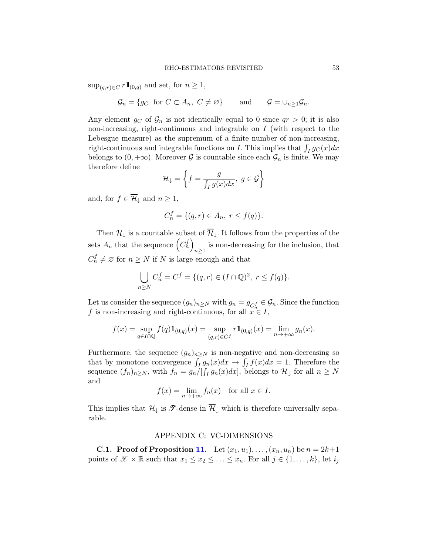$\sup_{(q,r)\in C} r1\hspace{-.05cm}1_{(0,q)}$  and set, for  $n\geq 1$ ,

$$
\mathcal{G}_n = \{ g_C \text{ for } C \subset A_n, C \neq \varnothing \} \quad \text{and} \quad \mathcal{G} = \cup_{n \ge 1} \mathcal{G}_n.
$$

Any element  $g_C$  of  $\mathcal{G}_n$  is not identically equal to 0 since  $qr > 0$ ; it is also non-increasing, right-continuous and integrable on  $I$  (with respect to the Lebesgue measure) as the supremum of a finite number of non-increasing, right-continuous and integrable functions on I. This implies that  $\int_I g_C(x)dx$ belongs to  $(0, +\infty)$ . Moreover G is countable since each  $\mathcal{G}_n$  is finite. We may therefore define

$$
\mathcal{H}_{\downarrow} = \left\{ f = \frac{g}{\int_I g(x) dx}, \ g \in \mathcal{G} \right\}
$$

and, for  $f \in \overline{\mathcal{H}}_{\downarrow}$  and  $n \geq 1$ ,

$$
C_n^f = \{(q, r) \in A_n, r \le f(q)\}.
$$

Then  $\mathcal{H}_\downarrow$  is a countable subset of  $\overline{\mathcal{H}}_\downarrow.$  It follows from the properties of the sets  $A_n$  that the sequence  $(C_n^f)$ is non-decreasing for the inclusion, that  $n \geq 1$  $C_n^f \neq \emptyset$  for  $n \geq N$  if N is large enough and that

$$
\bigcup_{n\geq N} C_n^f = C^f = \{(q,r)\in (I\cap\mathbb{Q})^2, r\leq f(q)\}.
$$

Let us consider the sequence  $(g_n)_{n\geq N}$  with  $g_n = g_{C_n^f} \in \mathcal{G}_n$ . Since the function f is non-increasing and right-continuous, for all  $x \in I$ ,

$$
f(x) = \sup_{q \in I \cap \mathbb{Q}} f(q) 1\!\!1_{(0,q)}(x) = \sup_{(q,r) \in C^f} r 1\!\!1_{(0,q)}(x) = \lim_{n \to +\infty} g_n(x).
$$

Furthermore, the sequence  $(g_n)_{n\geq N}$  is non-negative and non-decreasing so that by monotone convergence  $\int_I g_n(x)dx \to \int_I f(x)dx = 1$ . Therefore the sequence  $(f_n)_{n\geq N}$ , with  $f_n = g_n/[\int_I g_n(x)dx]$ , belongs to  $\mathcal{H}_\downarrow$  for all  $n \geq N$ and

$$
f(x) = \lim_{n \to +\infty} f_n(x) \quad \text{for all } x \in I.
$$

This implies that  $\mathcal{H}_{\downarrow}$  is  $\mathcal{T}$ -dense in  $\overline{\mathcal{H}}_{\downarrow}$  which is therefore universally separable.

# APPENDIX C: VC-DIMENSIONS

**C.1. Proof of Proposition [11.](#page-28-0)** Let  $(x_1, u_1), \ldots, (x_n, u_n)$  be  $n = 2k+1$ points of  $\mathscr{X} \times \mathbb{R}$  such that  $x_1 \leq x_2 \leq \ldots \leq x_n$ . For all  $j \in \{1, \ldots, k\}$ , let  $i_j$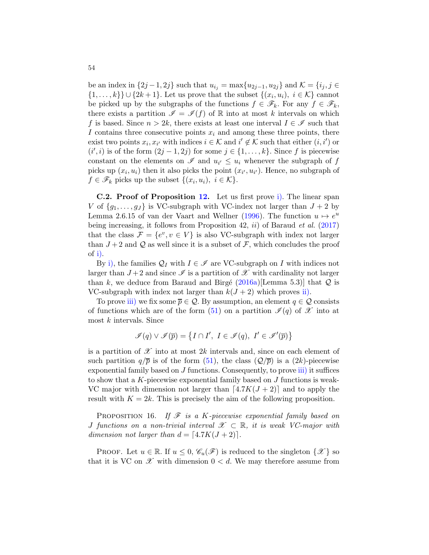be an index in  $\{2j-1, 2j\}$  such that  $u_{i_j} = \max\{u_{2j-1}, u_{2j}\}\$  and  $\mathcal{K} = \{i_j, j \in \mathcal{K}\}$  $\{1, \ldots, k\}$   $\cup$   $\{2k+1\}$ . Let us prove that the subset  $\{(x_i, u_i), i \in \mathcal{K}\}$  cannot be picked up by the subgraphs of the functions  $f \in \mathscr{F}_k$ . For any  $f \in \mathscr{F}_k$ , there exists a partition  $\mathscr{I} = \mathscr{I}(f)$  of R into at most k intervals on which f is based. Since  $n > 2k$ , there exists at least one interval  $I \in \mathscr{I}$  such that I contains three consecutive points  $x_i$  and among these three points, there exist two points  $x_i, x_{i'}$  with indices  $i \in \mathcal{K}$  and  $i' \notin \mathcal{K}$  such that either  $(i, i')$  or  $(i', i)$  is of the form  $(2j - 1, 2j)$  for some  $j \in \{1, ..., k\}$ . Since f is piecewise constant on the elements on  $\mathscr I$  and  $u_{i'} \leq u_i$  whenever the subgraph of  $f$ picks up  $(x_i, u_i)$  then it also picks the point  $(x_{i'}, u_{i'})$ . Hence, no subgraph of  $f \in \mathscr{F}_k$  picks up the subset  $\{(x_i, u_i), i \in \mathcal{K}\}.$ 

C.2. Proof of Proposition [12.](#page-30-0) Let us first prove [i\).](#page-30-1) The linear span V of  $\{g_1, \ldots, g_J\}$  is VC-subgraph with VC-index not larger than  $J + 2$  by Lemma 2.6.15 of van der Vaart and Wellner [\(1996](#page-40-1)). The function  $u \mapsto e^u$ being increasing, it follows from Proposition 42, *ii*) of Baraud *et al.* [\(2017](#page-39-0)) that the class  $\mathcal{F} = \{e^v, v \in V\}$  is also VC-subgraph with index not larger than  $J+2$  and  $\mathcal Q$  as well since it is a subset of  $\mathcal F$ , which concludes the proof of [i\).](#page-30-1)

By [i\),](#page-30-1) the families  $\mathcal{Q}_I$  with  $I \in \mathcal{I}$  are VC-subgraph on I with indices not larger than  $J+2$  and since  $\mathscr I$  is a partition of  $\mathscr X$  with cardinality not larger than k, we deduce from Baraud and Birgé [\(2016a](#page-39-1))[Lemma 5.3]] that  $Q$  is VC-subgraph with index not larger than  $k(J+2)$  which proves [ii\).](#page-30-2)

To prove [iii\)](#page-30-3) we fix some  $\overline{p} \in \mathcal{Q}$ . By assumption, an element  $q \in \mathcal{Q}$  consists of functions which are of the form [\(51\)](#page-29-0) on a partition  $\mathcal{I}(q)$  of  $\mathcal{X}$  into at most  $k$  intervals. Since

$$
\mathscr{I}(q)\vee\mathscr{I}(\overline{p})=\left\{I\cap I',\ I\in\mathscr{I}(q),\ I'\in\mathscr{I}'(\overline{p})\right\}
$$

is a partition of  $\mathscr X$  into at most 2k intervals and, since on each element of such partition  $q/\overline{p}$  is of the form [\(51\)](#page-29-0), the class  $(Q/\overline{p})$  is a  $(2k)$ -piecewise exponential family based on  $J$  functions. Consequently, to prove [iii\)](#page-30-3) it suffices to show that a K-piecewise exponential family based on  $J$  functions is weak-VC major with dimension not larger than  $[4.7K(J+2)]$  and to apply the result with  $K = 2k$ . This is precisely the aim of the following proposition.

PROPOSITION 16. If  $\mathcal F$  is a K-piecewise exponential family based on J functions on a non-trivial interval  $\mathscr{X} \subset \mathbb{R}$ , it is weak VC-major with dimension not larger than  $d = \lfloor 4.7K(J + 2) \rfloor$ .

PROOF. Let  $u \in \mathbb{R}$ . If  $u \leq 0$ ,  $\mathscr{C}_u(\mathscr{F})$  is reduced to the singleton  $\{\mathscr{X}\}\$  so that it is VC on  $\mathscr X$  with dimension  $0 < d$ . We may therefore assume from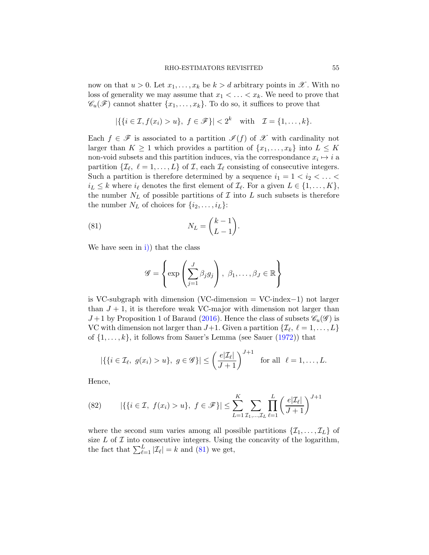now on that  $u > 0$ . Let  $x_1, \ldots, x_k$  be  $k > d$  arbitrary points in  $\mathscr{X}$ . With no loss of generality we may assume that  $x_1 < \ldots < x_k$ . We need to prove that  $\mathscr{C}_u(\mathscr{F})$  cannot shatter  $\{x_1,\ldots,x_k\}$ . To do so, it suffices to prove that

$$
|\{\{i \in \mathcal{I}, f(x_i) > u\}, f \in \mathscr{F}\}| < 2^k \quad \text{with} \quad \mathcal{I} = \{1, \dots, k\}.
$$

Each  $f \in \mathscr{F}$  is associated to a partition  $\mathscr{I}(f)$  of  $\mathscr{X}$  with cardinality not larger than  $K \geq 1$  which provides a partition of  $\{x_1, \ldots, x_k\}$  into  $L \leq K$ non-void subsets and this partition induces, via the correspondance  $x_i \mapsto i$  a partition  $\{\mathcal{I}_{\ell}, \ell = 1, \ldots, L\}$  of  $\mathcal{I}$ , each  $\mathcal{I}_{\ell}$  consisting of consecutive integers. Such a partition is therefore determined by a sequence  $i_1 = 1 < i_2 < \ldots <$  $i_L \leq k$  where  $i_{\ell}$  denotes the first element of  $\mathcal{I}_{\ell}$ . For a given  $L \in \{1, \ldots, K\}$ , the number  $N_L$  of possible partitions of  $\mathcal I$  into  $L$  such subsets is therefore the number  $N_L$  of choices for  $\{i_2, \ldots, i_L\}$ :

(81) 
$$
N_L = \binom{k-1}{L-1}.
$$

We have seen in [i\)\)](#page-30-1) that the class

<span id="page-54-0"></span>
$$
\mathscr{G} = \left\{ \exp \left( \sum_{j=1}^{J} \beta_j g_j \right), \ \beta_1, \dots, \beta_J \in \mathbb{R} \right\}
$$

is VC-subgraph with dimension (VC-dimension = VC-index−1) not larger than  $J + 1$ , it is therefore weak VC-major with dimension not larger than  $J+1$  by Proposition 1 of Baraud [\(2016\)](#page-39-2). Hence the class of subsets  $\mathscr{C}_u(\mathscr{G})$  is VC with dimension not larger than  $J+1$ . Given a partition  $\{\mathcal{I}_{\ell}, \ell = 1, \ldots, L\}$ of  $\{1, \ldots, k\}$ , it follows from Sauer's Lemma (see Sauer  $(1972)$ ) that

$$
|\{\{i \in \mathcal{I}_{\ell}, g(x_i) > u\}, g \in \mathscr{G}\}| \leq \left(\frac{e|\mathcal{I}_{\ell}|}{J+1}\right)^{J+1}
$$
 for all  $\ell = 1, ..., L$ .

Hence,

<span id="page-54-1"></span>(82) 
$$
|\{\{i \in \mathcal{I}, f(x_i) > u\}, f \in \mathcal{F}\}| \le \sum_{L=1}^K \sum_{\mathcal{I}_1, ..., \mathcal{I}_L} \prod_{\ell=1}^L \left(\frac{e|\mathcal{I}_{\ell}|}{J+1}\right)^{J+1}
$$

where the second sum varies among all possible partitions  $\{\mathcal{I}_1, \ldots, \mathcal{I}_L\}$  of size L of T into consecutive integers. Using the concavity of the logarithm, the fact that  $\sum_{\ell=1}^{L} |\mathcal{I}_{\ell}| = k$  and [\(81\)](#page-54-0) we get,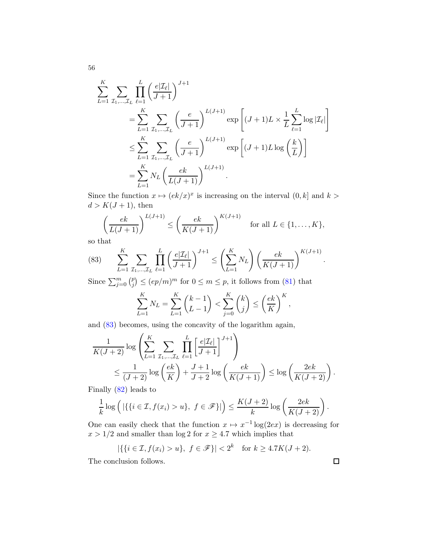$$
\sum_{L=1}^{K} \sum_{\mathcal{I}_{1}, \dots, \mathcal{I}_{L}} \prod_{\ell=1}^{L} \left( \frac{e|\mathcal{I}_{\ell}|}{J+1} \right)^{J+1} \n= \sum_{L=1}^{K} \sum_{\mathcal{I}_{1}, \dots, \mathcal{I}_{L}} \left( \frac{e}{J+1} \right)^{L(J+1)} \exp\left[ (J+1)L \times \frac{1}{L} \sum_{\ell=1}^{L} \log |\mathcal{I}_{\ell}| \right] \n\leq \sum_{L=1}^{K} \sum_{\mathcal{I}_{1}, \dots, \mathcal{I}_{L}} \left( \frac{e}{J+1} \right)^{L(J+1)} \exp\left[ (J+1)L \log \left( \frac{k}{L} \right) \right] \n= \sum_{L=1}^{K} N_{L} \left( \frac{ek}{L(J+1)} \right)^{L(J+1)}.
$$

Since the function  $x \mapsto (ek/x)^x$  is increasing on the interval  $(0, k]$  and  $k >$  $d > K(J+1)$ , then

$$
\left(\frac{ek}{L(J+1)}\right)^{L(J+1)} \le \left(\frac{ek}{K(J+1)}\right)^{K(J+1)} \quad \text{for all } L \in \{1, \dots, K\},
$$

so that

<span id="page-55-0"></span>(83) 
$$
\sum_{L=1}^{K} \sum_{\mathcal{I}_{1},...,\mathcal{I}_{L}} \prod_{\ell=1}^{L} \left( \frac{e|\mathcal{I}_{\ell}|}{J+1} \right)^{J+1} \leq \left( \sum_{L=1}^{K} N_{L} \right) \left( \frac{ek}{K(J+1)} \right)^{K(J+1)}.
$$

Since  $\sum_{j=0}^m \binom{p}{j}$  $\binom{p}{j} \leq (ep/m)^m$  for  $0 \leq m \leq p$ , it follows from [\(81\)](#page-54-0) that

$$
\sum_{L=1}^{K} N_{L} = \sum_{L=1}^{K} {k-1 \choose L-1} < \sum_{j=0}^{K} {k \choose j} \leq \left(\frac{ek}{K}\right)^{K},
$$

and [\(83\)](#page-55-0) becomes, using the concavity of the logarithm again,

$$
\frac{1}{K(J+2)}\log\left(\sum_{L=1}^{K}\sum_{\mathcal{I}_{1},\dots,\mathcal{I}_{L}}\prod_{\ell=1}^{L}\left[\frac{e|\mathcal{I}_{\ell}|}{J+1}\right]^{J+1}\right)
$$
\n
$$
\leq \frac{1}{(J+2)}\log\left(\frac{ek}{K}\right) + \frac{J+1}{J+2}\log\left(\frac{ek}{K(J+1)}\right) \leq \log\left(\frac{2ek}{K(J+2)}\right)
$$

.

 $\Box$ 

Finally [\(82\)](#page-54-1) leads to

$$
\frac{1}{k}\log\left(\left|\left\{\left\{i \in \mathcal{I}, f(x_i) > u\right\},\ f \in \mathscr{F}\right\}\right|\right) \le \frac{K(J+2)}{k}\log\left(\frac{2ek}{K(J+2)}\right).
$$

One can easily check that the function  $x \mapsto x^{-1} \log(2e^x)$  is decreasing for  $x > 1/2$  and smaller than log 2 for  $x \ge 4.7$  which implies that

$$
|\{\{i \in \mathcal{I}, f(x_i) > u\}, f \in \mathscr{F}\}| < 2^k \text{ for } k \ge 4.7K(J+2).
$$

The conclusion follows.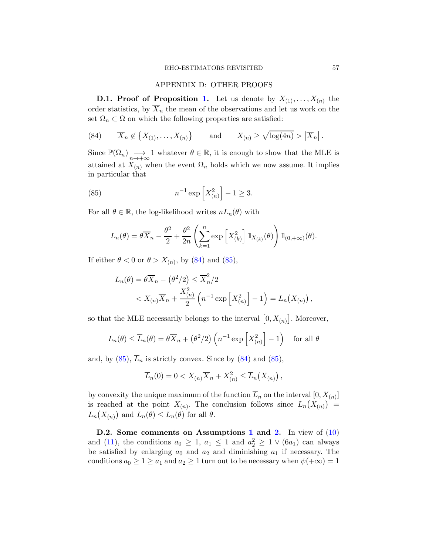### APPENDIX D: OTHER PROOFS

**D.[1.](#page-9-0)** Proof of Proposition 1. Let us denote by  $X_{(1)}, \ldots, X_{(n)}$  the order statistics, by  $\overline{X}_n$  the mean of the observations and let us work on the set  $\Omega_n \subset \Omega$  on which the following properties are satisfied:

<span id="page-56-0"></span>(84) 
$$
\overline{X}_n \notin \{X_{(1)}, \ldots, X_{(n)}\}
$$
 and  $X_{(n)} \ge \sqrt{\log(4n)} > |\overline{X}_n|$ .

Since  $\mathbb{P}(\Omega_n) \longrightarrow_{n \to +\infty} 1$  whatever  $\theta \in \mathbb{R}$ , it is enough to show that the MLE is attained at  $X_{(n)}$  when the event  $\Omega_n$  holds which we now assume. It implies in particular that

(85) 
$$
n^{-1} \exp\left[X_{(n)}^2\right] - 1 \ge 3.
$$

For all  $\theta \in \mathbb{R}$ , the log-likelihood writes  $nL_n(\theta)$  with

<span id="page-56-1"></span>
$$
L_n(\theta) = \theta \overline{X}_n - \frac{\theta^2}{2} + \frac{\theta^2}{2n} \left( \sum_{k=1}^n \exp\left[ X_{(k)}^2 \right] \mathbb{1}_{X_{(k)}}(\theta) \right) \mathbb{1}_{(0, +\infty)}(\theta).
$$

If either  $\theta < 0$  or  $\theta > X_{(n)}$ , by [\(84\)](#page-56-0) and [\(85\)](#page-56-1),

$$
L_n(\theta) = \theta \overline{X}_n - (\theta^2/2) \le \overline{X}_n^2/2
$$
  

$$
< X_{(n)} \overline{X}_n + \frac{X_{(n)}^2}{2} \left( n^{-1} \exp \left[ X_{(n)}^2 \right] - 1 \right) = L_n(X_{(n)}),
$$

so that the MLE necessarily belongs to the interval  $[0, X_{(n)}]$ . Moreover,

$$
L_n(\theta) \le \overline{L}_n(\theta) = \theta \overline{X}_n + (\theta^2/2) \left( n^{-1} \exp\left[ X_{(n)}^2 \right] - 1 \right) \text{ for all } \theta
$$

and, by  $(85)$ ,  $\overline{L}_n$  is strictly convex. Since by  $(84)$  and  $(85)$ ,

$$
\overline{L}_n(0) = 0 < X_{(n)} \overline{X}_n + X_{(n)}^2 \le \overline{L}_n(X_{(n)}),
$$

by convexity the unique maximum of the function  $L_n$  on the interval  $[0, X_{(n)}]$ is reached at the point  $X_{(n)}$ . The conclusion follows since  $L_n(X_{(n)}) =$  $\overline{L}_n(X_{(n)})$  and  $L_n(\theta) \leq \overline{L}_n(\theta)$  for all  $\theta$ .

D.2. Some comments on Assumptions [1](#page-7-0) and [2.](#page-10-0) In view of [\(10\)](#page-10-3) and [\(11\)](#page-10-2), the conditions  $a_0 \geq 1$ ,  $a_1 \leq 1$  and  $a_2^2 \geq 1 \vee (6a_1)$  can always be satisfied by enlarging  $a_0$  and  $a_2$  and diminishing  $a_1$  if necessary. The conditions  $a_0 \geq 1 \geq a_1$  and  $a_2 \geq 1$  turn out to be necessary when  $\psi(+\infty) = 1$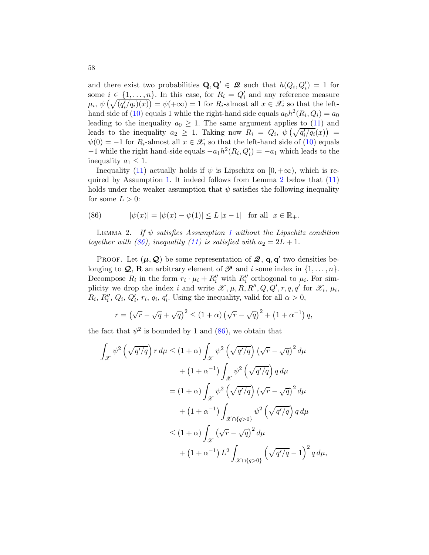and there exist two probabilities  $\mathbf{Q}, \mathbf{Q}' \in \mathcal{Q}$  such that  $h(Q_i, Q'_i) = 1$  for some  $i \in \{1, \ldots, n\}$ . In this case, for  $R_i = Q'_i$  and any reference measure  $\mu_i, \psi\left(\sqrt{(q'_i/q_i)(x)}\right) = \psi(+\infty) = 1$  for  $R_i$ -almost all  $x \in \mathscr{X}_i$  so that the left-hand side of [\(10\)](#page-10-3) equals 1 while the right-hand side equals  $a_0 h^2(R_i, Q_i) = a_0$ leading to the inequality  $a_0 \geq 1$ . The same argument applies to [\(11\)](#page-10-2) and leads to the inequality  $a_2 \geq 1$ . Taking now  $R_i = Q_i, \ \psi\left(\sqrt{q_i'/q_i}(x)\right) =$  $\psi(0) = -1$  for  $R_i$ -almost all  $x \in \mathscr{X}_i$  so that the left-hand side of [\(10\)](#page-10-3) equals  $-1$  while the right hand-side equals  $-a_1h^2(R_i, Q'_i) = -a_1$  which leads to the inequality  $a_1 \leq 1$ .

Inequality [\(11\)](#page-10-2) actually holds if  $\psi$  is Lipschitz on [0, + $\infty$ ), which is required by Assumption [1.](#page-7-0) It indeed follows from Lemma [2](#page-57-0) below that [\(11\)](#page-10-2) holds under the weaker assumption that  $\psi$  satisfies the following inequality for some  $L > 0$ :

<span id="page-57-1"></span>(86) 
$$
|\psi(x)| = |\psi(x) - \psi(1)| \le L |x - 1| \text{ for all } x \in \mathbb{R}_+.
$$

<span id="page-57-0"></span>LEMMA 2. If  $\psi$  satisfies Assumption [1](#page-7-0) without the Lipschitz condition together with [\(86\)](#page-57-1), inequality [\(11\)](#page-10-2) is satisfied with  $a_2 = 2L + 1$ .

PROOF. Let  $(\mu, \mathcal{Q})$  be some representation of  $\mathcal{Q}, \mathbf{q}, \mathbf{q}'$  two densities belonging to **Q**, **R** an arbitrary element of  $\mathcal{P}$  and i some index in  $\{1, \ldots, n\}$ . Decompose  $R_i$  in the form  $r_i \cdot \mu_i + R''_i$  with  $R''_i$  orthogonal to  $\mu_i$ . For simplicity we drop the index i and write  $\mathscr{X}, \mu, R, R'', Q, Q', r, q, q'$  for  $\mathscr{X}_i, \mu_i$ ,  $R_i$ ,  $R''_i$ ,  $Q_i$ ,  $Q'_i$ ,  $r_i$ ,  $q_i$ ,  $q'_i$ . Using the inequality, valid for all  $\alpha > 0$ ,

$$
r = \left(\sqrt{r} - \sqrt{q} + \sqrt{q}\right)^2 \le \left(1 + \alpha\right)\left(\sqrt{r} - \sqrt{q}\right)^2 + \left(1 + \alpha^{-1}\right)q,
$$

the fact that  $\psi^2$  is bounded by 1 and [\(86\)](#page-57-1), we obtain that

$$
\int_{\mathcal{X}} \psi^2 \left(\sqrt{q'/q}\right) r \, d\mu \le (1+\alpha) \int_{\mathcal{X}} \psi^2 \left(\sqrt{q'/q}\right) \left(\sqrt{r} - \sqrt{q}\right)^2 d\mu
$$

$$
+ (1+\alpha^{-1}) \int_{\mathcal{X}} \psi^2 \left(\sqrt{q'/q}\right) q \, d\mu
$$

$$
= (1+\alpha) \int_{\mathcal{X}} \psi^2 \left(\sqrt{q'/q}\right) \left(\sqrt{r} - \sqrt{q}\right)^2 d\mu
$$

$$
+ (1+\alpha^{-1}) \int_{\mathcal{X} \cap \{q > 0\}} \psi^2 \left(\sqrt{q'/q}\right) q \, d\mu
$$

$$
\le (1+\alpha) \int_{\mathcal{X}} \left(\sqrt{r} - \sqrt{q}\right)^2 d\mu
$$

$$
+ (1+\alpha^{-1}) L^2 \int_{\mathcal{X} \cap \{q > 0\}} \left(\sqrt{q'/q} - 1\right)^2 q \, d\mu,
$$

 $\cdot$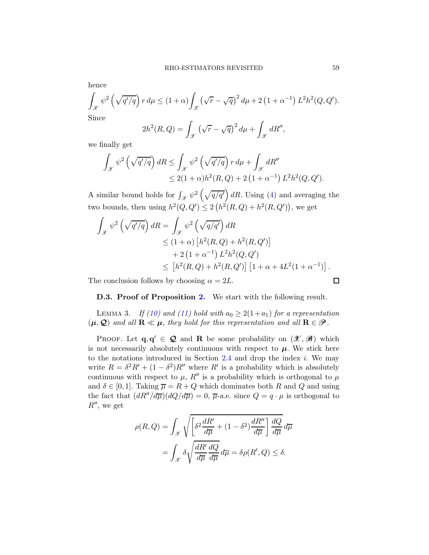hence

$$
\int_{\mathcal{X}} \psi^2 \left( \sqrt{q'/q} \right) r d\mu \le (1+\alpha) \int_{\mathcal{X}} \left( \sqrt{r} - \sqrt{q} \right)^2 d\mu + 2 \left( 1 + \alpha^{-1} \right) L^2 h^2(Q, Q').
$$
  
Since

Since

$$
2h^2(R,Q) = \int_{\mathcal{X}} \left(\sqrt{r} - \sqrt{q}\right)^2 d\mu + \int_{\mathcal{X}} dR'',
$$

we finally get

$$
\int_{\mathcal{X}} \psi^2 \left( \sqrt{q'/q} \right) dR \le \int_{\mathcal{X}} \psi^2 \left( \sqrt{q'/q} \right) r d\mu + \int_{\mathcal{X}} dR''
$$
  

$$
\le 2(1+\alpha)h^2(R,Q) + 2\left(1+\alpha^{-1}\right)L^2h^2(Q,Q').
$$

A similar bound holds for  $\int_{\mathscr{X}} \psi^2 \left( \sqrt{q/q'} \right) dR$ . Using [\(4\)](#page-7-1) and averaging the two bounds, then using  $h^2(Q, Q') \leq 2(h^2(R, Q) + h^2(R, Q'))$ , we get

$$
\int_{\mathcal{X}} \psi^2 \left(\sqrt{q'/q}\right) dR = \int_{\mathcal{X}} \psi^2 \left(\sqrt{q/q'}\right) dR
$$
  
\n
$$
\leq (1+\alpha) \left[h^2(R,Q) + h^2(R,Q')\right]
$$
  
\n
$$
+ 2\left(1+\alpha^{-1}\right) L^2 h^2(Q,Q')
$$
  
\n
$$
\leq \left[h^2(R,Q) + h^2(R,Q')\right] \left[1+\alpha + 4L^2(1+\alpha^{-1})\right].
$$

The conclusion follows by choosing  $\alpha = 2L$ .

D.3. Proof of Proposition [2.](#page-11-1) We start with the following result.

<span id="page-58-0"></span>LEMMA 3. If [\(10\)](#page-10-3) and [\(11\)](#page-10-2) hold with  $a_0 \geq 2(1+a_1)$  for a representation  $(\mu, \mathcal{Q})$  and all  $\mathbf{R} \ll \mu$ , they hold for this representation and all  $\mathbf{R} \in \mathcal{P}$ .

PROOF. Let  $\mathbf{q}, \mathbf{q}' \in \mathbf{Q}$  and **R** be some probability on  $(\mathcal{X}, \mathcal{B})$  which is not necessarily absolutely continuous with respect to  $\mu$ . We stick here to the notations introduced in Section  $2.4$  and drop the index i. We may write  $R = \delta^2 R' + (1 - \delta^2) R''$  where R' is a probability which is absolutely continuous with respect to  $\mu$ ,  $R''$  is a probability which is orthogonal to  $\mu$ and  $\delta \in [0,1]$ . Taking  $\overline{\mu} = R + Q$  which dominates both R and Q and using the fact that  $(dR''/d\overline{\mu})(dQ/d\overline{\mu}) = 0$ ,  $\overline{\mu}$ -a.e. since  $Q = q \cdot \mu$  is orthogonal to  $R''$ , we get

$$
\rho(R, Q) = \int_{\mathcal{X}} \sqrt{\left[\delta^2 \frac{dR'}{d\overline{\mu}} + (1 - \delta^2) \frac{dR''}{d\overline{\mu}}\right] \frac{dQ}{d\overline{\mu}} d\overline{\mu}}
$$

$$
= \int_{\mathcal{X}} \delta \sqrt{\frac{dR'}{d\overline{\mu}} \frac{dQ}{d\overline{\mu}} d\overline{\mu}} d\overline{\mu} = \delta \rho(R', Q) \le \delta.
$$

 $\Box$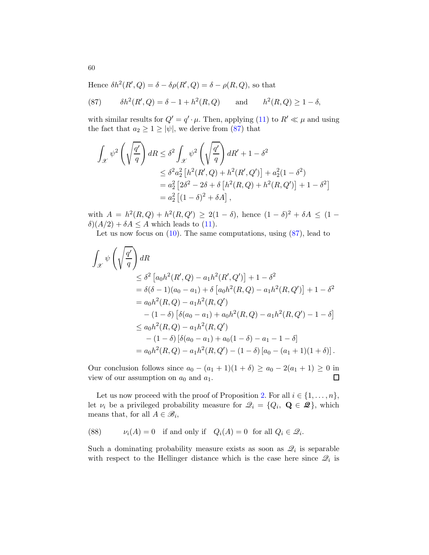Hence  $\delta h^2(R',Q) = \delta - \delta \rho(R',Q) = \delta - \rho(R,Q)$ , so that

<span id="page-59-0"></span>(87) 
$$
\delta h^2(R',Q) = \delta - 1 + h^2(R,Q)
$$
 and  $h^2(R,Q) \ge 1 - \delta$ ,

with similar results for  $Q' = q' \cdot \mu$ . Then, applying [\(11\)](#page-10-2) to  $R' \ll \mu$  and using the fact that  $a_2 \geq 1 \geq |\psi|$ , we derive from [\(87\)](#page-59-0) that

$$
\int_{\mathcal{X}} \psi^2 \left( \sqrt{\frac{q'}{q}} \right) dR \leq \delta^2 \int_{\mathcal{X}} \psi^2 \left( \sqrt{\frac{q'}{q}} \right) dR' + 1 - \delta^2
$$
  
\n
$$
\leq \delta^2 a_2^2 \left[ h^2(R',Q) + h^2(R',Q') \right] + a_2^2 (1 - \delta^2)
$$
  
\n
$$
= a_2^2 \left[ 2\delta^2 - 2\delta + \delta \left[ h^2(R,Q) + h^2(R,Q') \right] + 1 - \delta^2 \right]
$$
  
\n
$$
= a_2^2 \left[ (1 - \delta)^2 + \delta A \right],
$$

with  $A = h^2(R, Q) + h^2(R, Q') \geq 2(1 - \delta)$ , hence  $(1 - \delta)^2 + \delta A \leq (1 - \delta)^2$  $\delta(A/2) + \delta A \leq A$  which leads to [\(11\)](#page-10-2).

Let us now focus on  $(10)$ . The same computations, using  $(87)$ , lead to

$$
\int_{\mathcal{X}} \psi \left( \sqrt{\frac{q'}}{q} \right) dR
$$
\n
$$
\leq \delta^2 \left[ a_0 h^2(R', Q) - a_1 h^2(R', Q') \right] + 1 - \delta^2
$$
\n
$$
= \delta(\delta - 1)(a_0 - a_1) + \delta \left[ a_0 h^2(R, Q) - a_1 h^2(R, Q') \right] + 1 - \delta^2
$$
\n
$$
= a_0 h^2(R, Q) - a_1 h^2(R, Q')
$$
\n
$$
- (1 - \delta) \left[ \delta(a_0 - a_1) + a_0 h^2(R, Q) - a_1 h^2(R, Q') - 1 - \delta \right]
$$
\n
$$
\leq a_0 h^2(R, Q) - a_1 h^2(R, Q')
$$
\n
$$
- (1 - \delta) \left[ \delta(a_0 - a_1) + a_0 (1 - \delta) - a_1 - 1 - \delta \right]
$$
\n
$$
= a_0 h^2(R, Q) - a_1 h^2(R, Q') - (1 - \delta) \left[ a_0 - (a_1 + 1)(1 + \delta) \right].
$$

Our conclusion follows since  $a_0 - (a_1 + 1)(1 + \delta) \ge a_0 - 2(a_1 + 1) \ge 0$  in view of our assumption on  $a_0$  and  $a_1$ . view of our assumption on  $a_0$  and  $a_1$ .

Let us now proceed with the proof of Proposition [2.](#page-11-1) For all  $i \in \{1, \ldots, n\}$ , let  $\nu_i$  be a privileged probability measure for  $\mathcal{Q}_i = \{Q_i, \mathbf{Q} \in \mathbf{Z}\}\,$ , which means that, for all  $A \in \mathcal{B}_i$ ,

(88) 
$$
v_i(A) = 0
$$
 if and only if  $Q_i(A) = 0$  for all  $Q_i \in \mathcal{Q}_i$ .

Such a dominating probability measure exists as soon as  $\mathcal{Q}_i$  is separable with respect to the Hellinger distance which is the case here since  $\mathcal{Q}_i$  is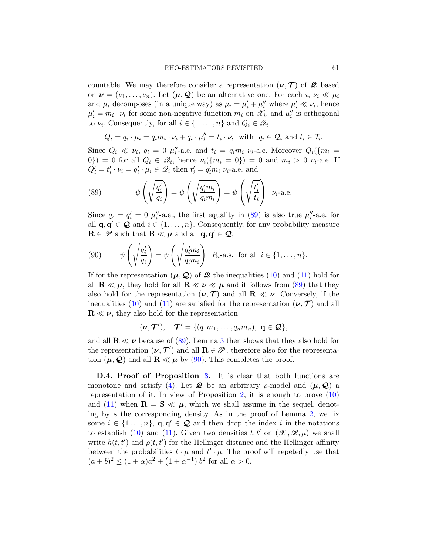countable. We may therefore consider a representation  $(\nu, \mathcal{T})$  of  $\mathcal{Q}$  based on  $\nu = (\nu_1, \ldots, \nu_n)$ . Let  $(\mu, \mathcal{Q})$  be an alternative one. For each  $i, \nu_i \ll \mu_i$ and  $\mu_i$  decomposes (in a unique way) as  $\mu_i = \mu'_i + \mu''_i$  where  $\mu'_i \ll \nu_i$ , hence  $\mu'_i = m_i \cdot \nu_i$  for some non-negative function  $m_i$  on  $\mathscr{X}_i$ , and  $\mu''_i$  is orthogonal to  $\nu_i$ . Consequently, for all  $i \in \{1, ..., n\}$  and  $Q_i \in \mathcal{Q}_i$ ,

$$
Q_i = q_i \cdot \mu_i = q_i m_i \cdot \nu_i + q_i \cdot \mu_i'' = t_i \cdot \nu_i \text{ with } q_i \in \mathcal{Q}_i \text{ and } t_i \in \mathcal{T}_i.
$$

Since  $Q_i \ll \nu_i$ ,  $q_i = 0$   $\mu''_i$ -a.e. and  $t_i = q_i m_i \nu_i$ -a.e. Moreover  $Q_i({m_i =$ 0}) = 0 for all  $Q_i \in \mathcal{Q}_i$ , hence  $\nu_i({m_i = 0}) = 0$  and  $m_i > 0$   $\nu_i$ -a.e. If  $Q'_i = t'_i \cdot \nu_i = q'_i \cdot \mu_i \in \mathcal{Q}_i$  then  $t'_i = q'_i m_i \nu_i$ -a.e. and

<span id="page-60-0"></span>(89) 
$$
\psi\left(\sqrt{\frac{q_i'}{q_i}}\right) = \psi\left(\sqrt{\frac{q_i'm_i}{q_i m_i}}\right) = \psi\left(\sqrt{\frac{t_i'}{t_i}}\right) \quad \nu_i\text{-a.e.}
$$

Since  $q_i = q'_i = 0$   $\mu''_i$ -a.e., the first equality in [\(89\)](#page-60-0) is also true  $\mu''_i$ -a.e. for all  $\mathbf{q}, \mathbf{q}' \in \mathcal{Q}$  and  $i \in \{1, ..., n\}$ . Consequently, for any probability measure  $\mathbf{R} \in \mathscr{P}$  such that  $\mathbf{R} \ll \mu$  and all  $\mathbf{q}, \mathbf{q}' \in \mathcal{Q}$ ,

<span id="page-60-1"></span>(90) 
$$
\psi\left(\sqrt{\frac{q_i'}{q_i}}\right) = \psi\left(\sqrt{\frac{q_i'm_i}{q_i m_i}}\right) R_i
$$
-a.s. for all  $i \in \{1, ..., n\}.$ 

If for the representation  $(\mu, \mathcal{Q})$  of  $\mathcal{Q}$  the inequalities [\(10\)](#page-10-3) and [\(11\)](#page-10-2) hold for all  $\mathbf{R} \ll \mu$ , they hold for all  $\mathbf{R} \ll \nu \ll \mu$  and it follows from [\(89\)](#page-60-0) that they also hold for the representation  $(\nu, \mathcal{T})$  and all  $\mathbf{R} \ll \nu$ . Conversely, if the inequalities [\(10\)](#page-10-3) and [\(11\)](#page-10-2) are satisfied for the representation  $(\nu, \mathcal{T})$  and all  $\mathbf{R} \ll \nu$ , they also hold for the representation

$$
(\nu, \mathcal{T}'), \quad \mathcal{T}' = \{ (q_1m_1, \ldots, q_nm_n), \ \mathbf{q} \in \mathbf{Q} \},
$$

and all  $\mathbf{R} \ll \nu$  because of [\(89\)](#page-60-0). Lemma [3](#page-58-0) then shows that they also hold for the representation  $(\nu, \mathcal{T}')$  and all  $\mathbf{R} \in \mathcal{P}$ , therefore also for the representation  $(\mu, \mathcal{Q})$  and all  $\mathbf{R} \ll \mu$  by [\(90\)](#page-60-1). This completes the proof.

D.4. Proof of Proposition [3.](#page-11-0) It is clear that both functions are monotone and satisfy [\(4\)](#page-7-1). Let  $\mathcal{Q}$  be an arbitrary  $\rho$ -model and  $(\mu, \mathcal{Q})$  a representation of it. In view of Proposition [2,](#page-11-1) it is enough to prove  $(10)$ and [\(11\)](#page-10-2) when  $\mathbf{R} = \mathbf{S} \ll \mu$ , which we shall assume in the sequel, denoting by s the corresponding density. As in the proof of Lemma [2,](#page-57-0) we fix some  $i \in \{1, \ldots, n\}$ ,  $\mathbf{q}, \mathbf{q}' \in \mathcal{Q}$  and then drop the index i in the notations to establish [\(10\)](#page-10-3) and [\(11\)](#page-10-2). Given two densities  $t, t'$  on  $(\mathscr{X}, \mathscr{B}, \mu)$  we shall write  $h(t, t')$  and  $\rho(t, t')$  for the Hellinger distance and the Hellinger affinity between the probabilities  $t \cdot \mu$  and  $t' \cdot \mu$ . The proof will repetedly use that  $(a + b)^2 \le (1 + \alpha)a^2 + (1 + \alpha^{-1}) b^2$  for all  $\alpha > 0$ .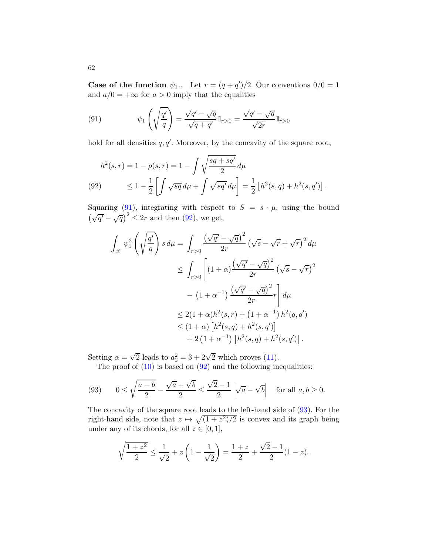Case of the function  $\psi_1$ .. Let  $r = (q + q')/2$ . Our conventions  $0/0 = 1$ and  $a/0 = +\infty$  for  $a > 0$  imply that the equalities

<span id="page-61-0"></span>(91) 
$$
\psi_1\left(\sqrt{\frac{q'}{q}}\right) = \frac{\sqrt{q'} - \sqrt{q}}{\sqrt{q+q'}}1\!\!1_{r>0} = \frac{\sqrt{q'} - \sqrt{q}}{\sqrt{2r}}1\!\!1_{r>0}
$$

hold for all densities  $q, q'$ . Moreover, by the concavity of the square root,

<span id="page-61-1"></span>
$$
h^{2}(s,r) = 1 - \rho(s,r) = 1 - \int \sqrt{\frac{sq + sq'}{2}} d\mu
$$
  
(92) 
$$
\leq 1 - \frac{1}{2} \left[ \int \sqrt{sq} d\mu + \int \sqrt{sq'} d\mu \right] = \frac{1}{2} \left[ h^{2}(s,q) + h^{2}(s,q') \right].
$$

Squaring [\(91\)](#page-61-0), integrating with respect to  $S = s \cdot \mu$ , using the bound  $(\sqrt{q'} - \sqrt{q})^2 \leq 2r$  and then [\(92\)](#page-61-1), we get,

$$
\int_{\mathcal{X}} \psi_1^2 \left( \sqrt{\frac{q'}{q}} \right) s \, d\mu = \int_{r>0} \frac{\left( \sqrt{q'} - \sqrt{q} \right)^2}{2r} \left( \sqrt{s} - \sqrt{r} + \sqrt{r} \right)^2 d\mu
$$
  
\n
$$
\leq \int_{r>0} \left[ (1+\alpha) \frac{\left( \sqrt{q'} - \sqrt{q} \right)^2}{2r} \left( \sqrt{s} - \sqrt{r} \right)^2 + (1+\alpha^{-1}) \frac{\left( \sqrt{q'} - \sqrt{q} \right)^2}{2r} r \right] d\mu
$$
  
\n
$$
\leq 2(1+\alpha)h^2(s,r) + (1+\alpha^{-1}) h^2(q,q')
$$
  
\n
$$
\leq (1+\alpha) \left[ h^2(s,q) + h^2(s,q') \right]
$$
  
\n
$$
+ 2 \left( 1 + \alpha^{-1} \right) \left[ h^2(s,q) + h^2(s,q') \right].
$$

Setting  $\alpha = \sqrt{2}$  leads to  $a_2^2 = 3 + 2\sqrt{2}$  which proves [\(11\)](#page-10-2).

The proof of  $(10)$  is based on  $(92)$  and the following inequalities:

<span id="page-61-2"></span>(93) 
$$
0 \le \sqrt{\frac{a+b}{2}} - \frac{\sqrt{a} + \sqrt{b}}{2} \le \frac{\sqrt{2} - 1}{2} \left| \sqrt{a} - \sqrt{b} \right| \text{ for all } a, b \ge 0.
$$

The concavity of the square root leads to the left-hand side of [\(93\)](#page-61-2). For the right-hand side, note that  $z \mapsto \sqrt{(1 + z^2)/2}$  is convex and its graph being under any of its chords, for all  $z \in [0, 1]$ ,

$$
\sqrt{\frac{1+z^2}{2}} \le \frac{1}{\sqrt{2}} + z \left(1 - \frac{1}{\sqrt{2}}\right) = \frac{1+z}{2} + \frac{\sqrt{2}-1}{2}(1-z).
$$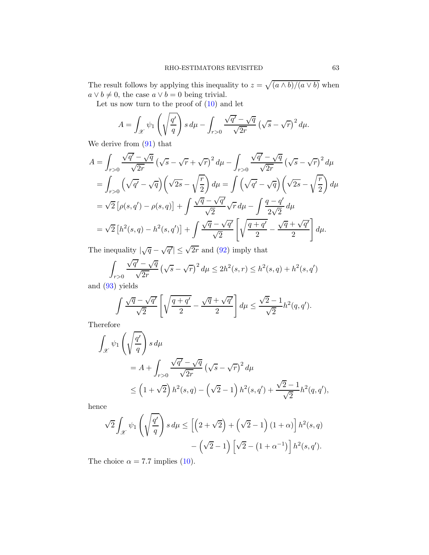The result follows by applying this inequality to  $z = \sqrt{\frac{a \wedge b}{a \vee b}}$  when  $a \vee b \neq 0$ , the case  $a \vee b = 0$  being trivial.

Let us now turn to the proof of  $(10)$  and let

$$
A = \int_{\mathcal{X}} \psi_1 \left( \sqrt{\frac{q'}{q}} \right) s \, d\mu - \int_{r>0} \frac{\sqrt{q'} - \sqrt{q}}{\sqrt{2r}} \left( \sqrt{s} - \sqrt{r} \right)^2 d\mu.
$$

We derive from [\(91\)](#page-61-0) that

$$
A = \int_{r>0} \frac{\sqrt{q'} - \sqrt{q}}{\sqrt{2r}} \left(\sqrt{s} - \sqrt{r} + \sqrt{r}\right)^2 d\mu - \int_{r>0} \frac{\sqrt{q'} - \sqrt{q}}{\sqrt{2r}} \left(\sqrt{s} - \sqrt{r}\right)^2 d\mu
$$
  
\n
$$
= \int_{r>0} \left(\sqrt{q'} - \sqrt{q}\right) \left(\sqrt{2s} - \sqrt{\frac{r}{2}}\right) d\mu = \int \left(\sqrt{q'} - \sqrt{q}\right) \left(\sqrt{2s} - \sqrt{\frac{r}{2}}\right) d\mu
$$
  
\n
$$
= \sqrt{2} \left[\rho(s, q') - \rho(s, q)\right] + \int \frac{\sqrt{q} - \sqrt{q'}}{\sqrt{2}} \sqrt{r} d\mu - \int \frac{q - q'}{2\sqrt{2}} d\mu
$$
  
\n
$$
= \sqrt{2} \left[h^2(s, q) - h^2(s, q')\right] + \int \frac{\sqrt{q} - \sqrt{q'}}{\sqrt{2}} \left[\sqrt{\frac{q + q'}{2}} - \frac{\sqrt{q'} + \sqrt{q'}}{2}\right] d\mu.
$$

The inequality  $|\sqrt{q} - \sqrt{q'}| \le \sqrt{2r}$  and [\(92\)](#page-61-1) imply that

$$
\int_{r>0} \frac{\sqrt{q'}-\sqrt{q}}{\sqrt{2r}} \left(\sqrt{s}-\sqrt{r}\right)^2 d\mu \le 2h^2(s,r) \le h^2(s,q) + h^2(s,q')
$$

and [\(93\)](#page-61-2) yields

$$
\int \frac{\sqrt{q} - \sqrt{q'}}{\sqrt{2}} \left[ \sqrt{\frac{q+q'}{2}} - \frac{\sqrt{q} + \sqrt{q'}}{2} \right] d\mu \le \frac{\sqrt{2} - 1}{\sqrt{2}} h^2(q, q').
$$

Therefore

$$
\int_{\mathcal{X}} \psi_1 \left( \sqrt{\frac{q'}{q}} \right) s d\mu
$$
\n
$$
= A + \int_{r>0} \frac{\sqrt{q'} - \sqrt{q}}{\sqrt{2r}} \left( \sqrt{s} - \sqrt{r} \right)^2 d\mu
$$
\n
$$
\leq \left( 1 + \sqrt{2} \right) h^2(s, q) - \left( \sqrt{2} - 1 \right) h^2(s, q') + \frac{\sqrt{2} - 1}{\sqrt{2}} h^2(q, q'),
$$

hence

$$
\sqrt{2} \int_{\mathcal{X}} \psi_1 \left( \sqrt{\frac{q'}{q}} \right) s \, d\mu \le \left[ \left( 2 + \sqrt{2} \right) + \left( \sqrt{2} - 1 \right) (1 + \alpha) \right] h^2(s, q)
$$

$$
- \left( \sqrt{2} - 1 \right) \left[ \sqrt{2} - (1 + \alpha^{-1}) \right] h^2(s, q').
$$

The choice  $\alpha = 7.7$  implies [\(10\)](#page-10-3).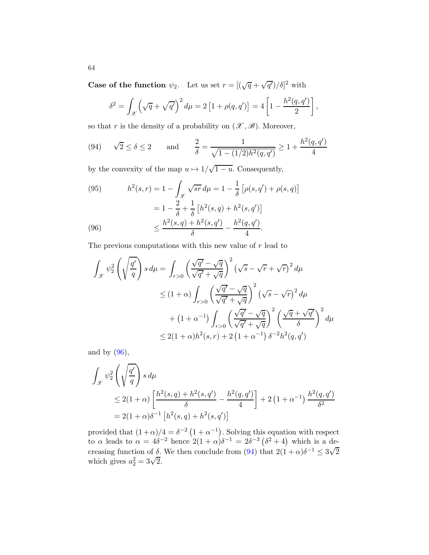**Case of the function**  $\psi_2$ . Let us set  $r = [(\sqrt{q} + \sqrt{q'})/\delta]^2$  with

$$
\delta^{2} = \int_{\mathcal{X}} \left( \sqrt{q} + \sqrt{q'} \right)^{2} d\mu = 2 \left[ 1 + \rho(q, q') \right] = 4 \left[ 1 - \frac{h^{2}(q, q')}{2} \right],
$$

so that r is the density of a probability on  $(\mathscr{X}, \mathscr{B})$ . Moreover,

<span id="page-63-1"></span>(94) 
$$
\sqrt{2} \le \delta \le 2
$$
 and  $\frac{2}{\delta} = \frac{1}{\sqrt{1 - (1/2)h^2(q, q')}} \ge 1 + \frac{h^2(q, q')}{4}$ 

by the convexity of the map  $u \mapsto 1/\sqrt{1-u}$ . Consequently,

<span id="page-63-2"></span>(95) 
$$
h^{2}(s,r) = 1 - \int_{\mathcal{X}} \sqrt{sr} d\mu = 1 - \frac{1}{\delta} \left[ \rho(s,q') + \rho(s,q) \right]
$$

$$
= 1 - \frac{2}{\delta} + \frac{1}{\delta} \left[ h^{2}(s,q) + h^{2}(s,q') \right]
$$

$$
\leq \frac{h^{2}(s,q) + h^{2}(s,q')}{\delta} - \frac{h^{2}(q,q')}{4}.
$$

<span id="page-63-0"></span>The previous computations with this new value of r lead to

$$
\int_{\mathcal{X}} \psi_2^2 \left( \sqrt{\frac{q'}{q}} \right) s \, d\mu = \int_{r>0} \left( \frac{\sqrt{q'} - \sqrt{q}}{\sqrt{q'} + \sqrt{q}} \right)^2 \left( \sqrt{s} - \sqrt{r} + \sqrt{r} \right)^2 d\mu
$$
\n
$$
\leq (1+\alpha) \int_{r>0} \left( \frac{\sqrt{q'} - \sqrt{q}}{\sqrt{q'} + \sqrt{q}} \right)^2 \left( \sqrt{s} - \sqrt{r} \right)^2 d\mu
$$
\n
$$
+ \left( 1 + \alpha^{-1} \right) \int_{r>0} \left( \frac{\sqrt{q'} - \sqrt{q}}{\sqrt{q'} + \sqrt{q}} \right)^2 \left( \frac{\sqrt{q'} + \sqrt{q'}}{\delta} \right)^2 d\mu
$$
\n
$$
\leq 2(1+\alpha)h^2(s,r) + 2\left( 1 + \alpha^{-1} \right) \delta^{-2}h^2(q,q')
$$

and by  $(96)$ ,

$$
\int_{\mathcal{X}} \psi_2^2 \left( \sqrt{\frac{q'}{q}} \right) s \, d\mu
$$
\n
$$
\leq 2(1+\alpha) \left[ \frac{h^2(s,q) + h^2(s,q')}{\delta} - \frac{h^2(q,q')}{4} \right] + 2 \left( 1 + \alpha^{-1} \right) \frac{h^2(q,q')}{\delta^2}
$$
\n
$$
= 2(1+\alpha)\delta^{-1} \left[ h^2(s,q) + h^2(s,q') \right]
$$

provided that  $(1+\alpha)/4 = \delta^{-2} (1+\alpha^{-1})$ . Solving this equation with respect to  $\alpha$  leads to  $\alpha = 4\delta^{-2}$  hence  $2(1+\alpha)\delta^{-1} = 2\delta^{-3}(\delta^2+4)$  which is a decreasing function of  $\delta$ . We then conclude from [\(94\)](#page-63-1) that  $2(1+\alpha)\delta^{-1} \leq 3\sqrt{2}$ which gives  $a_2^2 = 3\sqrt{2}$ .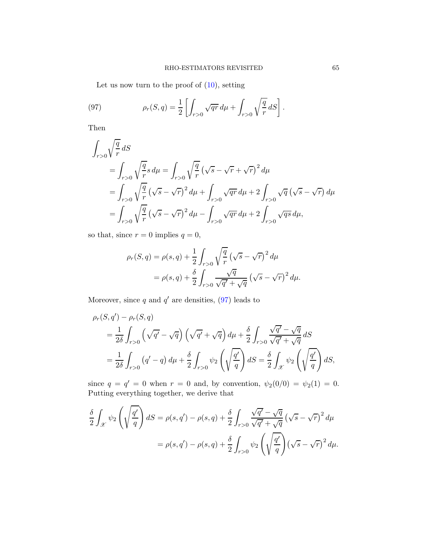<span id="page-64-0"></span>Let us now turn to the proof of  $(10)$ , setting

(97) 
$$
\rho_r(S, q) = \frac{1}{2} \left[ \int_{r>0} \sqrt{qr} \, d\mu + \int_{r>0} \sqrt{\frac{q}{r}} \, dS \right].
$$

Then

$$
\int_{r>0} \sqrt{\frac{q}{r}} dS
$$
\n
$$
= \int_{r>0} \sqrt{\frac{q}{r}} s d\mu = \int_{r>0} \sqrt{\frac{q}{r}} (\sqrt{s} - \sqrt{r} + \sqrt{r})^2 d\mu
$$
\n
$$
= \int_{r>0} \sqrt{\frac{q}{r}} (\sqrt{s} - \sqrt{r})^2 d\mu + \int_{r>0} \sqrt{qr} d\mu + 2 \int_{r>0} \sqrt{q} (\sqrt{s} - \sqrt{r}) d\mu
$$
\n
$$
= \int_{r>0} \sqrt{\frac{q}{r}} (\sqrt{s} - \sqrt{r})^2 d\mu - \int_{r>0} \sqrt{qr} d\mu + 2 \int_{r>0} \sqrt{qs} d\mu,
$$

so that, since  $r = 0$  implies  $q = 0$ ,

$$
\rho_r(S, q) = \rho(s, q) + \frac{1}{2} \int_{r>0} \sqrt{\frac{q}{r}} \left(\sqrt{s} - \sqrt{r}\right)^2 d\mu
$$

$$
= \rho(s, q) + \frac{\delta}{2} \int_{r>0} \frac{\sqrt{q}}{\sqrt{q'} + \sqrt{q}} \left(\sqrt{s} - \sqrt{r}\right)^2 d\mu.
$$

Moreover, since q and  $q'$  are densities, [\(97\)](#page-64-0) leads to

$$
\rho_r(S, q') - \rho_r(S, q)
$$
  
=  $\frac{1}{2\delta} \int_{r>0} \left(\sqrt{q'} - \sqrt{q}\right) \left(\sqrt{q'} + \sqrt{q}\right) d\mu + \frac{\delta}{2} \int_{r>0} \frac{\sqrt{q'} - \sqrt{q}}{\sqrt{q'} + \sqrt{q}} dS$   
=  $\frac{1}{2\delta} \int_{r>0} (q' - q) d\mu + \frac{\delta}{2} \int_{r>0} \psi_2 \left(\sqrt{\frac{q'}{q}}\right) dS = \frac{\delta}{2} \int_{\mathcal{X}} \psi_2 \left(\sqrt{\frac{q'}{q}}\right) dS,$ 

since  $q = q' = 0$  when  $r = 0$  and, by convention,  $\psi_2(0/0) = \psi_2(1) = 0$ . Putting everything together, we derive that

$$
\frac{\delta}{2} \int_{\mathcal{X}} \psi_2 \left( \sqrt{\frac{q'}{q}} \right) dS = \rho(s, q') - \rho(s, q) + \frac{\delta}{2} \int_{r>0} \frac{\sqrt{q'} - \sqrt{q}}{\sqrt{q'} + \sqrt{q}} \left( \sqrt{s} - \sqrt{r} \right)^2 d\mu
$$

$$
= \rho(s, q') - \rho(s, q) + \frac{\delta}{2} \int_{r>0} \psi_2 \left( \sqrt{\frac{q'}{q}} \right) \left( \sqrt{s} - \sqrt{r} \right)^2 d\mu.
$$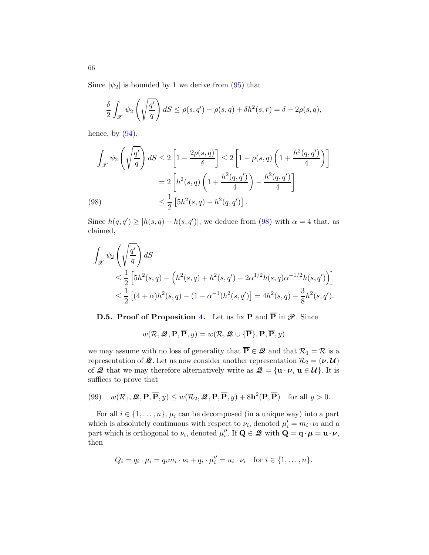Since  $|\psi_2|$  is bounded by 1 we derive from [\(95\)](#page-63-2) that

$$
\frac{\delta}{2} \int_{\mathcal{X}} \psi_2 \left( \sqrt{\frac{q'}{q}} \right) dS \le \rho(s, q') - \rho(s, q) + \delta h^2(s, r) = \delta - 2\rho(s, q),
$$

hence, by  $(94)$ ,

$$
\int_{\mathcal{X}} \psi_2\left(\sqrt{\frac{q'}{q}}\right) dS \le 2\left[1 - \frac{2\rho(s,q)}{\delta}\right] \le 2\left[1 - \rho(s,q)\left(1 + \frac{h^2(q,q')}{4}\right)\right]
$$

$$
= 2\left[h^2(s,q)\left(1 + \frac{h^2(q,q')}{4}\right) - \frac{h^2(q,q')}{4}\right]
$$

$$
\le \frac{1}{2}\left[5h^2(s,q) - h^2(q,q')\right].
$$

<span id="page-65-0"></span>Since  $h(q, q') \ge |h(s, q) - h(s, q')|$ , we deduce from [\(98\)](#page-65-0) with  $\alpha = 4$  that, as claimed,

$$
\int_{\mathcal{X}} \psi_2 \left( \sqrt{\frac{q'}{q}} \right) dS
$$
\n
$$
\leq \frac{1}{2} \left[ 5h^2(s, q) - \left( h^2(s, q) + h^2(s, q') - 2\alpha^{1/2} h(s, q) \alpha^{-1/2} h(s, q') \right) \right]
$$
\n
$$
\leq \frac{1}{2} \left[ (4 + \alpha) h^2(s, q) - (1 - \alpha^{-1}) h^2(s, q') \right] = 4h^2(s, q) - \frac{3}{8} h^2(s, q').
$$

D.5. Proof of Proposition [4.](#page-12-0) Let us fix P and  $\overline{P}$  in  $\mathscr{P}$ . Since

$$
w(\mathcal{R}, \mathcal{Q}, \mathbf{P}, \overline{\mathbf{P}}, y) = w(\mathcal{R}, \mathcal{Q} \cup {\{\overline{\mathbf{P}}\}}, \mathbf{P}, \overline{\mathbf{P}}, y)
$$

we may assume with no loss of generality that  $\overline{P} \in \mathcal{Q}$  and that  $\mathcal{R}_1 = \mathcal{R}$  is a representation of  $\mathcal{Q}$ . Let us now consider another representation  $\mathcal{R}_2 = (\nu, \mathcal{U})$ of  $\mathcal{Q}$  that we may therefore alternatively write as  $\mathcal{Q} = {\mathbf{u} \cdot \boldsymbol{\nu}, \mathbf{u} \in \mathcal{U}}$ . It is suffices to prove that

(99) 
$$
w(\mathcal{R}_1, \mathcal{Q}, \mathbf{P}, \overline{\mathbf{P}}, y) \le w(\mathcal{R}_2, \mathcal{Q}, \mathbf{P}, \overline{\mathbf{P}}, y) + 8\mathbf{h}^2(\mathbf{P}, \overline{\mathbf{P}})
$$
 for all  $y > 0$ .

For all  $i \in \{1, \ldots, n\}$ ,  $\mu_i$  can be decomposed (in a unique way) into a part which is absolutely continuous with respect to  $\nu_i$ , denoted  $\mu'_i = m_i \cdot \nu_i$  and a part which is orthogonal to  $\nu_i$ , denoted  $\mu''_i$ . If  $\mathbf{Q} \in \mathcal{Q}$  with  $\mathbf{Q} = \mathbf{q} \cdot \boldsymbol{\mu} = \mathbf{u} \cdot \boldsymbol{\nu}$ , then

$$
Q_i = q_i \cdot \mu_i = q_i m_i \cdot \nu_i + q_i \cdot \mu_i'' = u_i \cdot \nu_i \quad \text{for } i \in \{1, \dots, n\}.
$$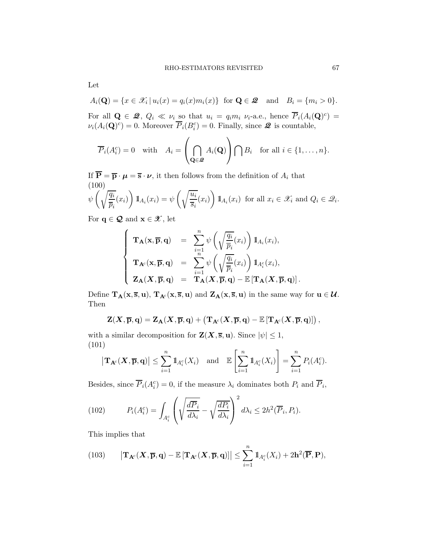$$
A_i(\mathbf{Q}) = \{x \in \mathcal{X}_i \mid u_i(x) = q_i(x)m_i(x)\} \text{ for } \mathbf{Q} \in \mathbf{\mathcal{Q}} \text{ and } B_i = \{m_i > 0\}.
$$

For all  $\mathbf{Q} \in \mathbf{\mathcal{Q}}, Q_i \ll \nu_i$  so that  $u_i = q_i m_i \nu_i$ -a.e., hence  $\overline{P}_i(A_i(\mathbf{Q})^c) =$  $\nu_i(A_i(\mathbf{Q})^c) = 0.$  Moreover  $\overline{P}_i(B_i^c) = 0.$  Finally, since  $\mathcal{Q}$  is countable,

$$
\overline{P}_i(A_i^c) = 0 \quad \text{with} \quad A_i = \left(\bigcap_{\mathbf{Q} \in \mathcal{Z}} A_i(\mathbf{Q})\right) \bigcap B_i \quad \text{for all } i \in \{1, \dots, n\}.
$$

If  $\overline{\mathbf{P}} = \overline{\mathbf{p}} \cdot \boldsymbol{\mu} = \overline{\mathbf{s}} \cdot \boldsymbol{\nu}$ , it then follows from the definition of  $A_i$  that (100)  $\psi\left(\sqrt{\frac{q_i}{\epsilon}}\right)$  $\frac{q_i}{\overline{p}_i}(x_i)$  $\setminus$  $1\!\!1_{A_i}(x_i) = \psi\left(\sqrt{\frac{u_i}{\overline{a}}}\right)$  $\frac{\alpha_i}{\overline{s}_i}(x_i)$  $\setminus$  $\mathbb{1}_{A_i}(x_i)$  for all  $x_i \in \mathscr{X}_i$  and  $Q_i \in \mathscr{Q}_i$ .

<span id="page-66-0"></span>For  $\mathbf{q} \in \mathbf{Q}$  and  $\mathbf{x} \in \mathcal{X}$ , let

$$
\left\{\begin{array}{rcl} \mathbf{T}_{\mathbf{A}}(\mathbf{x},\overline{\mathbf{p}},\mathbf{q})&=&\sum_{i=1}^n\psi\left(\sqrt{\frac{q_i}{\overline{p}_i}}(x_i)\right)\mathbb{1}_{A_i}(x_i),\\ \mathbf{T}_{\mathbf{A}^c}(\mathbf{x},\overline{\mathbf{p}},\mathbf{q})&=&\sum_{i=1}^n\psi\left(\sqrt{\frac{q_i}{\overline{p}_i}}(x_i)\right)\mathbb{1}_{A_i^c}(x_i),\\ \mathbf{Z}_{\mathbf{A}}(\mathbf{X},\overline{\mathbf{p}},\mathbf{q})&=&\mathbf{T}_{\mathbf{A}}(\mathbf{X},\overline{\mathbf{p}},\mathbf{q})-\mathbb{E}\left[\mathbf{T}_{\mathbf{A}}(\mathbf{X},\overline{\mathbf{p}},\mathbf{q})\right]. \end{array}\right.
$$

Define  $\mathbf{T}_\mathbf{A}(\mathbf{x},\overline{\mathbf{s}},\mathbf{u}),\, \mathbf{T}_{\mathbf{A}^c}(\mathbf{x},\overline{\mathbf{s}},\mathbf{u})$  and  $\mathbf{Z}_\mathbf{A}(\mathbf{x},\overline{\mathbf{s}},\mathbf{u})$  in the same way for  $\mathbf{u}\in\mathbf{\mathcal{U}}$ . Then

$$
\mathbf{Z}(\boldsymbol{X},\overline{\mathbf{p}},\mathbf{q}) = \mathbf{Z}_{\mathbf{A}}(\boldsymbol{X},\overline{\mathbf{p}},\mathbf{q}) + \left(\mathbf{T}_{\mathbf{A}^c}(\boldsymbol{X},\overline{\mathbf{p}},\mathbf{q}) - \mathbb{E}\left[\mathbf{T}_{\mathbf{A}^c}(\boldsymbol{X},\overline{\mathbf{p}},\mathbf{q})\right]\right),
$$

with a similar decomposition for  $\mathbf{Z}(\mathbf{X}, \overline{\mathbf{s}}, \mathbf{u})$ . Since  $|\psi| \leq 1$ , (101)

<span id="page-66-2"></span>
$$
|\mathbf{T}_{\mathbf{A}^c}(\mathbf{X}, \overline{\mathbf{p}}, \mathbf{q})| \leq \sum_{i=1}^n 1\!\!1_{A_i^c}(X_i)
$$
 and  $\mathbb{E}\left[\sum_{i=1}^n 1\!\!1_{A_i^c}(X_i)\right] = \sum_{i=1}^n P_i(A_i^c)$ .

Besides, since  $\overline{P}_i(A_i^c) = 0$ , if the measure  $\lambda_i$  dominates both  $P_i$  and  $\overline{P}_i$ ,

<span id="page-66-3"></span>(102) 
$$
P_i(A_i^c) = \int_{A_i^c} \left( \sqrt{\frac{d\overline{P}_i}{d\lambda_i}} - \sqrt{\frac{dP_i}{d\lambda_i}} \right)^2 d\lambda_i \leq 2h^2(\overline{P}_i, P_i).
$$

This implies that

<span id="page-66-1"></span>(103) 
$$
\left|\mathbf{T}_{\mathbf{A}^c}(\mathbf{X},\overline{\mathbf{p}},\mathbf{q})-\mathbb{E}\left[\mathbf{T}_{\mathbf{A}^c}(\mathbf{X},\overline{\mathbf{p}},\mathbf{q})\right]\right| \leq \sum_{i=1}^n 1\!\mathrm{l}_{A_i^c}(X_i) + 2\mathbf{h}^2(\overline{\mathbf{P}},\mathbf{P}),
$$

Let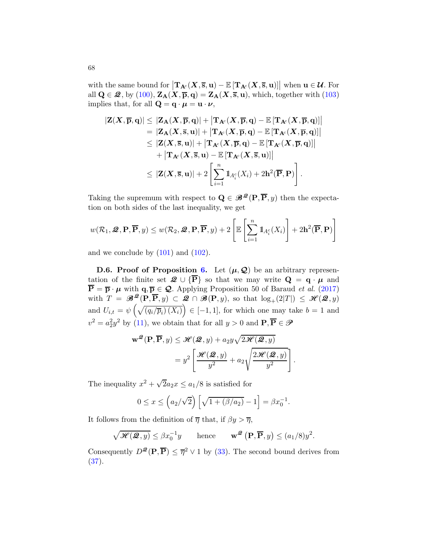with the same bound for  $\left|\mathbf{T}_{\mathbf{A}^c}(\bm{X},\overline{\mathbf{s}},\mathbf{u})-\mathbb{E}\left[\mathbf{T}_{\mathbf{A}^c}(\bm{X},\overline{\mathbf{s}},\mathbf{u})\right]\right|$  when  $\mathbf{u}\in\mathcal{U}$ . For all  $Q \in \mathcal{Q}$ , by [\(100\)](#page-66-0),  $Z_A(X, \overline{p}, q) = Z_A(X, \overline{s}, u)$ , which, together with [\(103\)](#page-66-1) implies that, for all  $\mathbf{Q} = \mathbf{q} \cdot \boldsymbol{\mu} = \mathbf{u} \cdot \boldsymbol{\nu}$ ,

$$
\begin{aligned} |\mathbf{Z}(\boldsymbol{X},\overline{\mathbf{p}},\mathbf{q})| & \leq |\mathbf{Z}_{\mathbf{A}}(\boldsymbol{X},\overline{\mathbf{p}},\mathbf{q})| + \left|\mathbf{T}_{\mathbf{A}^c}(\boldsymbol{X},\overline{\mathbf{p}},\mathbf{q}) - \mathbb{E}\left[\mathbf{T}_{\mathbf{A}^c}(\boldsymbol{X},\overline{\mathbf{p}},\mathbf{q})\right]\right| \\ & = |\mathbf{Z}_{\mathbf{A}}(\boldsymbol{X},\overline{\mathbf{s}},\mathbf{u})| + \left|\mathbf{T}_{\mathbf{A}^c}(\boldsymbol{X},\overline{\mathbf{p}},\mathbf{q}) - \mathbb{E}\left[\mathbf{T}_{\mathbf{A}^c}(\boldsymbol{X},\overline{\mathbf{p}},\mathbf{q})\right]\right| \\ & \leq |\mathbf{Z}(\boldsymbol{X},\overline{\mathbf{s}},\mathbf{u})| + \left|\mathbf{T}_{\mathbf{A}^c}(\boldsymbol{X},\overline{\mathbf{p}},\mathbf{q}) - \mathbb{E}\left[\mathbf{T}_{\mathbf{A}^c}(\boldsymbol{X},\overline{\mathbf{p}},\mathbf{q})\right]\right| \\ & + \left|\mathbf{T}_{\mathbf{A}^c}(\boldsymbol{X},\overline{\mathbf{s}},\mathbf{u}) - \mathbb{E}\left[\mathbf{T}_{\mathbf{A}^c}(\boldsymbol{X},\overline{\mathbf{s}},\mathbf{u})\right]\right| \\ & \leq |\mathbf{Z}(\boldsymbol{X},\overline{\mathbf{s}},\mathbf{u})| + 2\left[\sum_{i=1}^n \mathbb{1}_{A_i^c}(X_i) + 2\mathbf{h}^2(\overline{\mathbf{P}},\mathbf{P})\right]. \end{aligned}
$$

Taking the supremum with respect to  $\mathbf{Q} \in \mathcal{B}^{\mathcal{Q}}(\mathbf{P}, \overline{\mathbf{P}}, y)$  then the expectation on both sides of the last inequality, we get

$$
w(\mathcal{R}_1, \mathcal{Q}, \mathbf{P}, \overline{\mathbf{P}}, y) \leq w(\mathcal{R}_2, \mathcal{Q}, \mathbf{P}, \overline{\mathbf{P}}, y) + 2 \left[ \mathbb{E} \left[ \sum_{i=1}^n \mathbb{1}_{A_i^c}(X_i) \right] + 2\mathbf{h}^2(\overline{\mathbf{P}}, \mathbf{P}) \right]
$$

and we conclude by  $(101)$  and  $(102)$ .

**D.[6.](#page-23-0) Proof of Proposition 6.** Let  $(\mu, \mathcal{Q})$  be an arbitrary representation of the finite set  $\mathcal{Q} \cup {\overline{\mathbf{P}}}$  so that we may write  $\mathbf{Q} = \mathbf{q} \cdot \boldsymbol{\mu}$  and  $\overline{\mathbf{P}} = \overline{\mathbf{p}} \cdot \boldsymbol{\mu}$  with  $\mathbf{q}, \overline{\mathbf{p}} \in \mathcal{Q}$ . Applying Proposition 50 of Baraud *et al.* [\(2017](#page-39-0)) with  $T = \mathscr{B}^{\mathscr{Q}}_{\rho}(\mathbf{P}, \overline{\mathbf{P}}, y) \subset \mathscr{Q} \cap \mathscr{B}(\mathbf{P}, y)$ , so that  $\log_{+}(2|T|) \leq \mathscr{H}(\mathscr{Q}, y)$ and  $U_{i,t} = \psi\left(\sqrt{\left(q_i/\overline{p}_i\right)(X_i)}\right) \in [-1,1]$ , for which one may take  $b=1$  and  $v^2 = a_2^2 y^2$  by [\(11\)](#page-10-2), we obtain that for all  $y > 0$  and  $P, \overline{P} \in \mathcal{P}$ 

$$
\mathbf{w}^{\mathcal{Q}}(\mathbf{P}, \overline{\mathbf{P}}, y) \leq \mathcal{H}(\mathcal{Q}, y) + a_2 y \sqrt{2\mathcal{H}(\mathcal{Q}, y)}
$$
  
= 
$$
y^2 \left[ \frac{\mathcal{H}(\mathcal{Q}, y)}{y^2} + a_2 \sqrt{\frac{2\mathcal{H}(\mathcal{Q}, y)}{y^2}} \right].
$$

The inequality  $x^2 + \sqrt{2}a_2x \le a_1/8$  is satisfied for

$$
0 \le x \le \left(a_2/\sqrt{2}\right) \left[\sqrt{1 + (\beta/a_2)} - 1\right] = \beta x_0^{-1}.
$$

It follows from the definition of  $\overline{\eta}$  that, if  $\beta y > \overline{\eta}$ ,

$$
\sqrt{\mathcal{H}(\mathcal{Q}, y)} \leq \beta x_0^{-1} y \quad \text{hence} \quad \mathbf{w}^{\mathcal{Q}}(\mathbf{P}, \overline{\mathbf{P}}, y) \leq (a_1/8)y^2.
$$

Consequently  $D^{\mathcal{Q}}(\mathbf{P}, \overline{\mathbf{P}}) \leq \overline{\eta}^2 \vee 1$  by [\(33\)](#page-22-0). The second bound derives from  $(37).$  $(37).$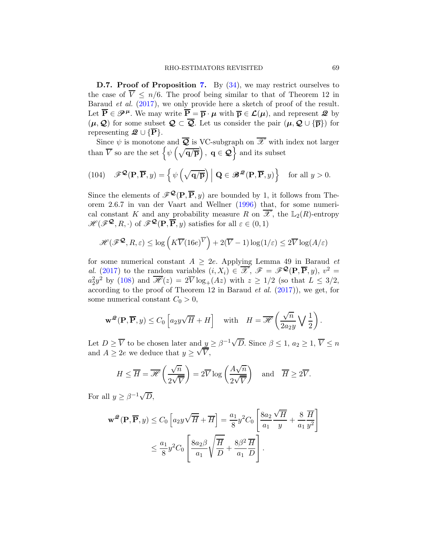D.[7.](#page-25-0) Proof of Proposition 7. By  $(34)$ , we may restrict ourselves to the case of  $\overline{V} \leq n/6$ . The proof being similar to that of Theorem 12 in Baraud et al. [\(2017](#page-39-0)), we only provide here a sketch of proof of the result. Let  $\overline{P} \in \mathscr{P}^{\mu}$ . We may write  $\overline{P} = \overline{p} \cdot \mu$  with  $\overline{p} \in \mathcal{L}(\mu)$ , and represent  $\mathscr{Q}$  by  $(\mu, \mathcal{Q})$  for some subset  $\mathcal{Q} \subset \overline{\mathcal{Q}}$ . Let us consider the pair  $(\mu, \mathcal{Q} \cup {\overline{\mathbf{p}}})$  for representing  $\mathcal{Q} \cup \{P\}.$ 

Since  $\psi$  is monotone and  $\overline{Q}$  is VC-subgraph on  $\overline{\mathscr{X}}$  with index not larger than  $\overline{V}$  so are the set  $\left\{\psi\left(\sqrt{\mathbf{q}/\overline{\mathbf{p}}}\right),\ \mathbf{q}\in\mathbf{Q}\right\}$  and its subset

<span id="page-68-0"></span>(104) 
$$
\mathscr{F}^{\mathbf{Q}}(\mathbf{P}, \overline{\mathbf{P}}, y) = \left\{ \psi\left(\sqrt{\mathbf{q}/\overline{\mathbf{p}}}\right) \middle| \mathbf{Q} \in \mathscr{B}^{\mathbf{Q}}(\mathbf{P}, \overline{\mathbf{P}}, y) \right\} \text{ for all } y > 0.
$$

Since the elements of  $\mathscr{F}^{\mathcal{Q}}(\mathbf{P}, \overline{\mathbf{P}}, y)$  are bounded by 1, it follows from Theorem 2.6.7 in van der Vaart and Wellner [\(1996](#page-40-1)) that, for some numerical constant K and any probability measure R on  $\overline{\mathscr{X}}$ , the  $\mathbb{L}_2(R)$ -entropy  $\mathscr{H}(\mathscr{F}^{\mathbf{Q}},R,\cdot)$  of  $\mathscr{F}^{\mathbf{Q}}(\mathbf{P},\overline{\mathbf{P}},y)$  satisfies for all  $\varepsilon \in (0,1)$ 

$$
\mathscr{H}(\mathscr{F}^{\mathbf{Q}}, R, \varepsilon) \le \log \left( K \overline{V}(16e)^{\overline{V}} \right) + 2(\overline{V} - 1) \log(1/\varepsilon) \le 2 \overline{V} \log(A/\varepsilon)
$$

for some numerical constant  $A \geq 2e$ . Applying Lemma 49 in Baraud et al. [\(2017](#page-39-0)) to the random variables  $(i, X_i) \in \overline{\mathscr{X}}, \mathscr{F} = \mathscr{F}^{\mathcal{Q}}(\mathbf{P}, \overline{\mathbf{P}}, y), v^2 =$  $a_2^2 y^2$  by [\(108\)](#page-72-0) and  $\overline{\mathscr{H}}(z) = 2\overline{V} \log_+(Az)$  with  $z \geq 1/2$  (so that  $L \leq 3/2$ , according to the proof of Theorem 12 in Baraud  $et$  al.  $(2017)$ ), we get, for some numerical constant  $C_0 > 0$ ,

$$
\mathbf{w}^{\mathcal{Q}}(\mathbf{P}, \overline{\mathbf{P}}, y) \le C_0 \left[ a_2 y \sqrt{H} + H \right] \quad \text{with} \quad H = \overline{\mathcal{H}} \left( \frac{\sqrt{n}}{2a_2 y} \sqrt{\frac{1}{2}} \right).
$$

Let  $D \geq \overline{V}$  to be chosen later and  $\underline{y} \geq \beta^{-1} \sqrt{D}$ . Since  $\beta \leq 1, a_2 \geq 1, \overline{V} \leq n$ and  $A \geq 2e$  we deduce that  $y \geq \sqrt{V}$ ,

$$
H \leq \overline{H} = \overline{\mathscr{H}}\left(\frac{\sqrt{n}}{2\sqrt{\overline{V}}}\right) = 2\overline{V} \log\left(\frac{A\sqrt{n}}{2\sqrt{\overline{V}}}\right) \text{ and } \overline{H} \geq 2\overline{V}.
$$

For all  $y \geq \beta^{-1} \sqrt{D}$ ,

$$
\mathbf{w}^{\mathcal{Q}}(\mathbf{P}, \overline{\mathbf{P}}, y) \le C_0 \left[ a_2 y \sqrt{\overline{H}} + \overline{H} \right] = \frac{a_1}{8} y^2 C_0 \left[ \frac{8 a_2}{a_1} \frac{\sqrt{\overline{H}}}{y} + \frac{8}{a_1} \frac{\overline{H}}{y^2} \right]
$$

$$
\le \frac{a_1}{8} y^2 C_0 \left[ \frac{8 a_2 \beta}{a_1} \sqrt{\frac{\overline{H}}{D}} + \frac{8 \beta^2}{a_1} \frac{\overline{H}}{D} \right].
$$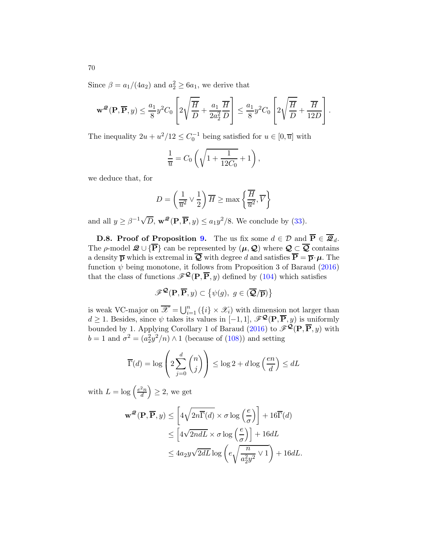Since  $\beta = a_1/(4a_2)$  and  $a_2^2 \ge 6a_1$ , we derive that

$$
\mathbf{w}^{\mathcal{Q}}(\mathbf{P}, \overline{\mathbf{P}}, y) \le \frac{a_1}{8} y^2 C_0 \left[ 2\sqrt{\frac{\overline{H}}{D}} + \frac{a_1}{2a_2^2} \frac{\overline{H}}{D} \right] \le \frac{a_1}{8} y^2 C_0 \left[ 2\sqrt{\frac{\overline{H}}{D}} + \frac{\overline{H}}{12D} \right].
$$

The inequality  $2u + u^2/12 \leq C_0^{-1}$  being satisfied for  $u \in [0, \overline{u}]$  with

$$
\frac{1}{\overline{u}} = C_0 \left( \sqrt{1 + \frac{1}{12C_0}} + 1 \right),
$$

we deduce that, for

$$
D = \left(\frac{1}{\overline{u}^2} \vee \frac{1}{2}\right) \overline{H} \ge \max\left\{\frac{\overline{H}}{\overline{u}^2}, \overline{V}\right\}
$$

and all  $y \ge \beta^{-1} \sqrt{D}$ ,  $\mathbf{w}^{\mathcal{Q}}(\mathbf{P}, \overline{\mathbf{P}}, y) \le a_1 y^2/8$ . We conclude by [\(33\)](#page-22-0).

**D.8. Proof of Proposition [9.](#page-27-0)** The us fix some  $d \in \mathcal{D}$  and  $\overline{\mathbf{P}} \in \overline{\mathcal{Q}}_d$ . The  $\rho$ -model  $\mathcal{Q} \cup {\overline{\mathbf{P}}}$  can be represented by  $(\mu, \mathcal{Q})$  where  $\mathcal{Q} \subset \overline{\mathcal{Q}}$  contains a density  $\bar{p}$  which is extremal in  $\bar{Q}$  with degree d and satisfies  $\bar{P} = \bar{p} \cdot \mu$ . The function  $\psi$  being monotone, it follows from Proposition 3 of Baraud [\(2016](#page-39-2)) that the class of functions  $\mathscr{F}^{\mathcal{Q}}(\mathbf{P}, \overline{\mathbf{P}}, y)$  defined by [\(104\)](#page-68-0) which satisfies

$$
\mathscr{F}^{\mathcal{Q}}(\mathbf{P},\overline{\mathbf{P}},y)\subset{\psi(g),\,\,g\in(\overline{\mathcal{Q}}/\overline{\mathbf{p}})}
$$

is weak VC-major on  $\overline{\mathscr{X}} = \bigcup_{i=1}^n (\{i\} \times \mathscr{X}_i)$  with dimension not larger than  $d \geq 1$ . Besides, since  $\psi$  takes its values in [−1, 1],  $\mathscr{F}^{\mathbf{Q}}(\mathbf{P}, \overline{\mathbf{P}}, y)$  is uniformly bounded by 1. Applying Corollary 1 of Baraud [\(2016](#page-39-2)) to  $\mathscr{F}^{\mathbf{Q}}(\mathbf{P},\overline{\mathbf{P}},y)$  with  $b = 1$  and  $\sigma^2 = (a_2^2 y^2/n) \wedge 1$  (because of [\(108\)](#page-72-0)) and setting

$$
\overline{\Gamma}(d) = \log \left( 2 \sum_{j=0}^{d} {n \choose j} \right) \le \log 2 + d \log \left( \frac{en}{d} \right) \le dL
$$

with  $L = \log \left( \frac{e^2 n}{d} \right)$ d  $\Big) \geq 2$ , we get

$$
\mathbf{w}^{\mathcal{Q}}(\mathbf{P}, \overline{\mathbf{P}}, y) \le \left[ 4\sqrt{2n\overline{\Gamma}(d)} \times \sigma \log\left(\frac{e}{\sigma}\right) \right] + 16\overline{\Gamma}(d)
$$
  
\n
$$
\le \left[ 4\sqrt{2ndL} \times \sigma \log\left(\frac{e}{\sigma}\right) \right] + 16dL
$$
  
\n
$$
\le 4a_2y\sqrt{2dL}\log\left(e\sqrt{\frac{n}{a_2^2y^2}} \vee 1\right) + 16dL.
$$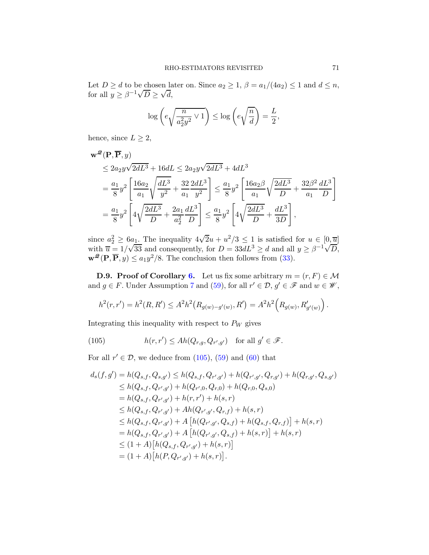Let  $D \ge d$  to be chosen later on. Since  $a_2 \ge 1$ ,  $\beta = a_1/(4a_2) \le 1$  and  $d \le n$ , for all  $y \ge \beta^{-1} \sqrt{D} \ge \sqrt{d}$ ,

$$
\log\left(e\sqrt{\frac{n}{a_2^2y^2}\vee 1}\right) \le \log\left(e\sqrt{\frac{n}{d}}\right) = \frac{L}{2},
$$

hence, since  $L \geq 2$ ,

$$
\mathbf{w}^{\mathcal{Q}}(\mathbf{P}, \overline{\mathbf{P}}, y)
$$
  
\n
$$
\leq 2a_2 y \sqrt{2dL^3} + 16dL \leq 2a_2 y \sqrt{2dL^3} + 4dL^3
$$
  
\n
$$
= \frac{a_1}{8} y^2 \left[ \frac{16a_2}{a_1} \sqrt{\frac{dL^3}{y^2}} + \frac{32}{a_1} \frac{2dL^3}{y^2} \right] \leq \frac{a_1}{8} y^2 \left[ \frac{16a_2 \beta}{a_1} \sqrt{\frac{2dL^3}{D}} + \frac{32\beta^2}{a_1} \frac{dL^3}{D} \right]
$$
  
\n
$$
= \frac{a_1}{8} y^2 \left[ 4\sqrt{\frac{2dL^3}{D}} + \frac{2a_1}{a_2^2} \frac{dL^3}{D} \right] \leq \frac{a_1}{8} y^2 \left[ 4\sqrt{\frac{2dL^3}{D}} + \frac{dL^3}{3D} \right],
$$

since  $a_2^2 \ge 6a_1$ . The inequality  $4\sqrt{2}u + u^2/3 \le 1$  is satisfied for  $u \in [0, \overline{u}]$ with  $\overline{u} = 1/\sqrt{33}$  and consequently, for  $D = 33dL^3 \ge d$  and all  $y \ge \beta^{-1}\sqrt{D}$ ,  $\mathbf{w}^{\mathcal{Q}}(\mathbf{P}, \overline{\mathbf{P}}, y) \le a_1 y^2/8$ . The conclusion then follows from [\(33\)](#page-22-0).

<span id="page-70-0"></span>**D.9. Proof of Corollary [6.](#page-37-0)** Let us fix some arbitrary  $m = (r, F) \in \mathcal{M}$ and  $g \in F$ . Under Assumption [7](#page-35-0) and [\(59\)](#page-35-1), for all  $r' \in \mathcal{D}$ ,  $g' \in \mathcal{F}$  and  $w \in \mathcal{W}$ ,

$$
h^{2}(r,r') = h^{2}(R, R') \leq A^{2}h^{2}(R_{g(w)-g'(w)}, R') = A^{2}h^{2}(R_{g(w)}, R'_{g'(w)}).
$$

Integrating this inequality with respect to  $P_W$  gives

<span id="page-70-1"></span>(105) 
$$
h(r,r') \leq Ah(Q_{r,g}, Q_{r',g'}) \text{ for all } g' \in \mathscr{F}.
$$

For all  $r' \in \mathcal{D}$ , we deduce from [\(105\)](#page-70-1), [\(59\)](#page-35-1) and [\(60\)](#page-35-2) that

$$
d_s(f,g') = h(Q_{s,f}, Q_{s,g'}) \le h(Q_{s,f}, Q_{r',g'}) + h(Q_{r',g'}, Q_{r,g'}) + h(Q_{r,g'}, Q_{s,g'})
$$
  
\n
$$
\le h(Q_{s,f}, Q_{r',g'}) + h(Q_{r',0}, Q_{r,0}) + h(Q_{r,0}, Q_{s,0})
$$
  
\n
$$
= h(Q_{s,f}, Q_{r',g'}) + h(r,r') + h(s,r)
$$
  
\n
$$
\le h(Q_{s,f}, Q_{r',g'}) + Ah(Q_{r',g'}, Q_{r,f}) + h(s,r)
$$
  
\n
$$
\le h(Q_{s,f}, Q_{r',g'}) + A[h(Q_{r',g'}, Q_{s,f}) + h(Q_{s,f}, Q_{r,f})] + h(s,r)
$$
  
\n
$$
= h(Q_{s,f}, Q_{r',g'}) + A[h(Q_{r',g'}, Q_{s,f}) + h(s,r)] + h(s,r)
$$
  
\n
$$
\le (1 + A) [h(Q_{s,f}, Q_{r',g'}) + h(s,r)]
$$
  
\n
$$
= (1 + A) [h(P, Q_{r',g'}) + h(s,r)].
$$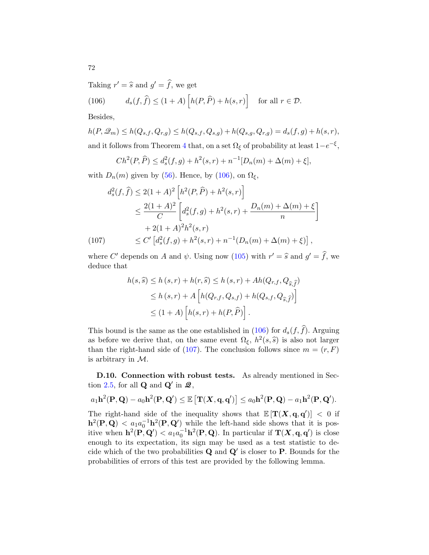Taking  $r' = \hat{s}$  and  $g' = \hat{f}$ , we get

<span id="page-71-0"></span>(106) 
$$
d_s(f,\hat{f}) \le (1+A)\left[h(P,\hat{P}) + h(s,r)\right] \text{ for all } r \in \mathcal{D}.
$$

Besides,

$$
h(P, \mathcal{Q}_m) \le h(Q_{s,f}, Q_{r,g}) \le h(Q_{s,f}, Q_{s,g}) + h(Q_{s,g}, Q_{r,g}) = d_s(f, g) + h(s, r),
$$
 and it follows from Theorem 4 that, on a set  $\Omega_{\xi}$  of probability at least  $1 - e^{-\xi}$ ,

$$
Ch^{2}(P, \widehat{P}) \le d_s^{2}(f, g) + h^{2}(s, r) + n^{-1}[D_n(m) + \Delta(m) + \xi],
$$

with  $D_n(m)$  given by [\(56\)](#page-33-4). Hence, by [\(106\)](#page-71-0), on  $\Omega_{\xi}$ ,

$$
d_s^2(f, \hat{f}) \le 2(1+A)^2 \left[ h^2(P, \hat{P}) + h^2(s, r) \right]
$$
  
\n
$$
\le \frac{2(1+A)^2}{C} \left[ d_s^2(f,g) + h^2(s,r) + \frac{D_n(m) + \Delta(m) + \xi}{n} \right]
$$
  
\n
$$
+ 2(1+A)^2 h^2(s,r)
$$
  
\n(107) 
$$
\le C' \left[ d_s^2(f,g) + h^2(s,r) + n^{-1} (D_n(m) + \Delta(m) + \xi) \right],
$$

<span id="page-71-1"></span>where C' depends on A and  $\psi$ . Using now [\(105\)](#page-70-1) with  $r' = \hat{s}$  and  $g' = \hat{f}$ , we deduce that

$$
h(s,\widehat{s}) \le h(s,r) + h(r,\widehat{s}) \le h(s,r) + Ah(Q_{r,f}, Q_{\widehat{s},\widehat{f}})
$$
  
\n
$$
\le h(s,r) + A\left[h(Q_{r,f}, Q_{s,f}) + h(Q_{s,f}, Q_{\widehat{s},\widehat{f}})\right]
$$
  
\n
$$
\le (1+A)\left[h(s,r) + h(P,\widehat{P})\right].
$$

This bound is the same as the one established in [\(106\)](#page-71-0) for  $d_s(f, \hat{f})$ . Arguing as before we derive that, on the same event  $\Omega_{\xi}$ ,  $h^2(s,\hat{s})$  is also not larger than the right-hand side of [\(107\)](#page-71-1). The conclusion follows since  $m = (r, F)$ is arbitrary in M.

D.10. Connection with robust tests. As already mentioned in Sec-tion [2.5,](#page-10-4) for all  $Q$  and  $Q'$  in  $\mathcal{Q},$ 

$$
a_1\mathbf{h}^2(\mathbf{P},\mathbf{Q}) - a_0\mathbf{h}^2(\mathbf{P},\mathbf{Q}') \leq \mathbb{E}\left[\mathbf{T}(\mathbf{X},\mathbf{q},\mathbf{q}')\right] \leq a_0\mathbf{h}^2(\mathbf{P},\mathbf{Q}) - a_1\mathbf{h}^2(\mathbf{P},\mathbf{Q}').
$$

The right-hand side of the inequality shows that  $\mathbb{E}[(\mathbf{T}(X, \mathbf{q}, \mathbf{q}')] < 0$  if  $h^2(P,Q) < a_1 a_0^{-1} h^2(P,Q')$  while the left-hand side shows that it is positive when  $h^2(P, Q') < a_1 a_0^{-1} h^2(P, Q)$ . In particular if  $T(X, q, q')$  is close enough to its expectation, its sign may be used as a test statistic to decide which of the two probabilities  $Q$  and  $Q'$  is closer to  $P$ . Bounds for the probabilities of errors of this test are provided by the following lemma.